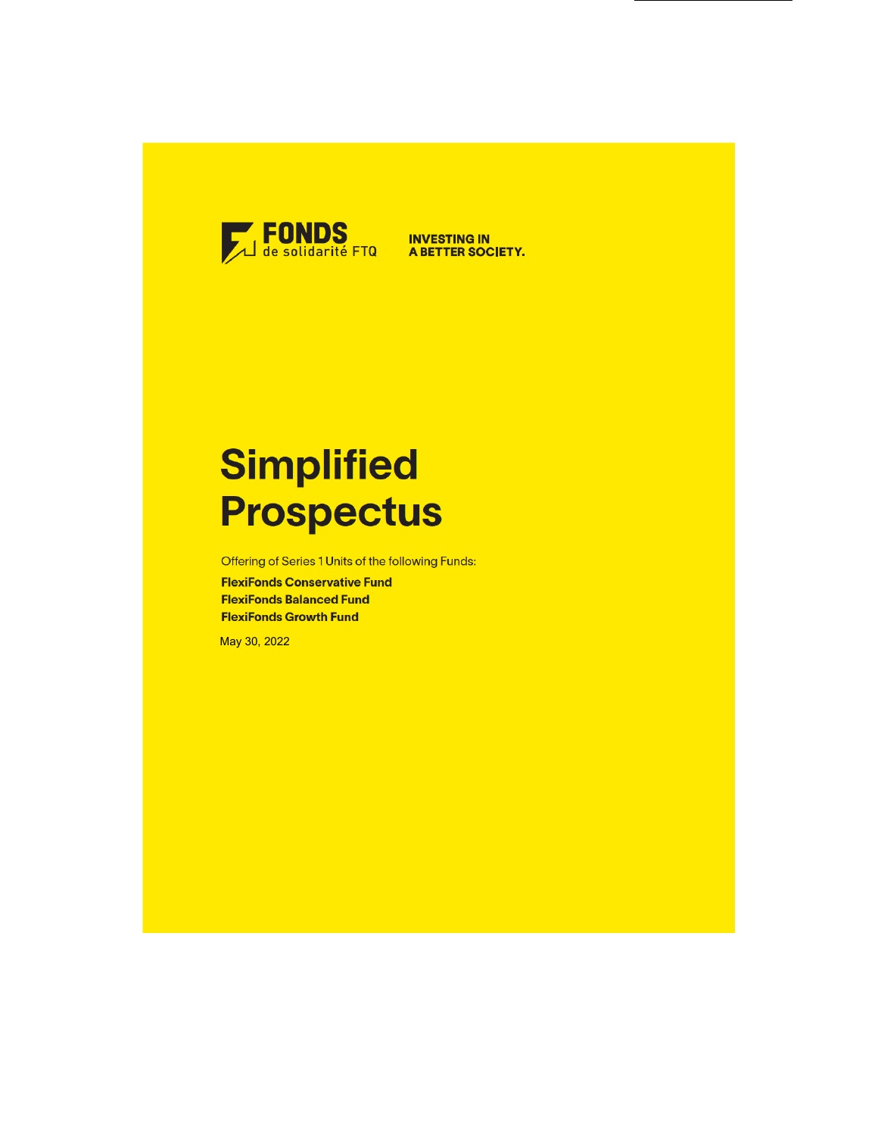

# **Simplified Prospectus**

Offering of Series 1 Units of the following Funds:

**FlexiFonds Conservative Fund FlexiFonds Balanced Fund FlexiFonds Growth Fund** 

May 30, 2022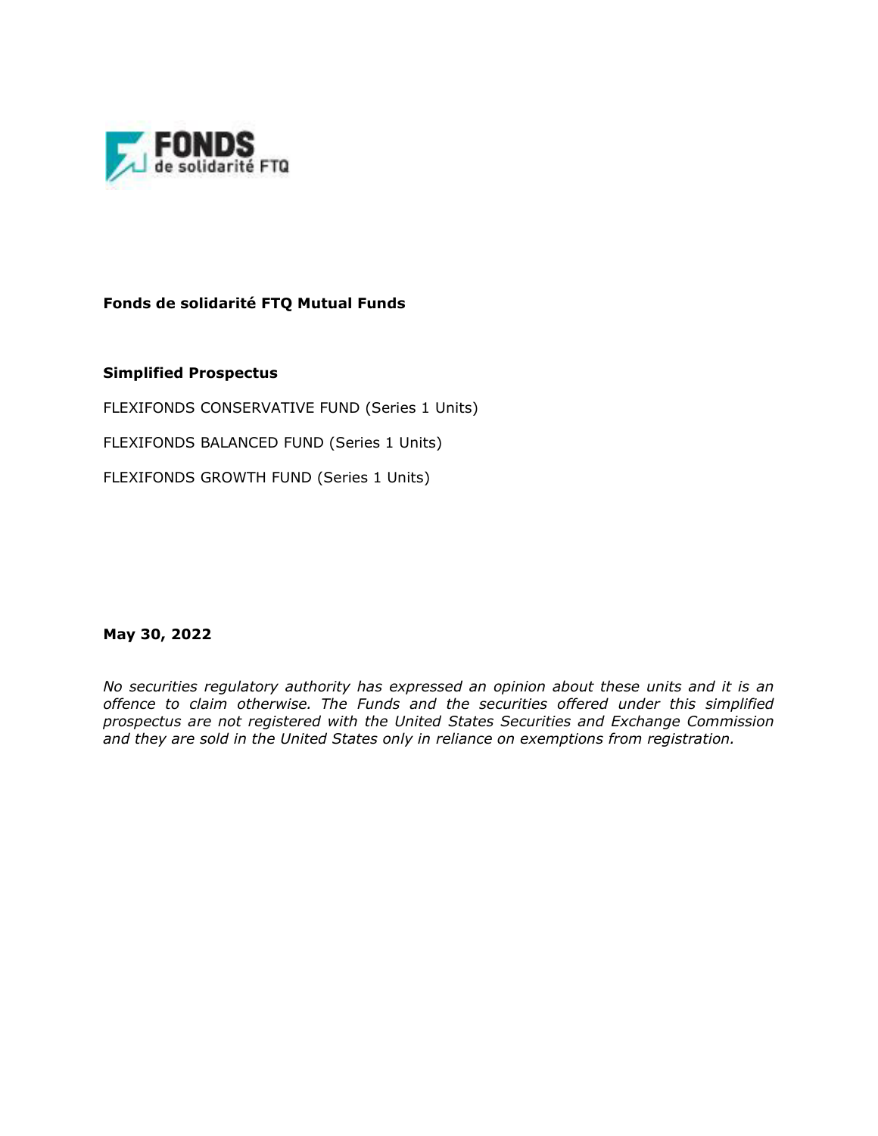

**Fonds de solidarité FTQ Mutual Funds**

**Simplified Prospectus** 

FLEXIFONDS CONSERVATIVE FUND (Series 1 Units)

FLEXIFONDS BALANCED FUND (Series 1 Units)

FLEXIFONDS GROWTH FUND (Series 1 Units)

**May 30, 2022**

*No securities regulatory authority has expressed an opinion about these units and it is an offence to claim otherwise. The Funds and the securities offered under this simplified prospectus are not registered with the United States Securities and Exchange Commission and they are sold in the United States only in reliance on exemptions from registration.*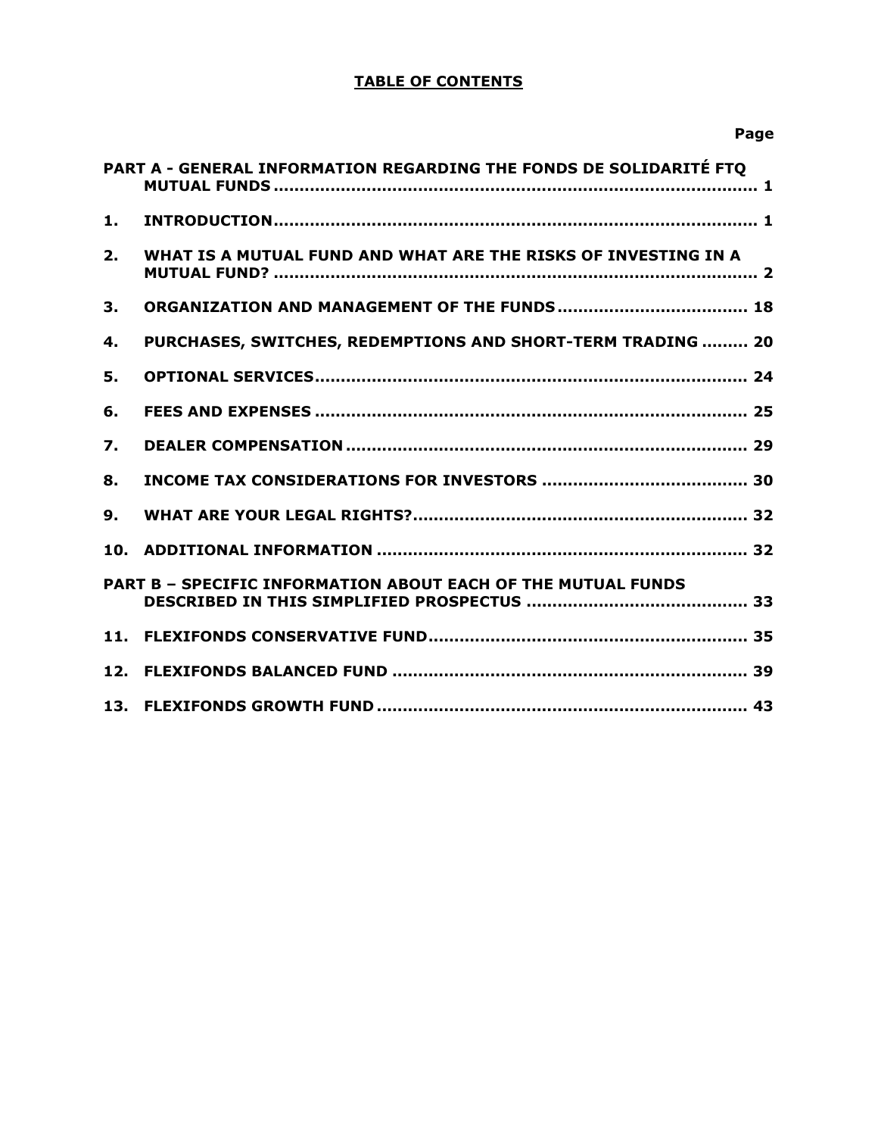# **TABLE OF CONTENTS**

**Page**

|    | PART A - GENERAL INFORMATION REGARDING THE FONDS DE SOLIDARITÉ FTO  |  |
|----|---------------------------------------------------------------------|--|
| 1. |                                                                     |  |
| 2. | WHAT IS A MUTUAL FUND AND WHAT ARE THE RISKS OF INVESTING IN A      |  |
| 3. |                                                                     |  |
| 4. | PURCHASES, SWITCHES, REDEMPTIONS AND SHORT-TERM TRADING  20         |  |
| 5. |                                                                     |  |
| 6. |                                                                     |  |
| 7. |                                                                     |  |
| 8. |                                                                     |  |
| 9. |                                                                     |  |
|    |                                                                     |  |
|    | <b>PART B - SPECIFIC INFORMATION ABOUT EACH OF THE MUTUAL FUNDS</b> |  |
|    |                                                                     |  |
|    |                                                                     |  |
|    |                                                                     |  |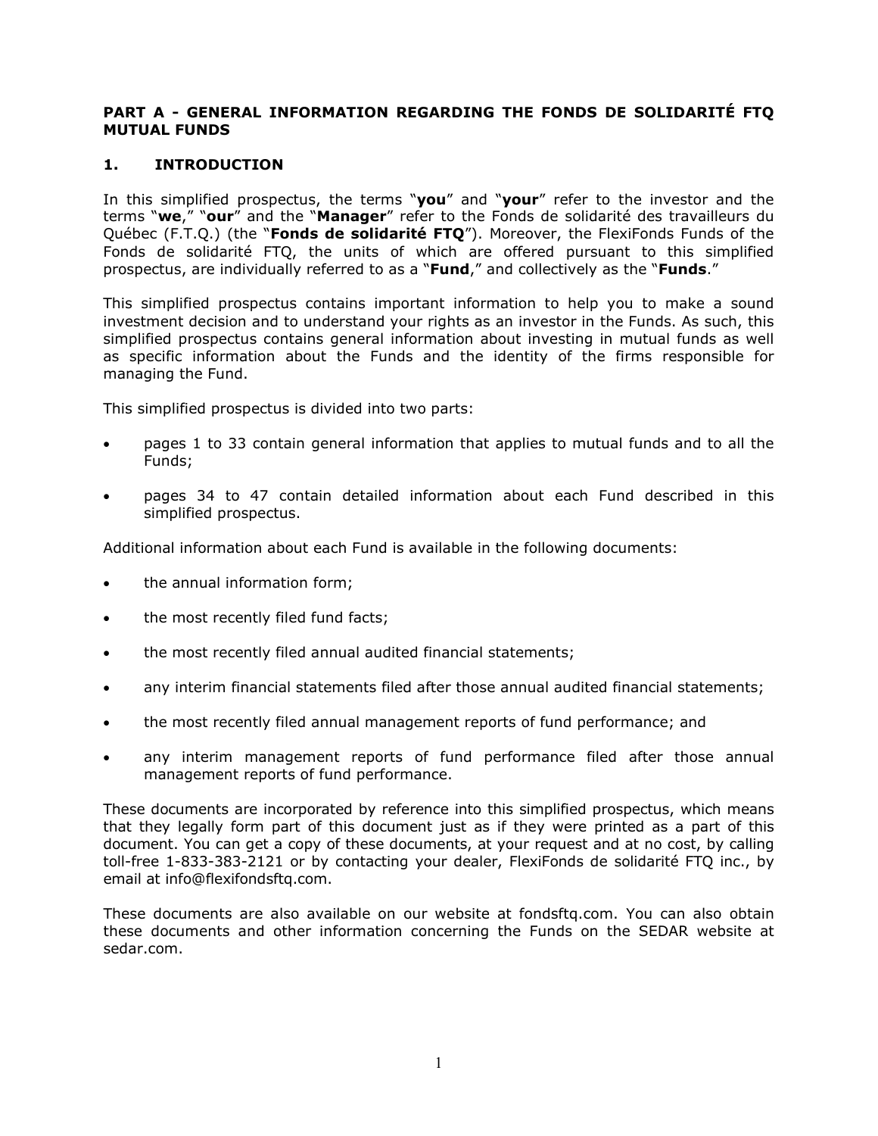## <span id="page-3-0"></span>**PART A - GENERAL INFORMATION REGARDING THE FONDS DE SOLIDARITÉ FTQ MUTUAL FUNDS**

## <span id="page-3-1"></span>**1. INTRODUCTION**

In this simplified prospectus, the terms "**you**" and "**your**" refer to the investor and the terms "**we**," "**our**" and the "**Manager**" refer to the Fonds de solidarité des travailleurs du Québec (F.T.Q.) (the "**Fonds de solidarité FTQ**"). Moreover, the FlexiFonds Funds of the Fonds de solidarité FTQ, the units of which are offered pursuant to this simplified prospectus, are individually referred to as a "**Fund**," and collectively as the "**Funds**."

This simplified prospectus contains important information to help you to make a sound investment decision and to understand your rights as an investor in the Funds. As such, this simplified prospectus contains general information about investing in mutual funds as well as specific information about the Funds and the identity of the firms responsible for managing the Fund.

This simplified prospectus is divided into two parts:

- pages 1 to 33 contain general information that applies to mutual funds and to all the Funds;
- pages 34 to 47 contain detailed information about each Fund described in this simplified prospectus.

Additional information about each Fund is available in the following documents:

- the annual information form;
- the most recently filed fund facts;
- the most recently filed annual audited financial statements;
- any interim financial statements filed after those annual audited financial statements;
- the most recently filed annual management reports of fund performance; and
- any interim management reports of fund performance filed after those annual management reports of fund performance.

These documents are incorporated by reference into this simplified prospectus, which means that they legally form part of this document just as if they were printed as a part of this document. You can get a copy of these documents, at your request and at no cost, by calling toll-free 1-833-383-2121 or by contacting your dealer, FlexiFonds de solidarité FTQ inc., by email at info@flexifondsftq.com.

These documents are also available on our website at fondsftq.com. You can also obtain these documents and other information concerning the Funds on the SEDAR website at sedar.com.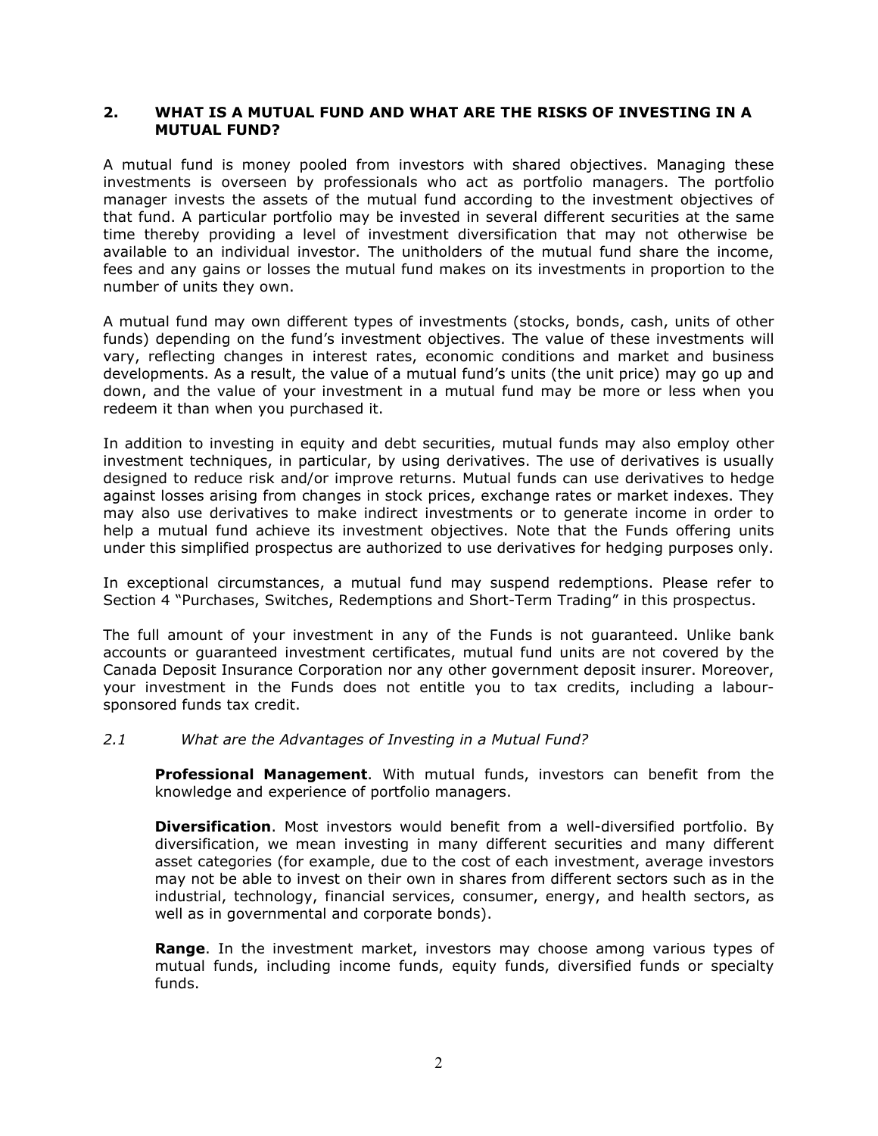#### <span id="page-4-0"></span>**2. WHAT IS A MUTUAL FUND AND WHAT ARE THE RISKS OF INVESTING IN A MUTUAL FUND?**

A mutual fund is money pooled from investors with shared objectives. Managing these investments is overseen by professionals who act as portfolio managers. The portfolio manager invests the assets of the mutual fund according to the investment objectives of that fund. A particular portfolio may be invested in several different securities at the same time thereby providing a level of investment diversification that may not otherwise be available to an individual investor. The unitholders of the mutual fund share the income, fees and any gains or losses the mutual fund makes on its investments in proportion to the number of units they own.

A mutual fund may own different types of investments (stocks, bonds, cash, units of other funds) depending on the fund's investment objectives. The value of these investments will vary, reflecting changes in interest rates, economic conditions and market and business developments. As a result, the value of a mutual fund's units (the unit price) may go up and down, and the value of your investment in a mutual fund may be more or less when you redeem it than when you purchased it.

In addition to investing in equity and debt securities, mutual funds may also employ other investment techniques, in particular, by using derivatives. The use of derivatives is usually designed to reduce risk and/or improve returns. Mutual funds can use derivatives to hedge against losses arising from changes in stock prices, exchange rates or market indexes. They may also use derivatives to make indirect investments or to generate income in order to help a mutual fund achieve its investment objectives. Note that the Funds offering units under this simplified prospectus are authorized to use derivatives for hedging purposes only.

In exceptional circumstances, a mutual fund may suspend redemptions. Please refer to Section 4 "Purchases, Switches, Redemptions and Short-Term Trading" in this prospectus.

The full amount of your investment in any of the Funds is not guaranteed. Unlike bank accounts or guaranteed investment certificates, mutual fund units are not covered by the Canada Deposit Insurance Corporation nor any other government deposit insurer. Moreover, your investment in the Funds does not entitle you to tax credits, including a laboursponsored funds tax credit.

#### *2.1 What are the Advantages of Investing in a Mutual Fund?*

**Professional Management**. With mutual funds, investors can benefit from the knowledge and experience of portfolio managers.

**Diversification**. Most investors would benefit from a well-diversified portfolio. By diversification, we mean investing in many different securities and many different asset categories (for example, due to the cost of each investment, average investors may not be able to invest on their own in shares from different sectors such as in the industrial, technology, financial services, consumer, energy, and health sectors, as well as in governmental and corporate bonds).

**Range**. In the investment market, investors may choose among various types of mutual funds, including income funds, equity funds, diversified funds or specialty funds.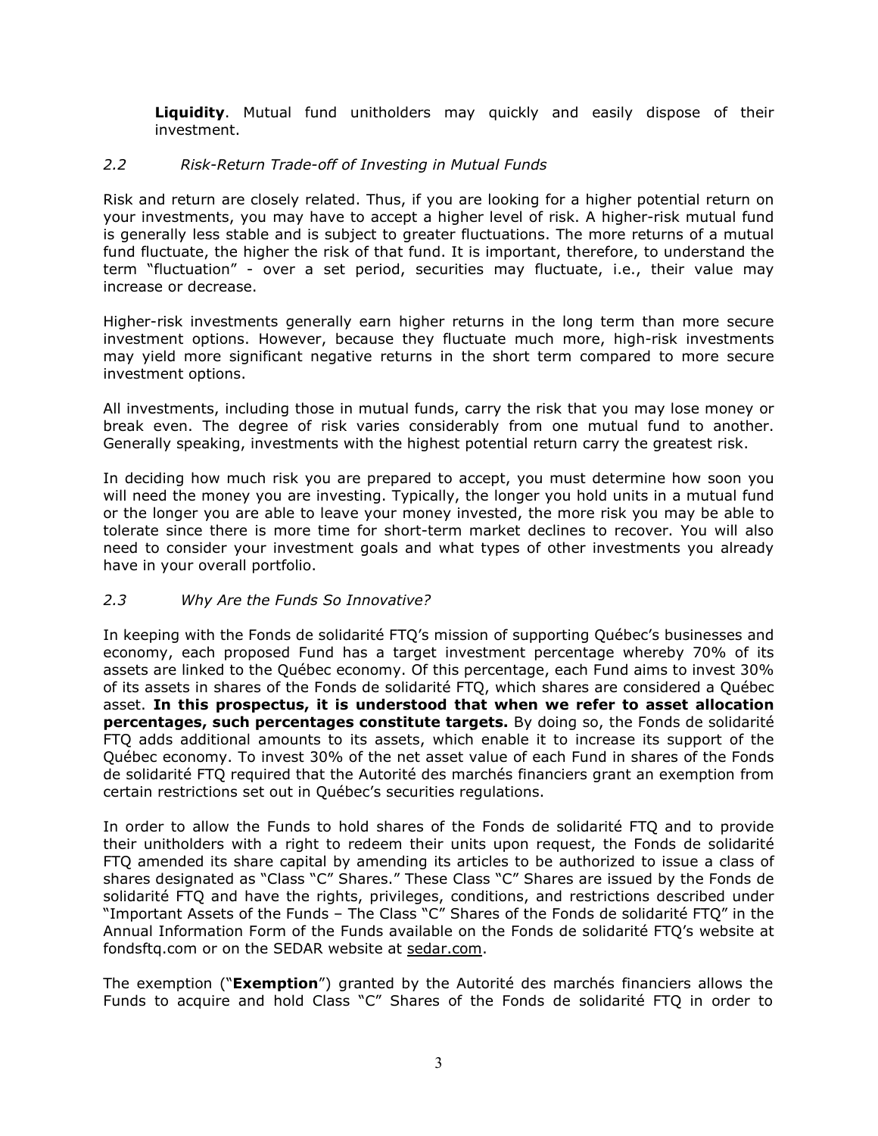**Liquidity**. Mutual fund unitholders may quickly and easily dispose of their investment.

## *2.2 Risk-Return Trade-off of Investing in Mutual Funds*

Risk and return are closely related. Thus, if you are looking for a higher potential return on your investments, you may have to accept a higher level of risk. A higher-risk mutual fund is generally less stable and is subject to greater fluctuations. The more returns of a mutual fund fluctuate, the higher the risk of that fund. It is important, therefore, to understand the term "fluctuation" - over a set period, securities may fluctuate, i.e., their value may increase or decrease.

Higher-risk investments generally earn higher returns in the long term than more secure investment options. However, because they fluctuate much more, high-risk investments may yield more significant negative returns in the short term compared to more secure investment options.

All investments, including those in mutual funds, carry the risk that you may lose money or break even. The degree of risk varies considerably from one mutual fund to another. Generally speaking, investments with the highest potential return carry the greatest risk.

In deciding how much risk you are prepared to accept, you must determine how soon you will need the money you are investing. Typically, the longer you hold units in a mutual fund or the longer you are able to leave your money invested, the more risk you may be able to tolerate since there is more time for short-term market declines to recover. You will also need to consider your investment goals and what types of other investments you already have in your overall portfolio.

# *2.3 Why Are the Funds So Innovative?*

In keeping with the Fonds de solidarité FTQ's mission of supporting Québec's businesses and economy, each proposed Fund has a target investment percentage whereby 70% of its assets are linked to the Québec economy. Of this percentage, each Fund aims to invest 30% of its assets in shares of the Fonds de solidarité FTQ, which shares are considered a Québec asset. **In this prospectus, it is understood that when we refer to asset allocation percentages, such percentages constitute targets.** By doing so, the Fonds de solidarité FTQ adds additional amounts to its assets, which enable it to increase its support of the Québec economy. To invest 30% of the net asset value of each Fund in shares of the Fonds de solidarité FTQ required that the Autorité des marchés financiers grant an exemption from certain restrictions set out in Québec's securities regulations.

In order to allow the Funds to hold shares of the Fonds de solidarité FTQ and to provide their unitholders with a right to redeem their units upon request, the Fonds de solidarité FTQ amended its share capital by amending its articles to be authorized to issue a class of shares designated as "Class "C" Shares." These Class "C" Shares are issued by the Fonds de solidarité FTQ and have the rights, privileges, conditions, and restrictions described under "Important Assets of the Funds – The Class "C" Shares of the Fonds de solidarité FTQ" in the Annual Information Form of the Funds available on the Fonds de solidarité FTQ's website at fondsftq.com or on the SEDAR website at sedar.com.

The exemption ("**Exemption**") granted by the Autorité des marchés financiers allows the Funds to acquire and hold Class "C" Shares of the Fonds de solidarité FTQ in order to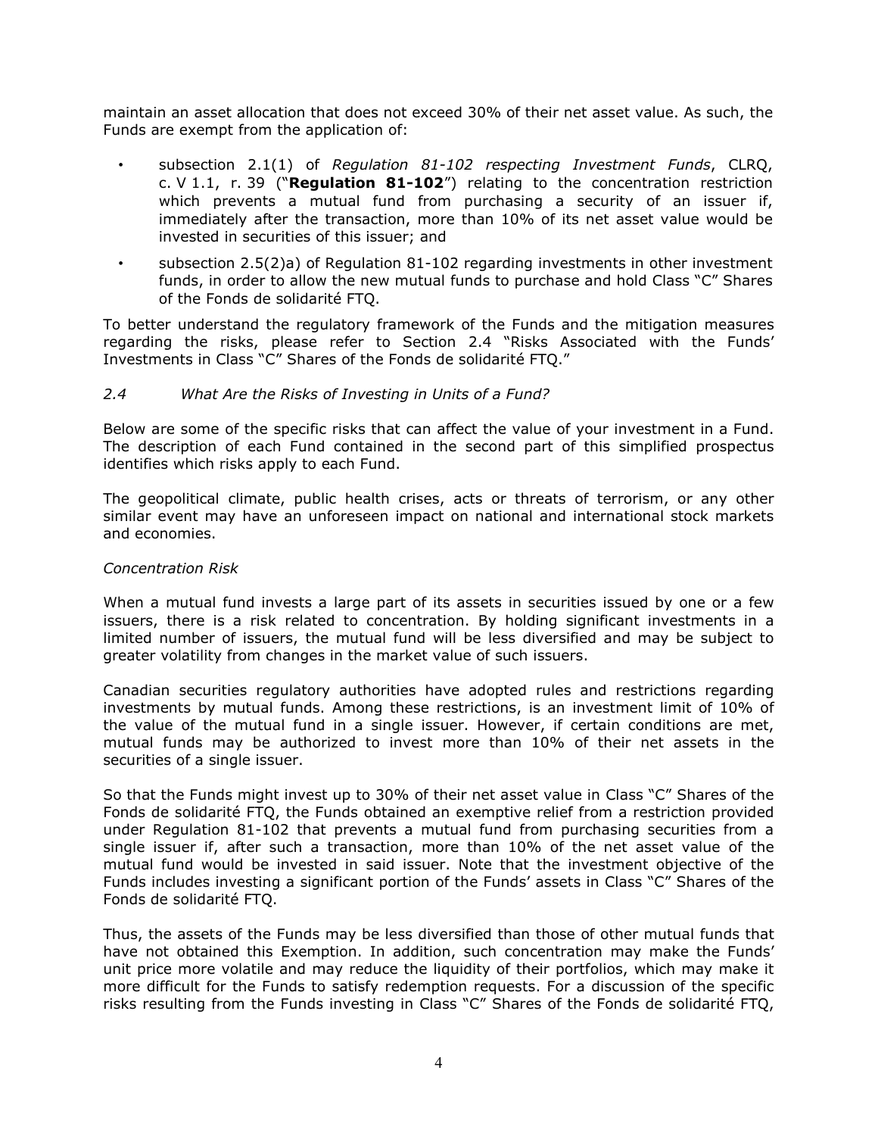maintain an asset allocation that does not exceed 30% of their net asset value. As such, the Funds are exempt from the application of:

- subsection 2.1(1) of *Regulation 81-102 respecting Investment Funds*, CLRQ, c. V 1.1, r. 39 ("**Regulation 81-102**") relating to the concentration restriction which prevents a mutual fund from purchasing a security of an issuer if, immediately after the transaction, more than 10% of its net asset value would be invested in securities of this issuer; and
- subsection  $2.5(2)a$ ) of Regulation  $81-102$  regarding investments in other investment funds, in order to allow the new mutual funds to purchase and hold Class "C" Shares of the Fonds de solidarité FTQ.

To better understand the regulatory framework of the Funds and the mitigation measures regarding the risks, please refer to Section 2.4 "Risks Associated with the Funds' Investments in Class "C" Shares of the Fonds de solidarité FTQ."

#### <span id="page-6-0"></span>*2.4 What Are the Risks of Investing in Units of a Fund?*

Below are some of the specific risks that can affect the value of your investment in a Fund. The description of each Fund contained in the second part of this simplified prospectus identifies which risks apply to each Fund.

The geopolitical climate, public health crises, acts or threats of terrorism, or any other similar event may have an unforeseen impact on national and international stock markets and economies.

#### *Concentration Risk*

When a mutual fund invests a large part of its assets in securities issued by one or a few issuers, there is a risk related to concentration. By holding significant investments in a limited number of issuers, the mutual fund will be less diversified and may be subject to greater volatility from changes in the market value of such issuers.

Canadian securities regulatory authorities have adopted rules and restrictions regarding investments by mutual funds. Among these restrictions, is an investment limit of 10% of the value of the mutual fund in a single issuer. However, if certain conditions are met, mutual funds may be authorized to invest more than 10% of their net assets in the securities of a single issuer.

So that the Funds might invest up to 30% of their net asset value in Class "C" Shares of the Fonds de solidarité FTQ, the Funds obtained an exemptive relief from a restriction provided under Regulation 81-102 that prevents a mutual fund from purchasing securities from a single issuer if, after such a transaction, more than 10% of the net asset value of the mutual fund would be invested in said issuer. Note that the investment objective of the Funds includes investing a significant portion of the Funds' assets in Class "C" Shares of the Fonds de solidarité FTQ.

Thus, the assets of the Funds may be less diversified than those of other mutual funds that have not obtained this Exemption. In addition, such concentration may make the Funds' unit price more volatile and may reduce the liquidity of their portfolios, which may make it more difficult for the Funds to satisfy redemption requests. For a discussion of the specific risks resulting from the Funds investing in Class "C" Shares of the Fonds de solidarité FTQ,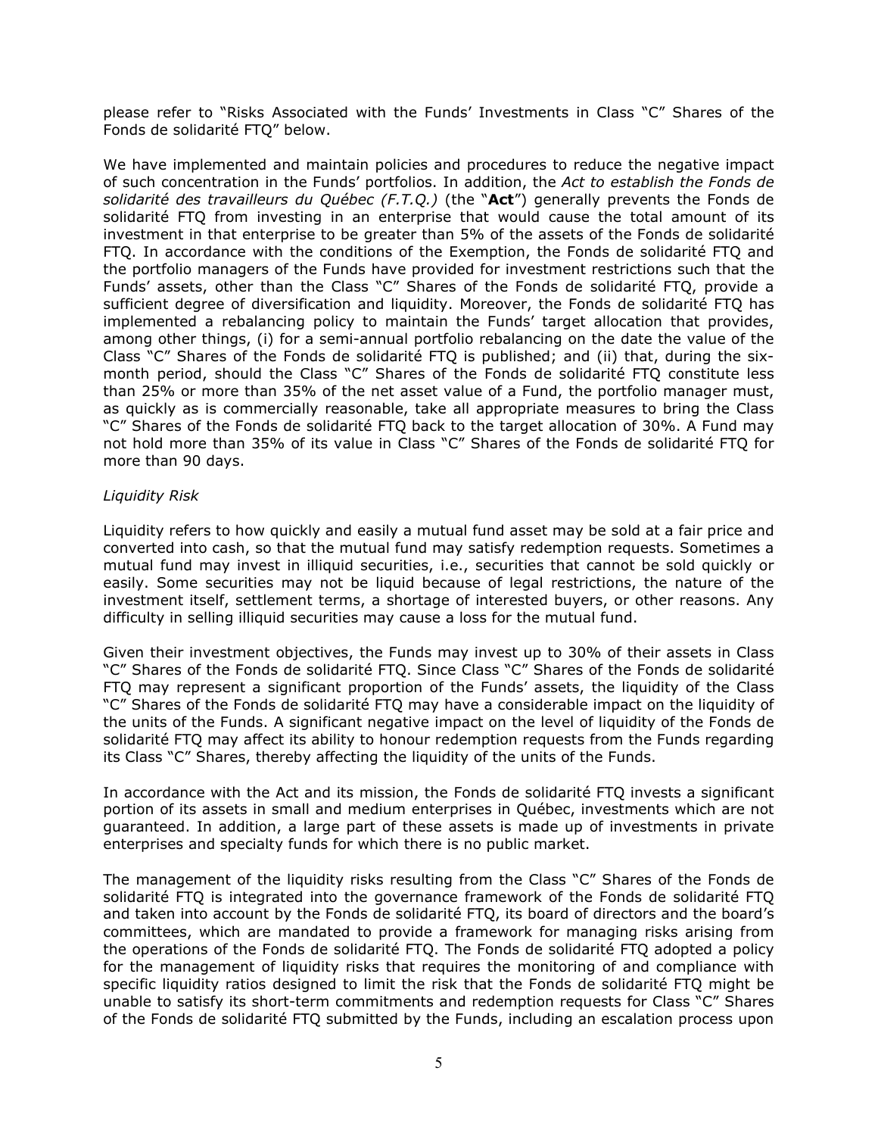please refer to "Risks Associated with the Funds' Investments in Class "C" Shares of the Fonds de solidarité FTQ" below.

We have implemented and maintain policies and procedures to reduce the negative impact of such concentration in the Funds' portfolios. In addition, the *Act to establish the Fonds de solidarité des travailleurs du Québec (F.T.Q.)* (the "**Act**") generally prevents the Fonds de solidarité FTQ from investing in an enterprise that would cause the total amount of its investment in that enterprise to be greater than 5% of the assets of the Fonds de solidarité FTQ. In accordance with the conditions of the Exemption, the Fonds de solidarité FTQ and the portfolio managers of the Funds have provided for investment restrictions such that the Funds' assets, other than the Class "C" Shares of the Fonds de solidarité FTQ, provide a sufficient degree of diversification and liquidity. Moreover, the Fonds de solidarité FTQ has implemented a rebalancing policy to maintain the Funds' target allocation that provides, among other things, (i) for a semi-annual portfolio rebalancing on the date the value of the Class "C" Shares of the Fonds de solidarité FTQ is published; and (ii) that, during the sixmonth period, should the Class "C" Shares of the Fonds de solidarité FTQ constitute less than 25% or more than 35% of the net asset value of a Fund, the portfolio manager must, as quickly as is commercially reasonable, take all appropriate measures to bring the Class "C" Shares of the Fonds de solidarité FTQ back to the target allocation of 30%. A Fund may not hold more than 35% of its value in Class "C" Shares of the Fonds de solidarité FTQ for more than 90 days.

## *Liquidity Risk*

Liquidity refers to how quickly and easily a mutual fund asset may be sold at a fair price and converted into cash, so that the mutual fund may satisfy redemption requests. Sometimes a mutual fund may invest in illiquid securities, i.e., securities that cannot be sold quickly or easily. Some securities may not be liquid because of legal restrictions, the nature of the investment itself, settlement terms, a shortage of interested buyers, or other reasons. Any difficulty in selling illiquid securities may cause a loss for the mutual fund.

Given their investment objectives, the Funds may invest up to 30% of their assets in Class "C" Shares of the Fonds de solidarité FTQ. Since Class "C" Shares of the Fonds de solidarité FTQ may represent a significant proportion of the Funds' assets, the liquidity of the Class "C" Shares of the Fonds de solidarité FTQ may have a considerable impact on the liquidity of the units of the Funds. A significant negative impact on the level of liquidity of the Fonds de solidarité FTQ may affect its ability to honour redemption requests from the Funds regarding its Class "C" Shares, thereby affecting the liquidity of the units of the Funds.

In accordance with the Act and its mission, the Fonds de solidarité FTQ invests a significant portion of its assets in small and medium enterprises in Québec, investments which are not guaranteed. In addition, a large part of these assets is made up of investments in private enterprises and specialty funds for which there is no public market.

The management of the liquidity risks resulting from the Class "C" Shares of the Fonds de solidarité FTQ is integrated into the governance framework of the Fonds de solidarité FTQ and taken into account by the Fonds de solidarité FTQ, its board of directors and the board's committees, which are mandated to provide a framework for managing risks arising from the operations of the Fonds de solidarité FTQ. The Fonds de solidarité FTQ adopted a policy for the management of liquidity risks that requires the monitoring of and compliance with specific liquidity ratios designed to limit the risk that the Fonds de solidarité FTQ might be unable to satisfy its short-term commitments and redemption requests for Class "C" Shares of the Fonds de solidarité FTQ submitted by the Funds, including an escalation process upon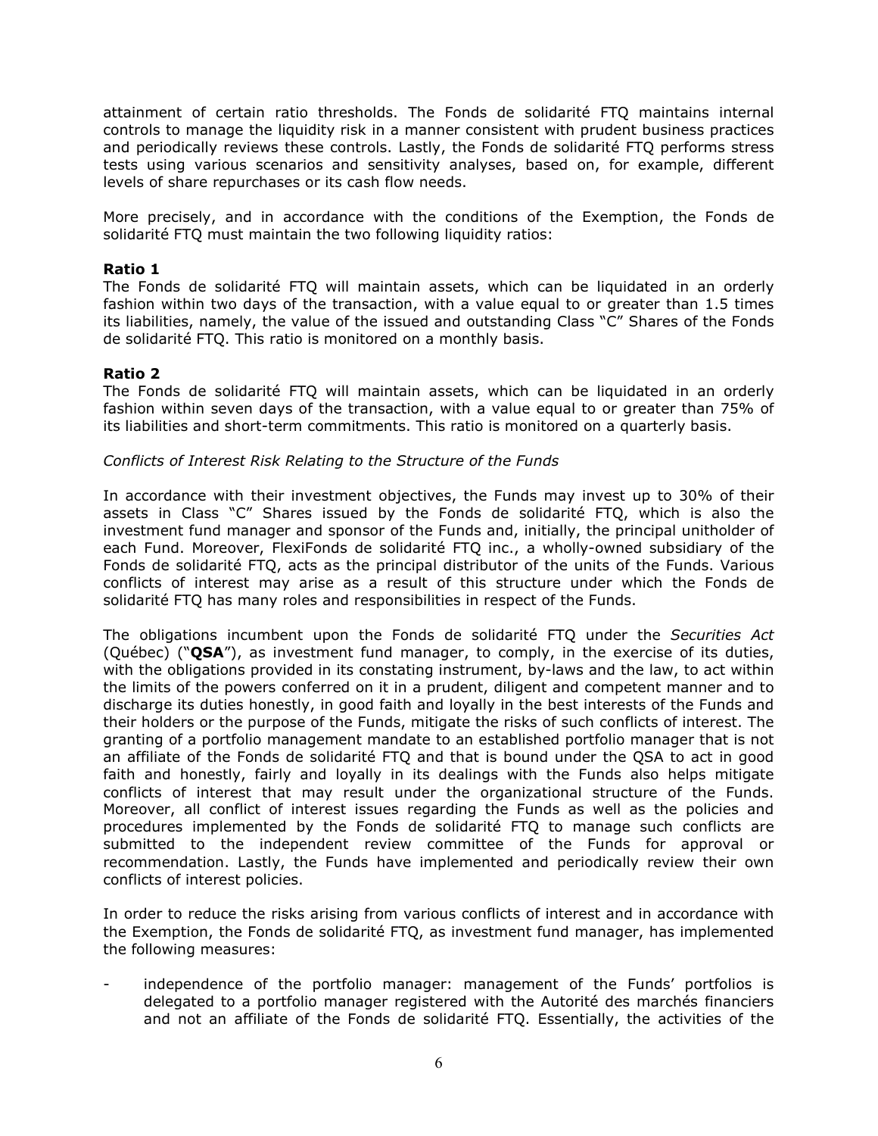attainment of certain ratio thresholds. The Fonds de solidarité FTQ maintains internal controls to manage the liquidity risk in a manner consistent with prudent business practices and periodically reviews these controls. Lastly, the Fonds de solidarité FTQ performs stress tests using various scenarios and sensitivity analyses, based on, for example, different levels of share repurchases or its cash flow needs.

More precisely, and in accordance with the conditions of the Exemption, the Fonds de solidarité FTQ must maintain the two following liquidity ratios:

## **Ratio 1**

The Fonds de solidarité FTQ will maintain assets, which can be liquidated in an orderly fashion within two days of the transaction, with a value equal to or greater than 1.5 times its liabilities, namely, the value of the issued and outstanding Class "C" Shares of the Fonds de solidarité FTQ. This ratio is monitored on a monthly basis.

## **Ratio 2**

The Fonds de solidarité FTQ will maintain assets, which can be liquidated in an orderly fashion within seven days of the transaction, with a value equal to or greater than 75% of its liabilities and short-term commitments. This ratio is monitored on a quarterly basis.

#### *Conflicts of Interest Risk Relating to the Structure of the Funds*

In accordance with their investment objectives, the Funds may invest up to 30% of their assets in Class "C" Shares issued by the Fonds de solidarité FTQ, which is also the investment fund manager and sponsor of the Funds and, initially, the principal unitholder of each Fund. Moreover, FlexiFonds de solidarité FTQ inc., a wholly-owned subsidiary of the Fonds de solidarité FTQ, acts as the principal distributor of the units of the Funds. Various conflicts of interest may arise as a result of this structure under which the Fonds de solidarité FTQ has many roles and responsibilities in respect of the Funds.

The obligations incumbent upon the Fonds de solidarité FTQ under the *Securities Act* (Québec) ("**QSA**"), as investment fund manager, to comply, in the exercise of its duties, with the obligations provided in its constating instrument, by-laws and the law, to act within the limits of the powers conferred on it in a prudent, diligent and competent manner and to discharge its duties honestly, in good faith and loyally in the best interests of the Funds and their holders or the purpose of the Funds, mitigate the risks of such conflicts of interest. The granting of a portfolio management mandate to an established portfolio manager that is not an affiliate of the Fonds de solidarité FTQ and that is bound under the QSA to act in good faith and honestly, fairly and loyally in its dealings with the Funds also helps mitigate conflicts of interest that may result under the organizational structure of the Funds. Moreover, all conflict of interest issues regarding the Funds as well as the policies and procedures implemented by the Fonds de solidarité FTQ to manage such conflicts are submitted to the independent review committee of the Funds for approval or recommendation. Lastly, the Funds have implemented and periodically review their own conflicts of interest policies.

In order to reduce the risks arising from various conflicts of interest and in accordance with the Exemption, the Fonds de solidarité FTQ, as investment fund manager, has implemented the following measures:

independence of the portfolio manager: management of the Funds' portfolios is delegated to a portfolio manager registered with the Autorité des marchés financiers and not an affiliate of the Fonds de solidarité FTQ. Essentially, the activities of the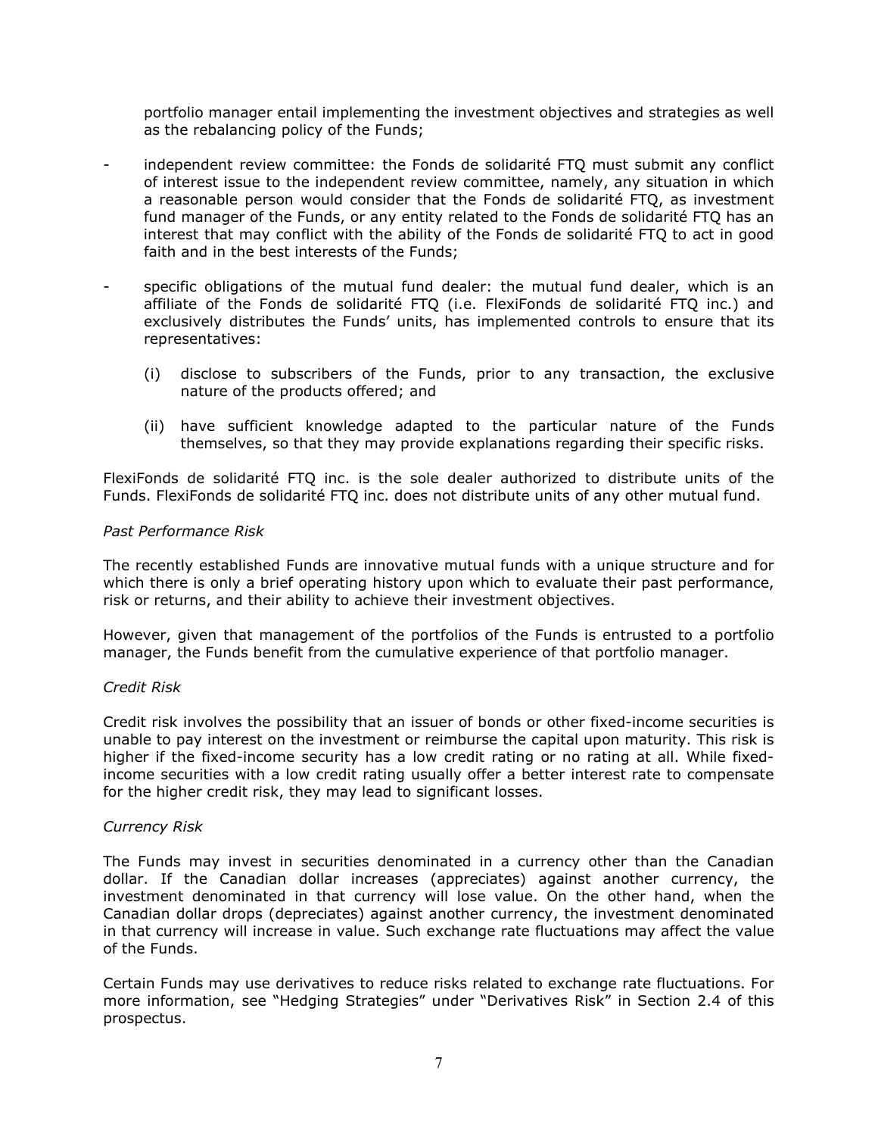portfolio manager entail implementing the investment objectives and strategies as well as the rebalancing policy of the Funds;

- independent review committee: the Fonds de solidarité FTQ must submit any conflict of interest issue to the independent review committee, namely, any situation in which a reasonable person would consider that the Fonds de solidarité FTQ, as investment fund manager of the Funds, or any entity related to the Fonds de solidarité FTQ has an interest that may conflict with the ability of the Fonds de solidarité FTQ to act in good faith and in the best interests of the Funds;
- specific obligations of the mutual fund dealer: the mutual fund dealer, which is an affiliate of the Fonds de solidarité FTQ (i.e. FlexiFonds de solidarité FTQ inc.) and exclusively distributes the Funds' units, has implemented controls to ensure that its representatives:
	- (i) disclose to subscribers of the Funds, prior to any transaction, the exclusive nature of the products offered; and
	- (ii) have sufficient knowledge adapted to the particular nature of the Funds themselves, so that they may provide explanations regarding their specific risks.

FlexiFonds de solidarité FTQ inc. is the sole dealer authorized to distribute units of the Funds. FlexiFonds de solidarité FTQ inc. does not distribute units of any other mutual fund.

#### *Past Performance Risk*

The recently established Funds are innovative mutual funds with a unique structure and for which there is only a brief operating history upon which to evaluate their past performance, risk or returns, and their ability to achieve their investment objectives.

However, given that management of the portfolios of the Funds is entrusted to a portfolio manager, the Funds benefit from the cumulative experience of that portfolio manager.

#### *Credit Risk*

Credit risk involves the possibility that an issuer of bonds or other fixed-income securities is unable to pay interest on the investment or reimburse the capital upon maturity. This risk is higher if the fixed-income security has a low credit rating or no rating at all. While fixedincome securities with a low credit rating usually offer a better interest rate to compensate for the higher credit risk, they may lead to significant losses.

#### *Currency Risk*

The Funds may invest in securities denominated in a currency other than the Canadian dollar. If the Canadian dollar increases (appreciates) against another currency, the investment denominated in that currency will lose value. On the other hand, when the Canadian dollar drops (depreciates) against another currency, the investment denominated in that currency will increase in value. Such exchange rate fluctuations may affect the value of the Funds.

Certain Funds may use derivatives to reduce risks related to exchange rate fluctuations. For more information, see "Hedging Strategies" under "Derivatives Risk" in Section 2.4 of this prospectus.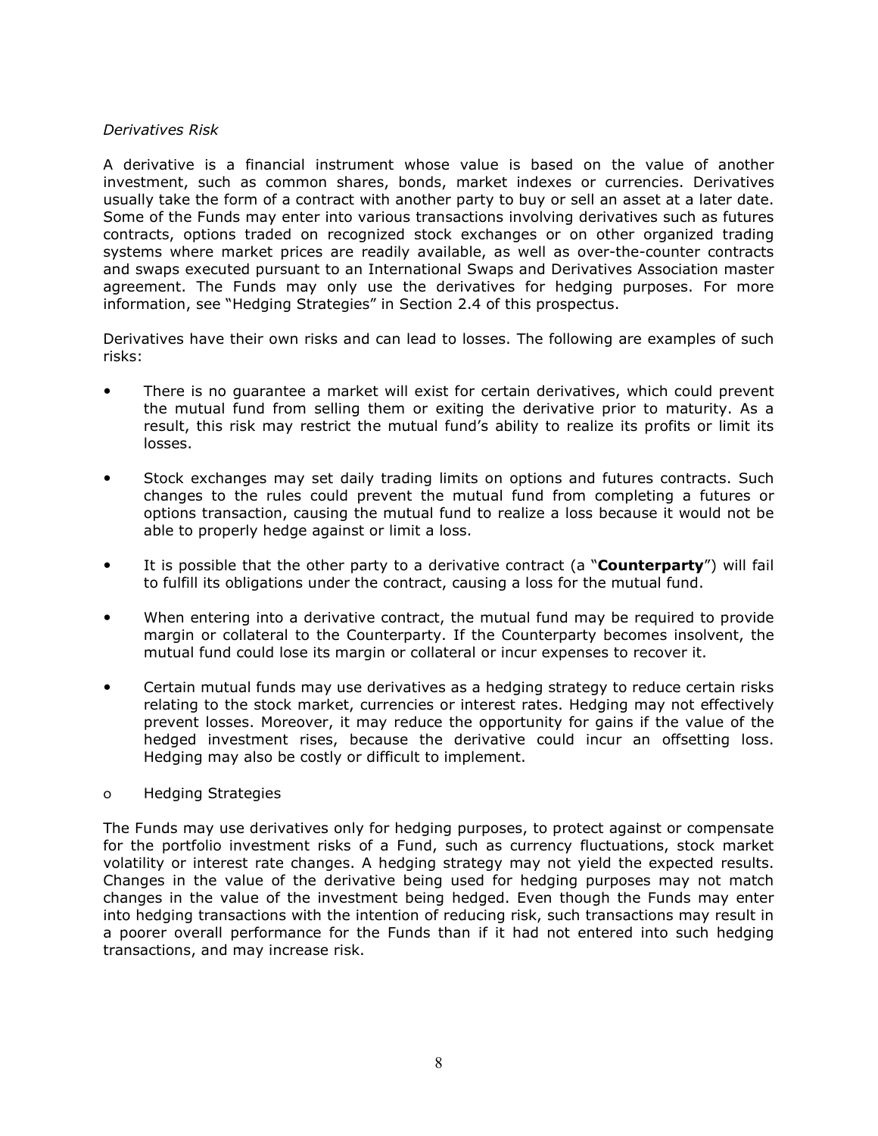#### *Derivatives Risk*

A derivative is a financial instrument whose value is based on the value of another investment, such as common shares, bonds, market indexes or currencies. Derivatives usually take the form of a contract with another party to buy or sell an asset at a later date. Some of the Funds may enter into various transactions involving derivatives such as futures contracts, options traded on recognized stock exchanges or on other organized trading systems where market prices are readily available, as well as over-the-counter contracts and swaps executed pursuant to an International Swaps and Derivatives Association master agreement. The Funds may only use the derivatives for hedging purposes. For more information, see "Hedging Strategies" in Section 2.4 of this prospectus.

Derivatives have their own risks and can lead to losses. The following are examples of such risks:

- There is no guarantee a market will exist for certain derivatives, which could prevent the mutual fund from selling them or exiting the derivative prior to maturity. As a result, this risk may restrict the mutual fund's ability to realize its profits or limit its losses.
- Stock exchanges may set daily trading limits on options and futures contracts. Such changes to the rules could prevent the mutual fund from completing a futures or options transaction, causing the mutual fund to realize a loss because it would not be able to properly hedge against or limit a loss.
- It is possible that the other party to a derivative contract (a "**Counterparty**") will fail to fulfill its obligations under the contract, causing a loss for the mutual fund.
- When entering into a derivative contract, the mutual fund may be required to provide margin or collateral to the Counterparty. If the Counterparty becomes insolvent, the mutual fund could lose its margin or collateral or incur expenses to recover it.
- Certain mutual funds may use derivatives as a hedging strategy to reduce certain risks relating to the stock market, currencies or interest rates. Hedging may not effectively prevent losses. Moreover, it may reduce the opportunity for gains if the value of the hedged investment rises, because the derivative could incur an offsetting loss. Hedging may also be costly or difficult to implement.

#### o Hedging Strategies

The Funds may use derivatives only for hedging purposes, to protect against or compensate for the portfolio investment risks of a Fund, such as currency fluctuations, stock market volatility or interest rate changes. A hedging strategy may not yield the expected results. Changes in the value of the derivative being used for hedging purposes may not match changes in the value of the investment being hedged. Even though the Funds may enter into hedging transactions with the intention of reducing risk, such transactions may result in a poorer overall performance for the Funds than if it had not entered into such hedging transactions, and may increase risk.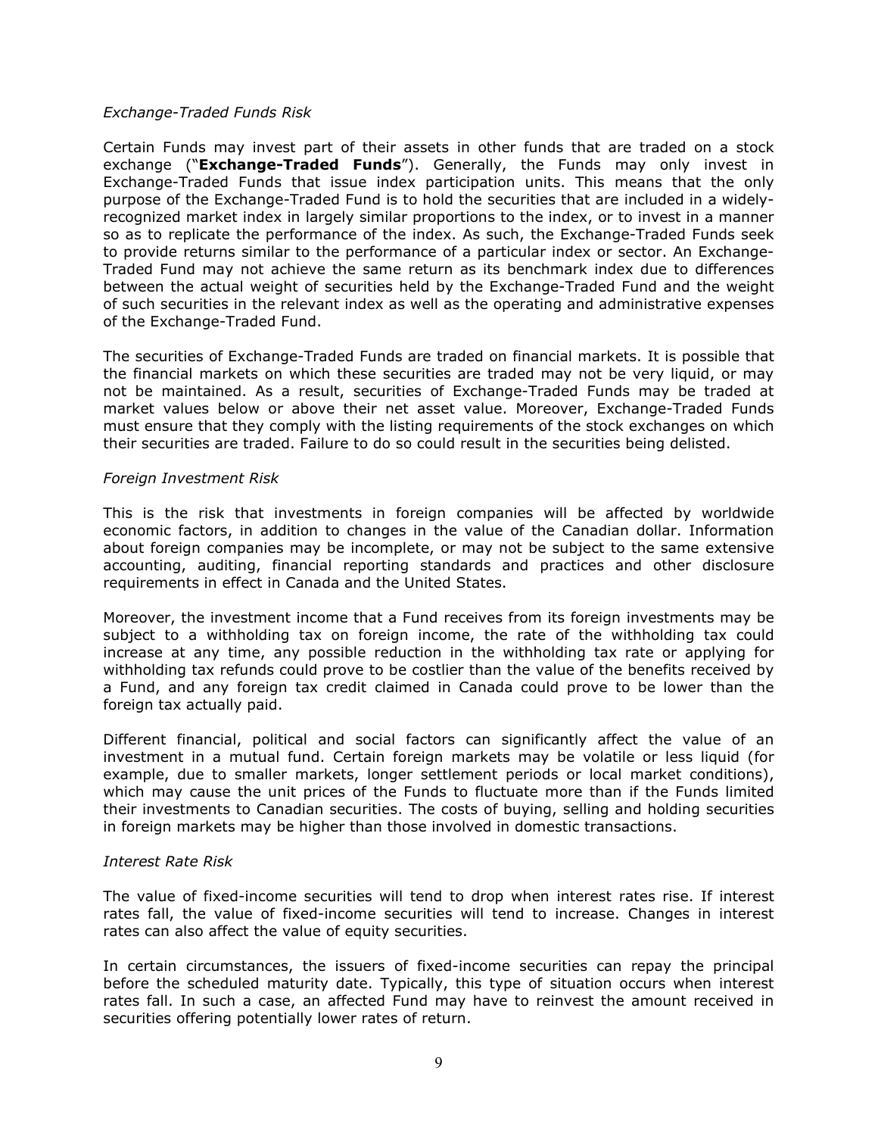#### *Exchange-Traded Funds Risk*

Certain Funds may invest part of their assets in other funds that are traded on a stock exchange ("**Exchange-Traded Funds**"). Generally, the Funds may only invest in Exchange-Traded Funds that issue index participation units. This means that the only purpose of the Exchange-Traded Fund is to hold the securities that are included in a widelyrecognized market index in largely similar proportions to the index, or to invest in a manner so as to replicate the performance of the index. As such, the Exchange-Traded Funds seek to provide returns similar to the performance of a particular index or sector. An Exchange-Traded Fund may not achieve the same return as its benchmark index due to differences between the actual weight of securities held by the Exchange-Traded Fund and the weight of such securities in the relevant index as well as the operating and administrative expenses of the Exchange-Traded Fund.

The securities of Exchange-Traded Funds are traded on financial markets. It is possible that the financial markets on which these securities are traded may not be very liquid, or may not be maintained. As a result, securities of Exchange-Traded Funds may be traded at market values below or above their net asset value. Moreover, Exchange-Traded Funds must ensure that they comply with the listing requirements of the stock exchanges on which their securities are traded. Failure to do so could result in the securities being delisted.

#### *Foreign Investment Risk*

This is the risk that investments in foreign companies will be affected by worldwide economic factors, in addition to changes in the value of the Canadian dollar. Information about foreign companies may be incomplete, or may not be subject to the same extensive accounting, auditing, financial reporting standards and practices and other disclosure requirements in effect in Canada and the United States.

Moreover, the investment income that a Fund receives from its foreign investments may be subject to a withholding tax on foreign income, the rate of the withholding tax could increase at any time, any possible reduction in the withholding tax rate or applying for withholding tax refunds could prove to be costlier than the value of the benefits received by a Fund, and any foreign tax credit claimed in Canada could prove to be lower than the foreign tax actually paid.

Different financial, political and social factors can significantly affect the value of an investment in a mutual fund. Certain foreign markets may be volatile or less liquid (for example, due to smaller markets, longer settlement periods or local market conditions), which may cause the unit prices of the Funds to fluctuate more than if the Funds limited their investments to Canadian securities. The costs of buying, selling and holding securities in foreign markets may be higher than those involved in domestic transactions.

#### *Interest Rate Risk*

The value of fixed-income securities will tend to drop when interest rates rise. If interest rates fall, the value of fixed-income securities will tend to increase. Changes in interest rates can also affect the value of equity securities.

In certain circumstances, the issuers of fixed-income securities can repay the principal before the scheduled maturity date. Typically, this type of situation occurs when interest rates fall. In such a case, an affected Fund may have to reinvest the amount received in securities offering potentially lower rates of return.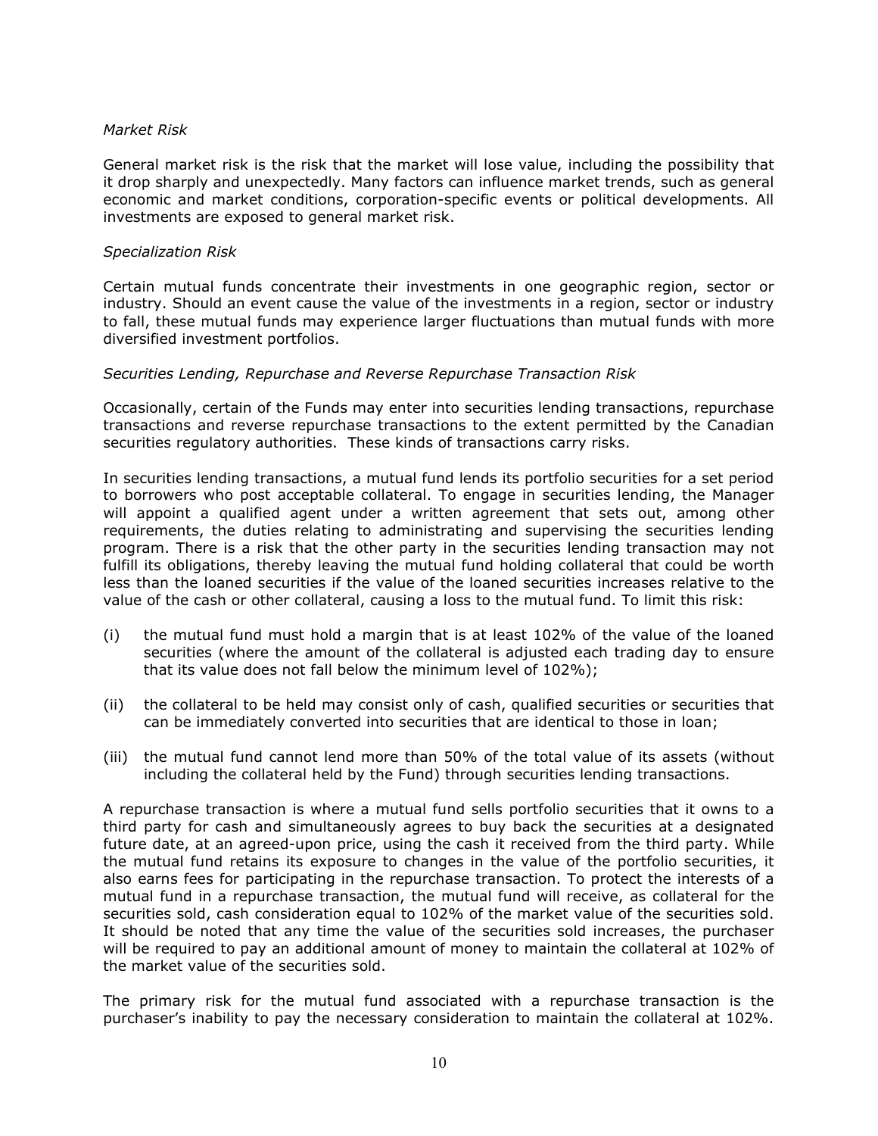#### *Market Risk*

General market risk is the risk that the market will lose value, including the possibility that it drop sharply and unexpectedly. Many factors can influence market trends, such as general economic and market conditions, corporation-specific events or political developments. All investments are exposed to general market risk.

#### *Specialization Risk*

Certain mutual funds concentrate their investments in one geographic region, sector or industry. Should an event cause the value of the investments in a region, sector or industry to fall, these mutual funds may experience larger fluctuations than mutual funds with more diversified investment portfolios.

#### *Securities Lending, Repurchase and Reverse Repurchase Transaction Risk*

Occasionally, certain of the Funds may enter into securities lending transactions, repurchase transactions and reverse repurchase transactions to the extent permitted by the Canadian securities regulatory authorities. These kinds of transactions carry risks.

In securities lending transactions, a mutual fund lends its portfolio securities for a set period to borrowers who post acceptable collateral. To engage in securities lending, the Manager will appoint a qualified agent under a written agreement that sets out, among other requirements, the duties relating to administrating and supervising the securities lending program. There is a risk that the other party in the securities lending transaction may not fulfill its obligations, thereby leaving the mutual fund holding collateral that could be worth less than the loaned securities if the value of the loaned securities increases relative to the value of the cash or other collateral, causing a loss to the mutual fund. To limit this risk:

- (i) the mutual fund must hold a margin that is at least 102% of the value of the loaned securities (where the amount of the collateral is adjusted each trading day to ensure that its value does not fall below the minimum level of 102%);
- (ii) the collateral to be held may consist only of cash, qualified securities or securities that can be immediately converted into securities that are identical to those in loan;
- (iii) the mutual fund cannot lend more than 50% of the total value of its assets (without including the collateral held by the Fund) through securities lending transactions.

A repurchase transaction is where a mutual fund sells portfolio securities that it owns to a third party for cash and simultaneously agrees to buy back the securities at a designated future date, at an agreed-upon price, using the cash it received from the third party. While the mutual fund retains its exposure to changes in the value of the portfolio securities, it also earns fees for participating in the repurchase transaction. To protect the interests of a mutual fund in a repurchase transaction, the mutual fund will receive, as collateral for the securities sold, cash consideration equal to 102% of the market value of the securities sold. It should be noted that any time the value of the securities sold increases, the purchaser will be required to pay an additional amount of money to maintain the collateral at 102% of the market value of the securities sold.

The primary risk for the mutual fund associated with a repurchase transaction is the purchaser's inability to pay the necessary consideration to maintain the collateral at 102%.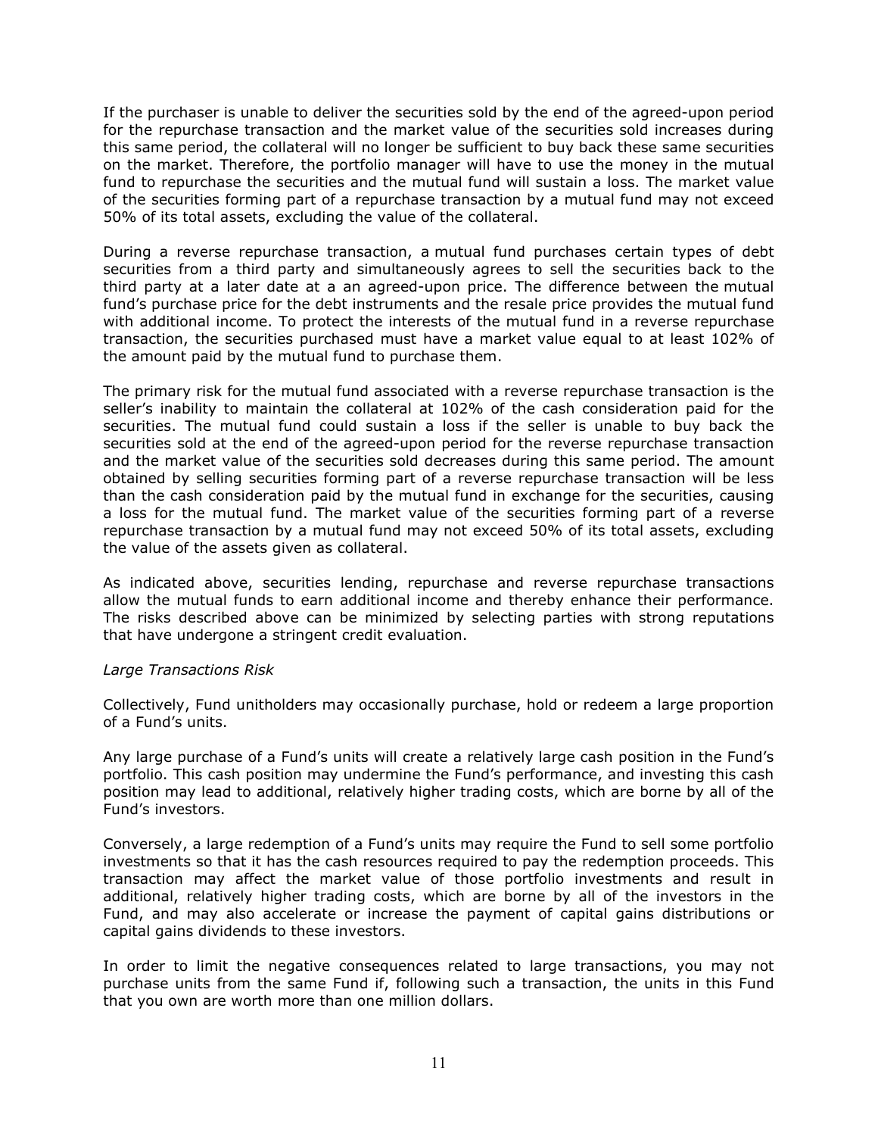If the purchaser is unable to deliver the securities sold by the end of the agreed-upon period for the repurchase transaction and the market value of the securities sold increases during this same period, the collateral will no longer be sufficient to buy back these same securities on the market. Therefore, the portfolio manager will have to use the money in the mutual fund to repurchase the securities and the mutual fund will sustain a loss. The market value of the securities forming part of a repurchase transaction by a mutual fund may not exceed 50% of its total assets, excluding the value of the collateral.

During a reverse repurchase transaction, a mutual fund purchases certain types of debt securities from a third party and simultaneously agrees to sell the securities back to the third party at a later date at a an agreed-upon price. The difference between the mutual fund's purchase price for the debt instruments and the resale price provides the mutual fund with additional income. To protect the interests of the mutual fund in a reverse repurchase transaction, the securities purchased must have a market value equal to at least 102% of the amount paid by the mutual fund to purchase them.

The primary risk for the mutual fund associated with a reverse repurchase transaction is the seller's inability to maintain the collateral at 102% of the cash consideration paid for the securities. The mutual fund could sustain a loss if the seller is unable to buy back the securities sold at the end of the agreed-upon period for the reverse repurchase transaction and the market value of the securities sold decreases during this same period. The amount obtained by selling securities forming part of a reverse repurchase transaction will be less than the cash consideration paid by the mutual fund in exchange for the securities, causing a loss for the mutual fund. The market value of the securities forming part of a reverse repurchase transaction by a mutual fund may not exceed 50% of its total assets, excluding the value of the assets given as collateral.

As indicated above, securities lending, repurchase and reverse repurchase transactions allow the mutual funds to earn additional income and thereby enhance their performance. The risks described above can be minimized by selecting parties with strong reputations that have undergone a stringent credit evaluation.

#### *Large Transactions Risk*

Collectively, Fund unitholders may occasionally purchase, hold or redeem a large proportion of a Fund's units.

Any large purchase of a Fund's units will create a relatively large cash position in the Fund's portfolio. This cash position may undermine the Fund's performance, and investing this cash position may lead to additional, relatively higher trading costs, which are borne by all of the Fund's investors.

Conversely, a large redemption of a Fund's units may require the Fund to sell some portfolio investments so that it has the cash resources required to pay the redemption proceeds. This transaction may affect the market value of those portfolio investments and result in additional, relatively higher trading costs, which are borne by all of the investors in the Fund, and may also accelerate or increase the payment of capital gains distributions or capital gains dividends to these investors.

In order to limit the negative consequences related to large transactions, you may not purchase units from the same Fund if, following such a transaction, the units in this Fund that you own are worth more than one million dollars.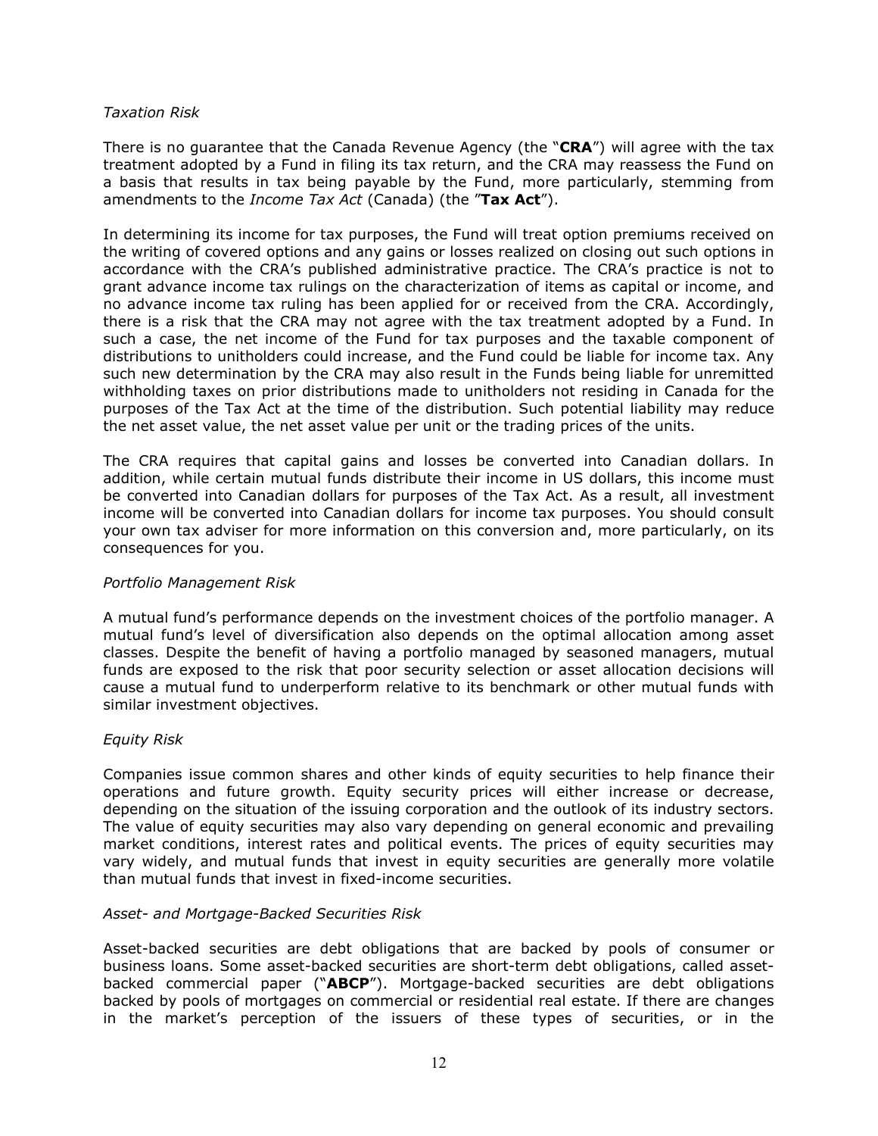#### *Taxation Risk*

There is no guarantee that the Canada Revenue Agency (the "**CRA**") will agree with the tax treatment adopted by a Fund in filing its tax return, and the CRA may reassess the Fund on a basis that results in tax being payable by the Fund, more particularly, stemming from amendments to the *Income Tax Act* (Canada) (the "**Tax Act**").

In determining its income for tax purposes, the Fund will treat option premiums received on the writing of covered options and any gains or losses realized on closing out such options in accordance with the CRA's published administrative practice. The CRA's practice is not to grant advance income tax rulings on the characterization of items as capital or income, and no advance income tax ruling has been applied for or received from the CRA. Accordingly, there is a risk that the CRA may not agree with the tax treatment adopted by a Fund. In such a case, the net income of the Fund for tax purposes and the taxable component of distributions to unitholders could increase, and the Fund could be liable for income tax. Any such new determination by the CRA may also result in the Funds being liable for unremitted withholding taxes on prior distributions made to unitholders not residing in Canada for the purposes of the Tax Act at the time of the distribution. Such potential liability may reduce the net asset value, the net asset value per unit or the trading prices of the units.

The CRA requires that capital gains and losses be converted into Canadian dollars. In addition, while certain mutual funds distribute their income in US dollars, this income must be converted into Canadian dollars for purposes of the Tax Act. As a result, all investment income will be converted into Canadian dollars for income tax purposes. You should consult your own tax adviser for more information on this conversion and, more particularly, on its consequences for you.

#### *Portfolio Management Risk*

A mutual fund's performance depends on the investment choices of the portfolio manager. A mutual fund's level of diversification also depends on the optimal allocation among asset classes. Despite the benefit of having a portfolio managed by seasoned managers, mutual funds are exposed to the risk that poor security selection or asset allocation decisions will cause a mutual fund to underperform relative to its benchmark or other mutual funds with similar investment objectives.

#### *Equity Risk*

Companies issue common shares and other kinds of equity securities to help finance their operations and future growth. Equity security prices will either increase or decrease, depending on the situation of the issuing corporation and the outlook of its industry sectors. The value of equity securities may also vary depending on general economic and prevailing market conditions, interest rates and political events. The prices of equity securities may vary widely, and mutual funds that invest in equity securities are generally more volatile than mutual funds that invest in fixed-income securities.

#### *Asset- and Mortgage-Backed Securities Risk*

Asset-backed securities are debt obligations that are backed by pools of consumer or business loans. Some asset-backed securities are short-term debt obligations, called assetbacked commercial paper ("**ABCP**"). Mortgage-backed securities are debt obligations backed by pools of mortgages on commercial or residential real estate. If there are changes in the market's perception of the issuers of these types of securities, or in the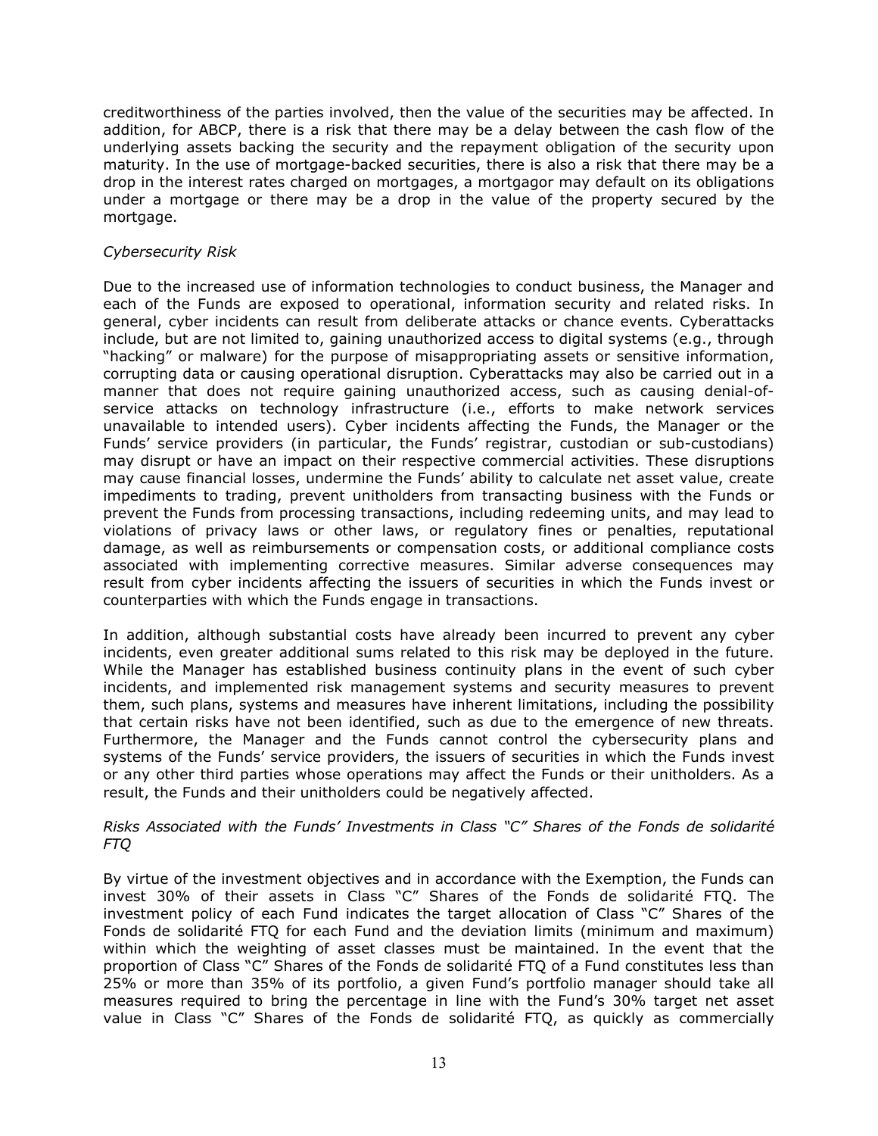creditworthiness of the parties involved, then the value of the securities may be affected. In addition, for ABCP, there is a risk that there may be a delay between the cash flow of the underlying assets backing the security and the repayment obligation of the security upon maturity. In the use of mortgage-backed securities, there is also a risk that there may be a drop in the interest rates charged on mortgages, a mortgagor may default on its obligations under a mortgage or there may be a drop in the value of the property secured by the mortgage.

## *Cybersecurity Risk*

Due to the increased use of information technologies to conduct business, the Manager and each of the Funds are exposed to operational, information security and related risks. In general, cyber incidents can result from deliberate attacks or chance events. Cyberattacks include, but are not limited to, gaining unauthorized access to digital systems (e.g., through "hacking" or malware) for the purpose of misappropriating assets or sensitive information, corrupting data or causing operational disruption. Cyberattacks may also be carried out in a manner that does not require gaining unauthorized access, such as causing denial-ofservice attacks on technology infrastructure (i.e., efforts to make network services unavailable to intended users). Cyber incidents affecting the Funds, the Manager or the Funds' service providers (in particular, the Funds' registrar, custodian or sub-custodians) may disrupt or have an impact on their respective commercial activities. These disruptions may cause financial losses, undermine the Funds' ability to calculate net asset value, create impediments to trading, prevent unitholders from transacting business with the Funds or prevent the Funds from processing transactions, including redeeming units, and may lead to violations of privacy laws or other laws, or regulatory fines or penalties, reputational damage, as well as reimbursements or compensation costs, or additional compliance costs associated with implementing corrective measures. Similar adverse consequences may result from cyber incidents affecting the issuers of securities in which the Funds invest or counterparties with which the Funds engage in transactions.

In addition, although substantial costs have already been incurred to prevent any cyber incidents, even greater additional sums related to this risk may be deployed in the future. While the Manager has established business continuity plans in the event of such cyber incidents, and implemented risk management systems and security measures to prevent them, such plans, systems and measures have inherent limitations, including the possibility that certain risks have not been identified, such as due to the emergence of new threats. Furthermore, the Manager and the Funds cannot control the cybersecurity plans and systems of the Funds' service providers, the issuers of securities in which the Funds invest or any other third parties whose operations may affect the Funds or their unitholders. As a result, the Funds and their unitholders could be negatively affected.

#### *Risks Associated with the Funds' Investments in Class "C" Shares of the Fonds de solidarité FTQ*

By virtue of the investment objectives and in accordance with the Exemption, the Funds can invest 30% of their assets in Class "C" Shares of the Fonds de solidarité FTQ. The investment policy of each Fund indicates the target allocation of Class "C" Shares of the Fonds de solidarité FTQ for each Fund and the deviation limits (minimum and maximum) within which the weighting of asset classes must be maintained. In the event that the proportion of Class "C" Shares of the Fonds de solidarité FTQ of a Fund constitutes less than 25% or more than 35% of its portfolio, a given Fund's portfolio manager should take all measures required to bring the percentage in line with the Fund's 30% target net asset value in Class "C" Shares of the Fonds de solidarité FTQ, as quickly as commercially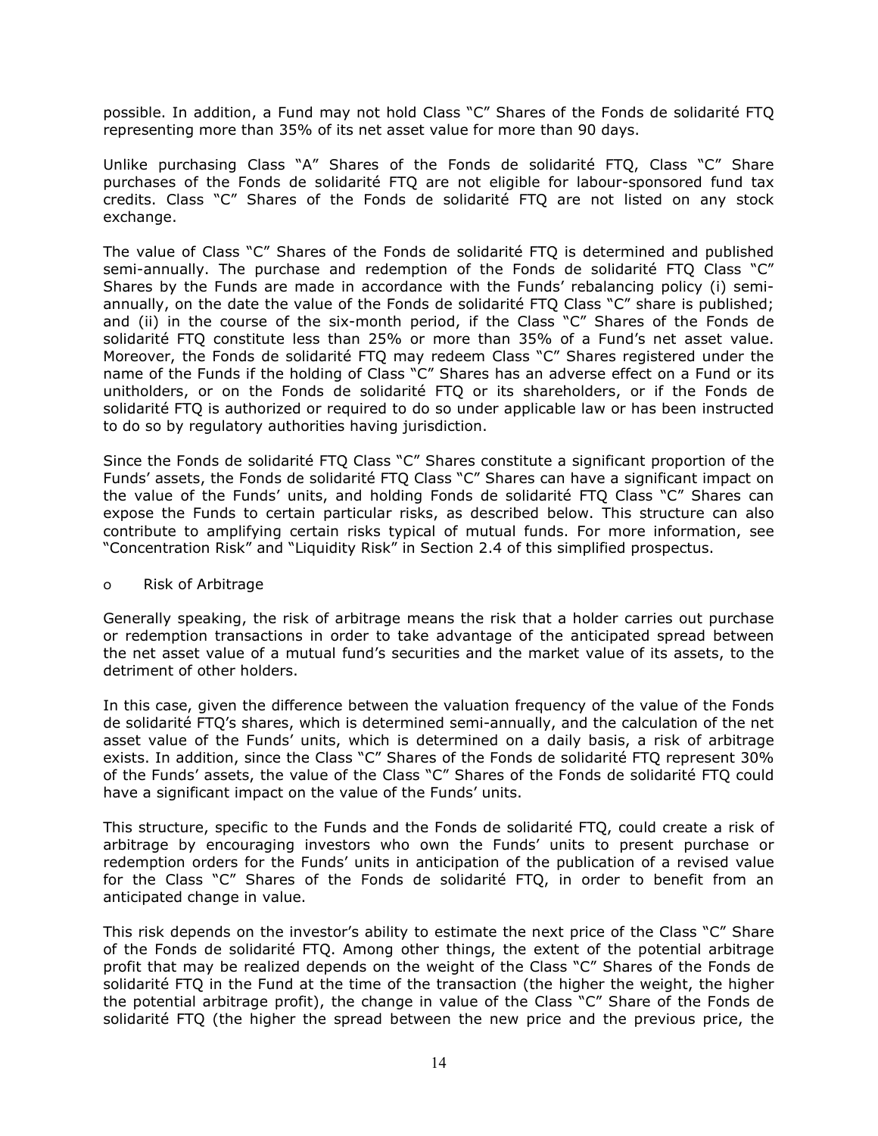possible. In addition, a Fund may not hold Class "C" Shares of the Fonds de solidarité FTQ representing more than 35% of its net asset value for more than 90 days.

Unlike purchasing Class "A" Shares of the Fonds de solidarité FTQ, Class "C" Share purchases of the Fonds de solidarité FTQ are not eligible for labour-sponsored fund tax credits. Class "C" Shares of the Fonds de solidarité FTQ are not listed on any stock exchange.

The value of Class "C" Shares of the Fonds de solidarité FTQ is determined and published semi-annually. The purchase and redemption of the Fonds de solidarité FTQ Class "C" Shares by the Funds are made in accordance with the Funds' rebalancing policy (i) semiannually, on the date the value of the Fonds de solidarité FTQ Class "C" share is published; and (ii) in the course of the six-month period, if the Class "C" Shares of the Fonds de solidarité FTQ constitute less than 25% or more than 35% of a Fund's net asset value. Moreover, the Fonds de solidarité FTQ may redeem Class "C" Shares registered under the name of the Funds if the holding of Class "C" Shares has an adverse effect on a Fund or its unitholders, or on the Fonds de solidarité FTQ or its shareholders, or if the Fonds de solidarité FTQ is authorized or required to do so under applicable law or has been instructed to do so by regulatory authorities having jurisdiction.

Since the Fonds de solidarité FTQ Class "C" Shares constitute a significant proportion of the Funds' assets, the Fonds de solidarité FTQ Class "C" Shares can have a significant impact on the value of the Funds' units, and holding Fonds de solidarité FTQ Class "C" Shares can expose the Funds to certain particular risks, as described below. This structure can also contribute to amplifying certain risks typical of mutual funds. For more information, see "Concentration Risk" and "Liquidity Risk" in Section [2.4](#page-6-0) of this simplified prospectus.

#### o Risk of Arbitrage

Generally speaking, the risk of arbitrage means the risk that a holder carries out purchase or redemption transactions in order to take advantage of the anticipated spread between the net asset value of a mutual fund's securities and the market value of its assets, to the detriment of other holders.

In this case, given the difference between the valuation frequency of the value of the Fonds de solidarité FTQ's shares, which is determined semi-annually, and the calculation of the net asset value of the Funds' units, which is determined on a daily basis, a risk of arbitrage exists. In addition, since the Class "C" Shares of the Fonds de solidarité FTQ represent 30% of the Funds' assets, the value of the Class "C" Shares of the Fonds de solidarité FTQ could have a significant impact on the value of the Funds' units.

This structure, specific to the Funds and the Fonds de solidarité FTQ, could create a risk of arbitrage by encouraging investors who own the Funds' units to present purchase or redemption orders for the Funds' units in anticipation of the publication of a revised value for the Class "C" Shares of the Fonds de solidarité FTQ, in order to benefit from an anticipated change in value.

This risk depends on the investor's ability to estimate the next price of the Class "C" Share of the Fonds de solidarité FTQ. Among other things, the extent of the potential arbitrage profit that may be realized depends on the weight of the Class "C" Shares of the Fonds de solidarité FTQ in the Fund at the time of the transaction (the higher the weight, the higher the potential arbitrage profit), the change in value of the Class "C" Share of the Fonds de solidarité FTQ (the higher the spread between the new price and the previous price, the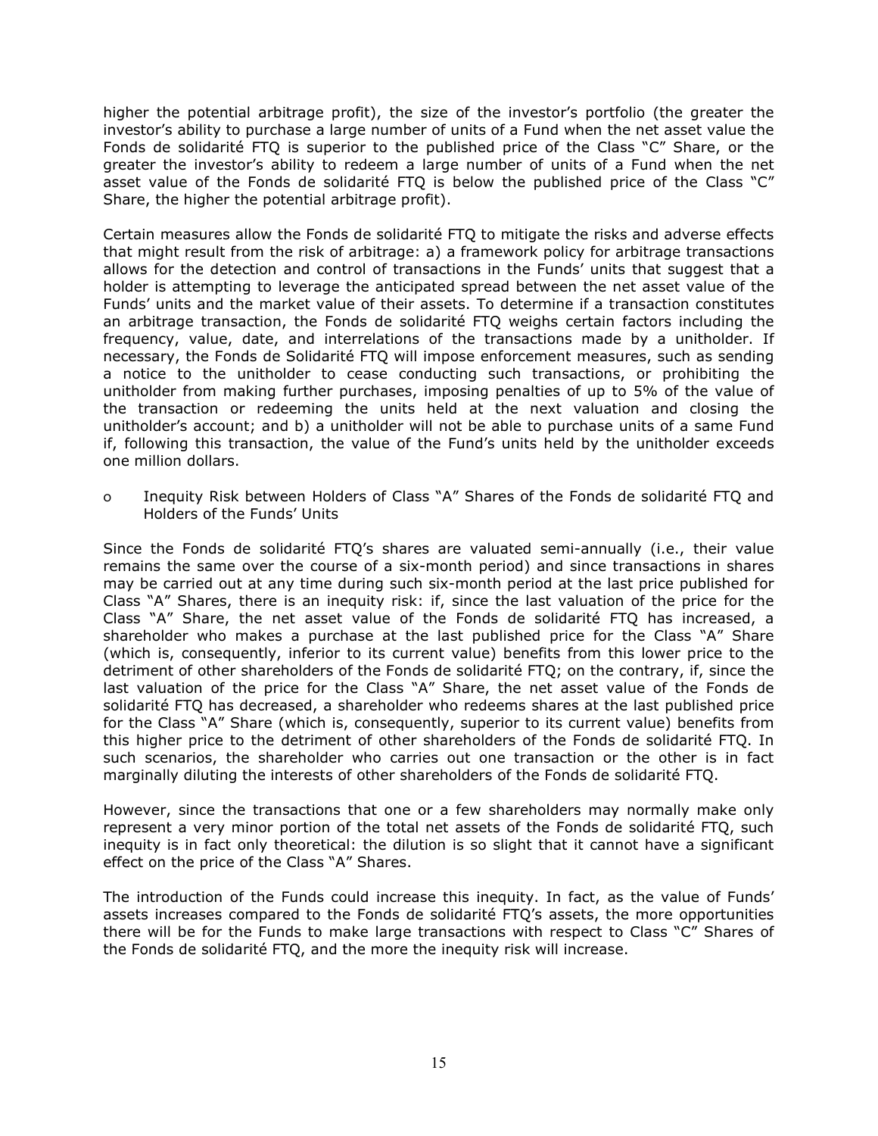higher the potential arbitrage profit), the size of the investor's portfolio (the greater the investor's ability to purchase a large number of units of a Fund when the net asset value the Fonds de solidarité FTQ is superior to the published price of the Class "C" Share, or the greater the investor's ability to redeem a large number of units of a Fund when the net asset value of the Fonds de solidarité FTQ is below the published price of the Class "C" Share, the higher the potential arbitrage profit).

Certain measures allow the Fonds de solidarité FTQ to mitigate the risks and adverse effects that might result from the risk of arbitrage: a) a framework policy for arbitrage transactions allows for the detection and control of transactions in the Funds' units that suggest that a holder is attempting to leverage the anticipated spread between the net asset value of the Funds' units and the market value of their assets. To determine if a transaction constitutes an arbitrage transaction, the Fonds de solidarité FTQ weighs certain factors including the frequency, value, date, and interrelations of the transactions made by a unitholder. If necessary, the Fonds de Solidarité FTQ will impose enforcement measures, such as sending a notice to the unitholder to cease conducting such transactions, or prohibiting the unitholder from making further purchases, imposing penalties of up to 5% of the value of the transaction or redeeming the units held at the next valuation and closing the unitholder's account; and b) a unitholder will not be able to purchase units of a same Fund if, following this transaction, the value of the Fund's units held by the unitholder exceeds one million dollars.

o Inequity Risk between Holders of Class "A" Shares of the Fonds de solidarité FTQ and Holders of the Funds' Units

Since the Fonds de solidarité FTQ's shares are valuated semi-annually (i.e., their value remains the same over the course of a six-month period) and since transactions in shares may be carried out at any time during such six-month period at the last price published for Class "A" Shares, there is an inequity risk: if, since the last valuation of the price for the Class "A" Share, the net asset value of the Fonds de solidarité FTQ has increased, a shareholder who makes a purchase at the last published price for the Class "A" Share (which is, consequently, inferior to its current value) benefits from this lower price to the detriment of other shareholders of the Fonds de solidarité FTQ; on the contrary, if, since the last valuation of the price for the Class "A" Share, the net asset value of the Fonds de solidarité FTQ has decreased, a shareholder who redeems shares at the last published price for the Class "A" Share (which is, consequently, superior to its current value) benefits from this higher price to the detriment of other shareholders of the Fonds de solidarité FTQ. In such scenarios, the shareholder who carries out one transaction or the other is in fact marginally diluting the interests of other shareholders of the Fonds de solidarité FTQ.

However, since the transactions that one or a few shareholders may normally make only represent a very minor portion of the total net assets of the Fonds de solidarité FTQ, such inequity is in fact only theoretical: the dilution is so slight that it cannot have a significant effect on the price of the Class "A" Shares.

The introduction of the Funds could increase this inequity. In fact, as the value of Funds' assets increases compared to the Fonds de solidarité FTQ's assets, the more opportunities there will be for the Funds to make large transactions with respect to Class "C" Shares of the Fonds de solidarité FTQ, and the more the inequity risk will increase.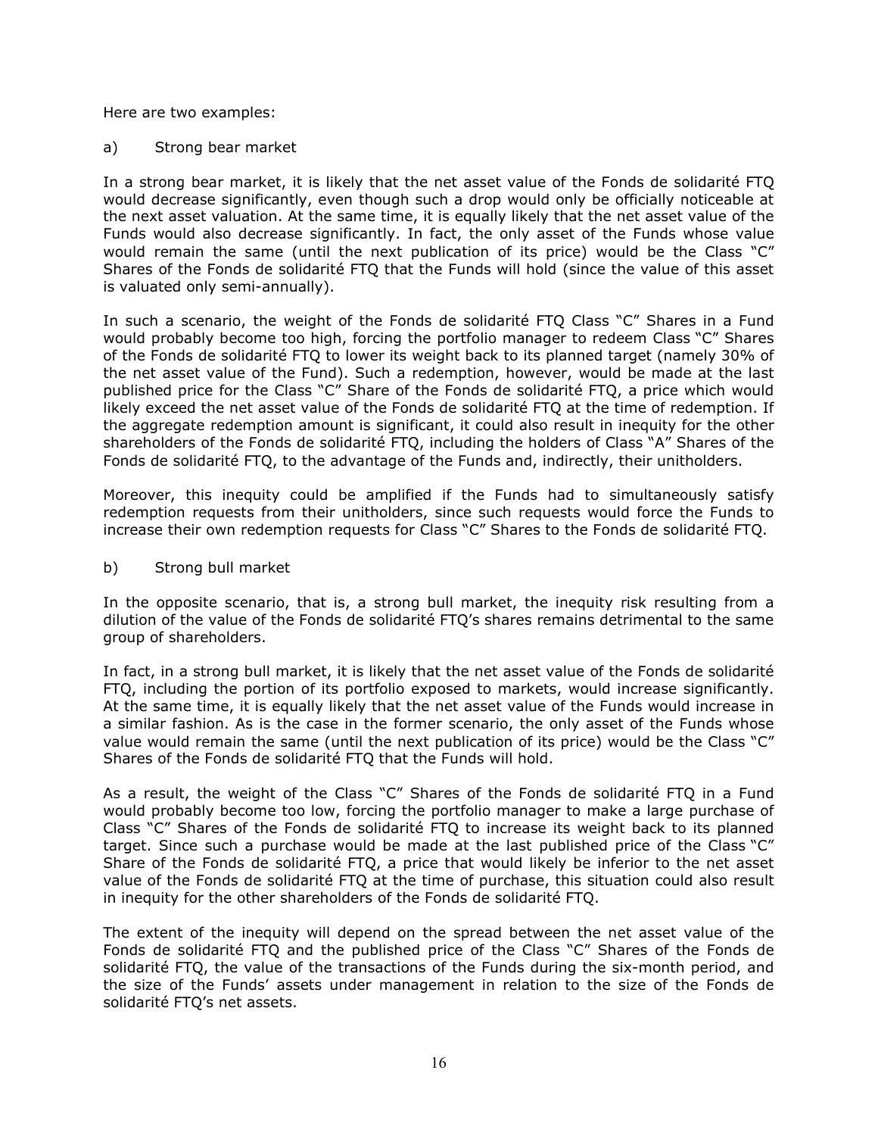Here are two examples:

a) Strong bear market

In a strong bear market, it is likely that the net asset value of the Fonds de solidarité FTQ would decrease significantly, even though such a drop would only be officially noticeable at the next asset valuation. At the same time, it is equally likely that the net asset value of the Funds would also decrease significantly. In fact, the only asset of the Funds whose value would remain the same (until the next publication of its price) would be the Class "C" Shares of the Fonds de solidarité FTQ that the Funds will hold (since the value of this asset is valuated only semi-annually).

In such a scenario, the weight of the Fonds de solidarité FTQ Class "C" Shares in a Fund would probably become too high, forcing the portfolio manager to redeem Class "C" Shares of the Fonds de solidarité FTQ to lower its weight back to its planned target (namely 30% of the net asset value of the Fund). Such a redemption, however, would be made at the last published price for the Class "C" Share of the Fonds de solidarité FTQ, a price which would likely exceed the net asset value of the Fonds de solidarité FTQ at the time of redemption. If the aggregate redemption amount is significant, it could also result in inequity for the other shareholders of the Fonds de solidarité FTQ, including the holders of Class "A" Shares of the Fonds de solidarité FTQ, to the advantage of the Funds and, indirectly, their unitholders.

Moreover, this inequity could be amplified if the Funds had to simultaneously satisfy redemption requests from their unitholders, since such requests would force the Funds to increase their own redemption requests for Class "C" Shares to the Fonds de solidarité FTQ.

b) Strong bull market

In the opposite scenario, that is, a strong bull market, the inequity risk resulting from a dilution of the value of the Fonds de solidarité FTQ's shares remains detrimental to the same group of shareholders.

In fact, in a strong bull market, it is likely that the net asset value of the Fonds de solidarité FTQ, including the portion of its portfolio exposed to markets, would increase significantly. At the same time, it is equally likely that the net asset value of the Funds would increase in a similar fashion. As is the case in the former scenario, the only asset of the Funds whose value would remain the same (until the next publication of its price) would be the Class "C" Shares of the Fonds de solidarité FTQ that the Funds will hold.

As a result, the weight of the Class "C" Shares of the Fonds de solidarité FTQ in a Fund would probably become too low, forcing the portfolio manager to make a large purchase of Class "C" Shares of the Fonds de solidarité FTQ to increase its weight back to its planned target. Since such a purchase would be made at the last published price of the Class "C" Share of the Fonds de solidarité FTQ, a price that would likely be inferior to the net asset value of the Fonds de solidarité FTQ at the time of purchase, this situation could also result in inequity for the other shareholders of the Fonds de solidarité FTQ.

The extent of the inequity will depend on the spread between the net asset value of the Fonds de solidarité FTQ and the published price of the Class "C" Shares of the Fonds de solidarité FTQ, the value of the transactions of the Funds during the six-month period, and the size of the Funds' assets under management in relation to the size of the Fonds de solidarité FTQ's net assets.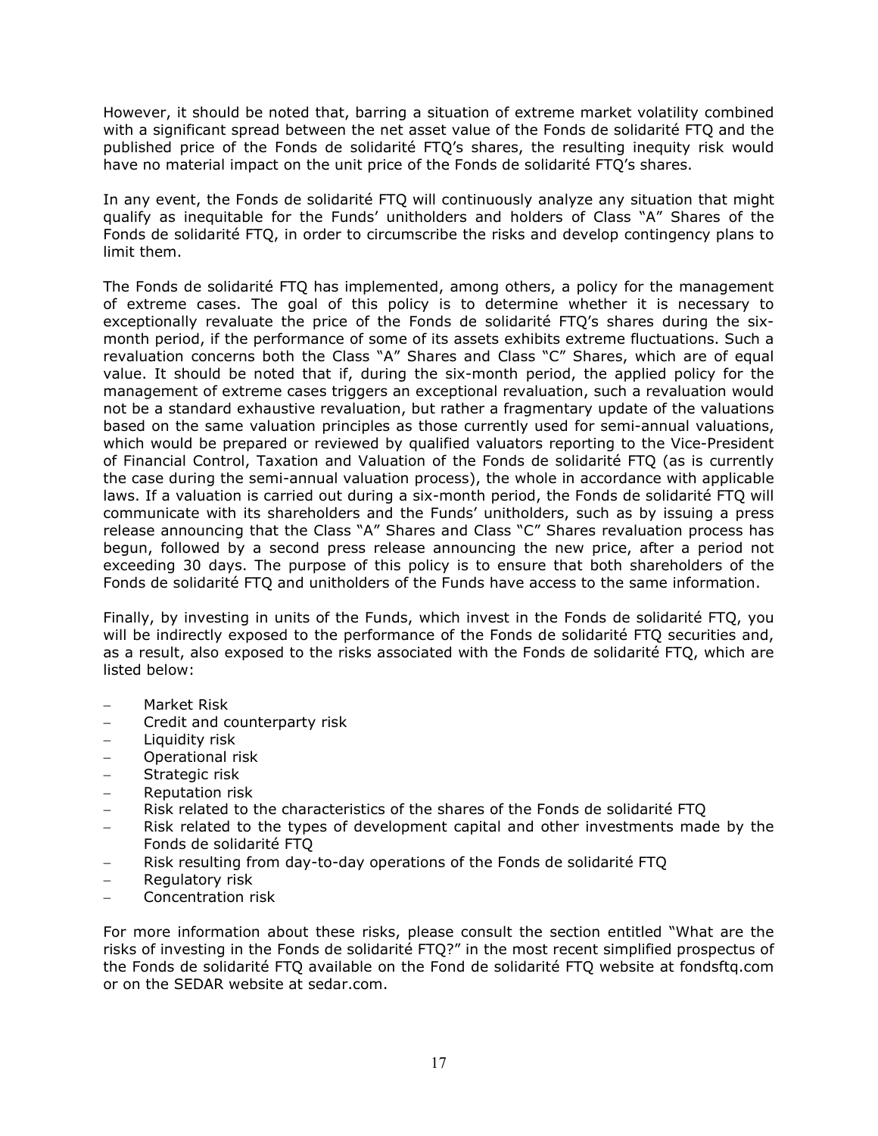However, it should be noted that, barring a situation of extreme market volatility combined with a significant spread between the net asset value of the Fonds de solidarité FTQ and the published price of the Fonds de solidarité FTQ's shares, the resulting inequity risk would have no material impact on the unit price of the Fonds de solidarité FTQ's shares.

In any event, the Fonds de solidarité FTQ will continuously analyze any situation that might qualify as inequitable for the Funds' unitholders and holders of Class "A" Shares of the Fonds de solidarité FTQ, in order to circumscribe the risks and develop contingency plans to limit them.

The Fonds de solidarité FTQ has implemented, among others, a policy for the management of extreme cases. The goal of this policy is to determine whether it is necessary to exceptionally revaluate the price of the Fonds de solidarité FTQ's shares during the sixmonth period, if the performance of some of its assets exhibits extreme fluctuations. Such a revaluation concerns both the Class "A" Shares and Class "C" Shares, which are of equal value. It should be noted that if, during the six-month period, the applied policy for the management of extreme cases triggers an exceptional revaluation, such a revaluation would not be a standard exhaustive revaluation, but rather a fragmentary update of the valuations based on the same valuation principles as those currently used for semi-annual valuations, which would be prepared or reviewed by qualified valuators reporting to the Vice-President of Financial Control, Taxation and Valuation of the Fonds de solidarité FTQ (as is currently the case during the semi-annual valuation process), the whole in accordance with applicable laws. If a valuation is carried out during a six-month period, the Fonds de solidarité FTQ will communicate with its shareholders and the Funds' unitholders, such as by issuing a press release announcing that the Class "A" Shares and Class "C" Shares revaluation process has begun, followed by a second press release announcing the new price, after a period not exceeding 30 days. The purpose of this policy is to ensure that both shareholders of the Fonds de solidarité FTQ and unitholders of the Funds have access to the same information.

Finally, by investing in units of the Funds, which invest in the Fonds de solidarité FTQ, you will be indirectly exposed to the performance of the Fonds de solidarité FTQ securities and, as a result, also exposed to the risks associated with the Fonds de solidarité FTQ, which are listed below:

- − Market Risk
- − Credit and counterparty risk
- − Liquidity risk
- − Operational risk
- − Strategic risk
- − Reputation risk
- Risk related to the characteristics of the shares of the Fonds de solidarité FTQ
- − Risk related to the types of development capital and other investments made by the Fonds de solidarité FTQ
- Risk resulting from day-to-day operations of the Fonds de solidarité FTQ
- − Regulatory risk
- − Concentration risk

For more information about these risks, please consult the section entitled "What are the risks of investing in the Fonds de solidarité FTQ?" in the most recent simplified prospectus of the Fonds de solidarité FTQ available on the Fond de solidarité FTQ website at fondsftq.com or on the SEDAR website at sedar.com.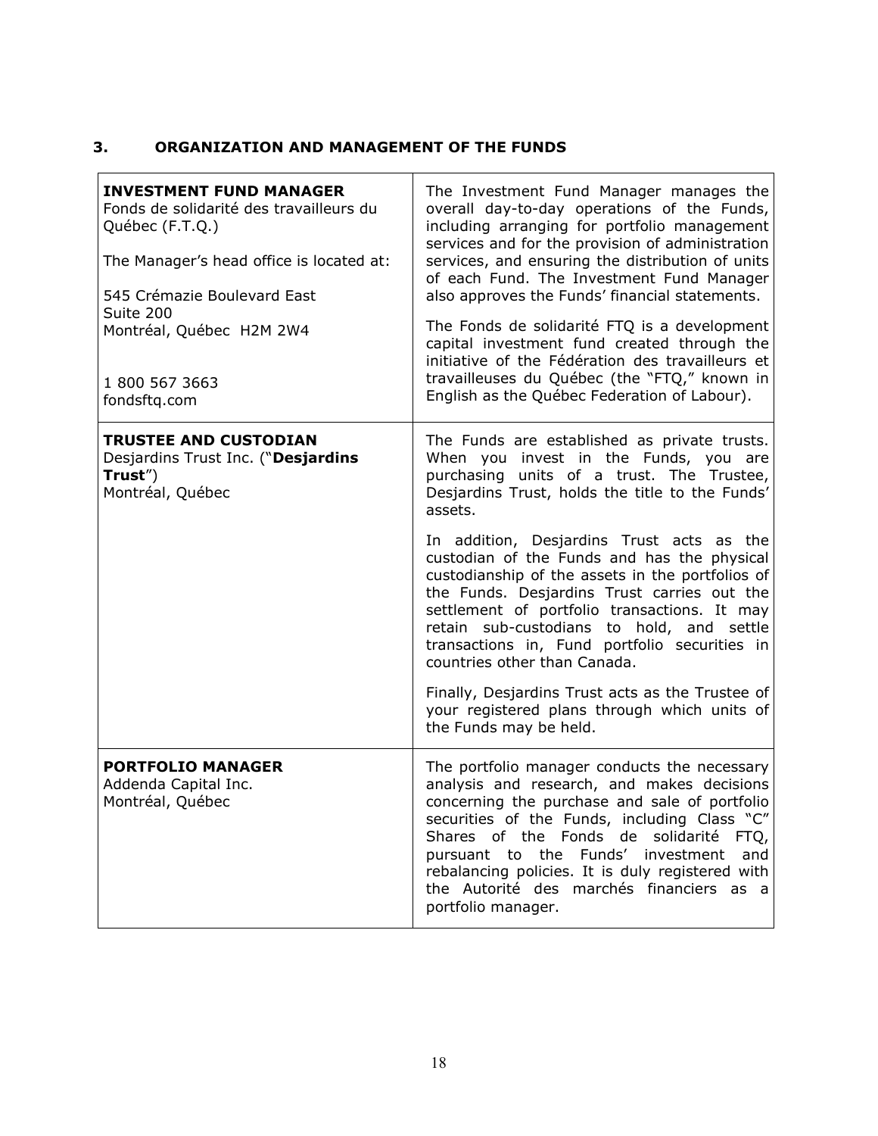# <span id="page-20-0"></span>**3. ORGANIZATION AND MANAGEMENT OF THE FUNDS**

| <b>INVESTMENT FUND MANAGER</b><br>Fonds de solidarité des travailleurs du<br>Québec (F.T.Q.)<br>The Manager's head office is located at:<br>545 Crémazie Boulevard East<br>Suite 200<br>Montréal, Québec H2M 2W4<br>1 800 567 3663<br>fondsftq.com | The Investment Fund Manager manages the<br>overall day-to-day operations of the Funds,<br>including arranging for portfolio management<br>services and for the provision of administration<br>services, and ensuring the distribution of units<br>of each Fund. The Investment Fund Manager<br>also approves the Funds' financial statements.<br>The Fonds de solidarité FTQ is a development<br>capital investment fund created through the<br>initiative of the Fédération des travailleurs et<br>travailleuses du Québec (the "FTQ," known in<br>English as the Québec Federation of Labour).                                                                                                            |
|----------------------------------------------------------------------------------------------------------------------------------------------------------------------------------------------------------------------------------------------------|-------------------------------------------------------------------------------------------------------------------------------------------------------------------------------------------------------------------------------------------------------------------------------------------------------------------------------------------------------------------------------------------------------------------------------------------------------------------------------------------------------------------------------------------------------------------------------------------------------------------------------------------------------------------------------------------------------------|
| <b>TRUSTEE AND CUSTODIAN</b><br>Desjardins Trust Inc. ("Desjardins<br>Trust")<br>Montréal, Québec                                                                                                                                                  | The Funds are established as private trusts.<br>When you invest in the Funds, you are<br>purchasing units of a trust. The Trustee,<br>Desjardins Trust, holds the title to the Funds'<br>assets.<br>In addition, Desjardins Trust acts as the<br>custodian of the Funds and has the physical<br>custodianship of the assets in the portfolios of<br>the Funds. Desjardins Trust carries out the<br>settlement of portfolio transactions. It may<br>retain sub-custodians to hold, and settle<br>transactions in, Fund portfolio securities in<br>countries other than Canada.<br>Finally, Desjardins Trust acts as the Trustee of<br>your registered plans through which units of<br>the Funds may be held. |
| <b>PORTFOLIO MANAGER</b><br>Addenda Capital Inc.<br>Montréal, Québec                                                                                                                                                                               | The portfolio manager conducts the necessary<br>analysis and research, and makes decisions<br>concerning the purchase and sale of portfolio<br>securities of the Funds, including Class "C"<br>Shares of the Fonds de<br>solidarité FTQ,<br>pursuant to the Funds' investment<br>and<br>rebalancing policies. It is duly registered with<br>the Autorité des marchés financiers as a<br>portfolio manager.                                                                                                                                                                                                                                                                                                  |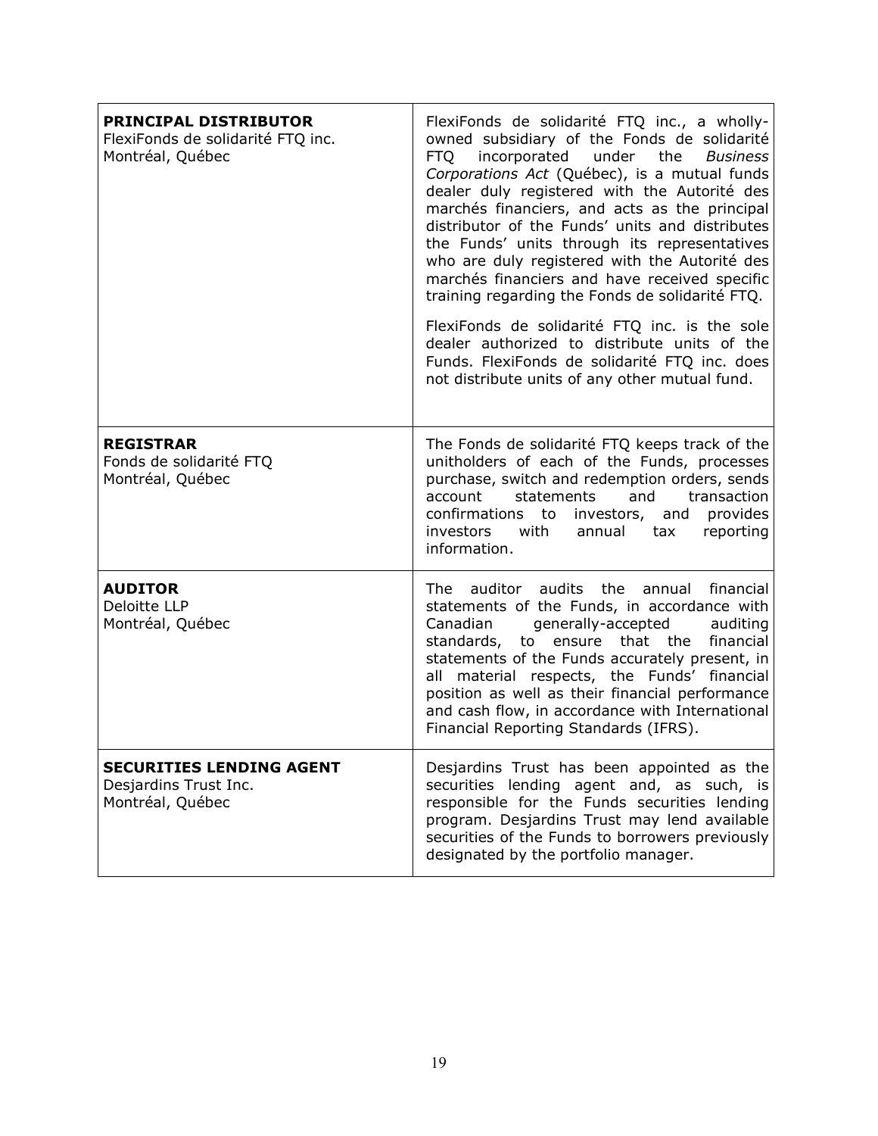| <b>PRINCIPAL DISTRIBUTOR</b><br>FlexiFonds de solidarité FTQ inc.<br>Montréal, Québec | FlexiFonds de solidarité FTQ inc., a wholly-<br>owned subsidiary of the Fonds de solidarité<br><b>FTQ</b><br>incorporated<br>the<br>under<br><b>Business</b><br>Corporations Act (Québec), is a mutual funds<br>dealer duly registered with the Autorité des<br>marchés financiers, and acts as the principal<br>distributor of the Funds' units and distributes<br>the Funds' units through its representatives<br>who are duly registered with the Autorité des<br>marchés financiers and have received specific<br>training regarding the Fonds de solidarité FTQ.<br>FlexiFonds de solidarité FTQ inc. is the sole<br>dealer authorized to distribute units of the<br>Funds. FlexiFonds de solidarité FTQ inc. does<br>not distribute units of any other mutual fund. |
|---------------------------------------------------------------------------------------|---------------------------------------------------------------------------------------------------------------------------------------------------------------------------------------------------------------------------------------------------------------------------------------------------------------------------------------------------------------------------------------------------------------------------------------------------------------------------------------------------------------------------------------------------------------------------------------------------------------------------------------------------------------------------------------------------------------------------------------------------------------------------|
| <b>REGISTRAR</b><br>Fonds de solidarité FTQ<br>Montréal, Québec                       | The Fonds de solidarité FTQ keeps track of the<br>unitholders of each of the Funds, processes<br>purchase, switch and redemption orders, sends<br>statements<br>and<br>account<br>transaction<br>confirmations to investors, and provides<br>investors<br>with<br>annual<br>tax<br>reporting<br>information.                                                                                                                                                                                                                                                                                                                                                                                                                                                              |
| <b>AUDITOR</b><br>Deloitte LLP<br>Montréal, Québec                                    | The<br>auditor audits the annual<br>financial<br>statements of the Funds, in accordance with<br>generally-accepted<br>Canadian<br>auditing<br>financial<br>standards, to<br>ensure that the<br>statements of the Funds accurately present, in<br>material respects, the Funds' financial<br>all<br>position as well as their financial performance<br>and cash flow, in accordance with International<br>Financial Reporting Standards (IFRS).                                                                                                                                                                                                                                                                                                                            |
| <b>SECURITIES LENDING AGENT</b><br>Desjardins Trust Inc.<br>Montréal, Québec          | Desjardins Trust has been appointed as the<br>securities lending agent and, as such, is<br>responsible for the Funds securities lending<br>program. Desjardins Trust may lend available<br>securities of the Funds to borrowers previously<br>designated by the portfolio manager.                                                                                                                                                                                                                                                                                                                                                                                                                                                                                        |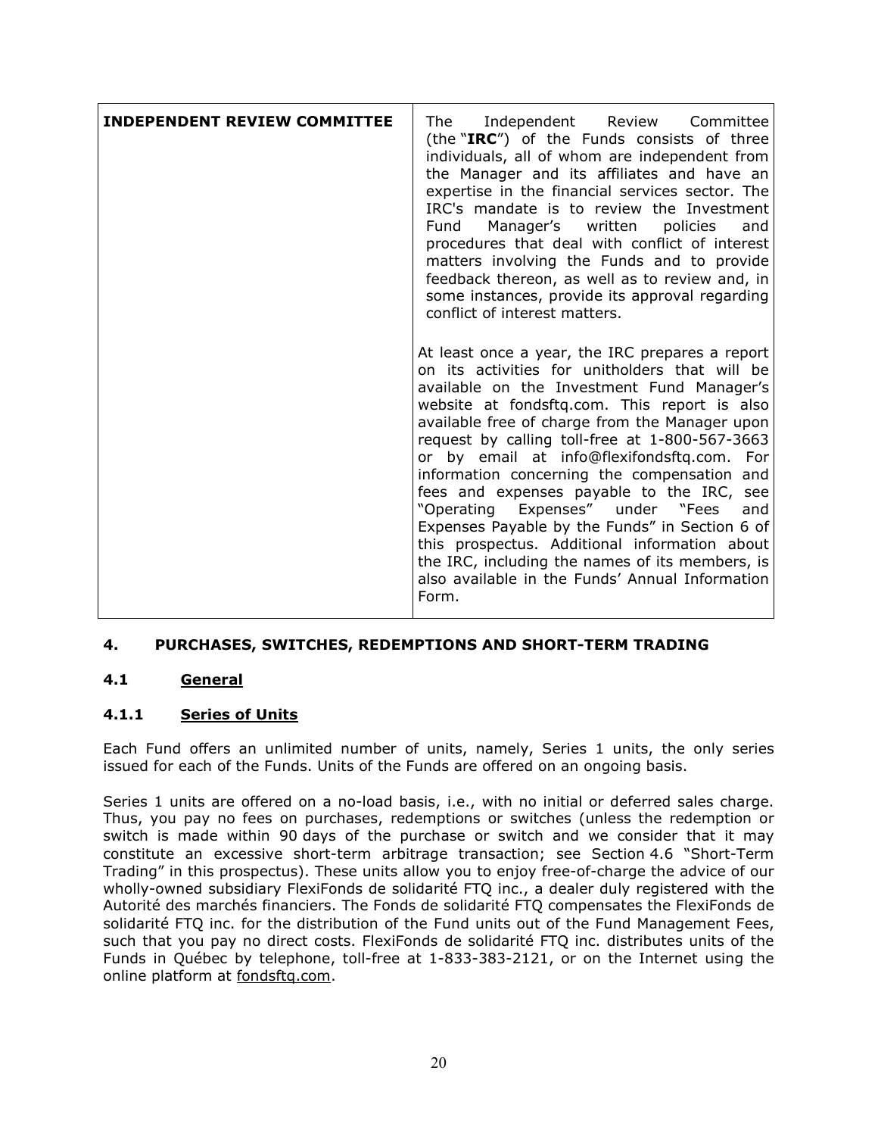| <b>INDEPENDENT REVIEW COMMITTEE</b> | Independent Review Committee<br>The<br>(the "IRC") of the Funds consists of three<br>individuals, all of whom are independent from<br>the Manager and its affiliates and have an<br>expertise in the financial services sector. The<br>IRC's mandate is to review the Investment<br>Fund<br>Manager's written policies<br>and<br>procedures that deal with conflict of interest<br>matters involving the Funds and to provide<br>feedback thereon, as well as to review and, in<br>some instances, provide its approval regarding<br>conflict of interest matters.                                                                                                                                         |
|-------------------------------------|------------------------------------------------------------------------------------------------------------------------------------------------------------------------------------------------------------------------------------------------------------------------------------------------------------------------------------------------------------------------------------------------------------------------------------------------------------------------------------------------------------------------------------------------------------------------------------------------------------------------------------------------------------------------------------------------------------|
|                                     | At least once a year, the IRC prepares a report<br>on its activities for unitholders that will be<br>available on the Investment Fund Manager's<br>website at fondsftq.com. This report is also<br>available free of charge from the Manager upon<br>request by calling toll-free at 1-800-567-3663<br>or by email at info@flexifondsftq.com. For<br>information concerning the compensation and<br>fees and expenses payable to the IRC, see<br>"Operating Expenses" under "Fees<br>and<br>Expenses Payable by the Funds" in Section 6 of<br>this prospectus. Additional information about<br>the IRC, including the names of its members, is<br>also available in the Funds' Annual Information<br>Form. |

# <span id="page-22-0"></span>**4. PURCHASES, SWITCHES, REDEMPTIONS AND SHORT-TERM TRADING**

# **4.1 General**

# **4.1.1 Series of Units**

Each Fund offers an unlimited number of units, namely, Series 1 units, the only series issued for each of the Funds. Units of the Funds are offered on an ongoing basis.

Series 1 units are offered on a no-load basis, i.e., with no initial or deferred sales charge. Thus, you pay no fees on purchases, redemptions or switches (unless the redemption or switch is made within 90 days of the purchase or switch and we consider that it may constitute an excessive short-term arbitrage transaction; see Section 4.6 "Short-Term Trading" in this prospectus). These units allow you to enjoy free-of-charge the advice of our wholly-owned subsidiary FlexiFonds de solidarité FTQ inc., a dealer duly registered with the Autorité des marchés financiers. The Fonds de solidarité FTQ compensates the FlexiFonds de solidarité FTQ inc. for the distribution of the Fund units out of the Fund Management Fees, such that you pay no direct costs. FlexiFonds de solidarité FTQ inc. distributes units of the Funds in Québec by telephone, toll-free at 1-833-383-2121, or on the Internet using the online platform at fondsftq.com.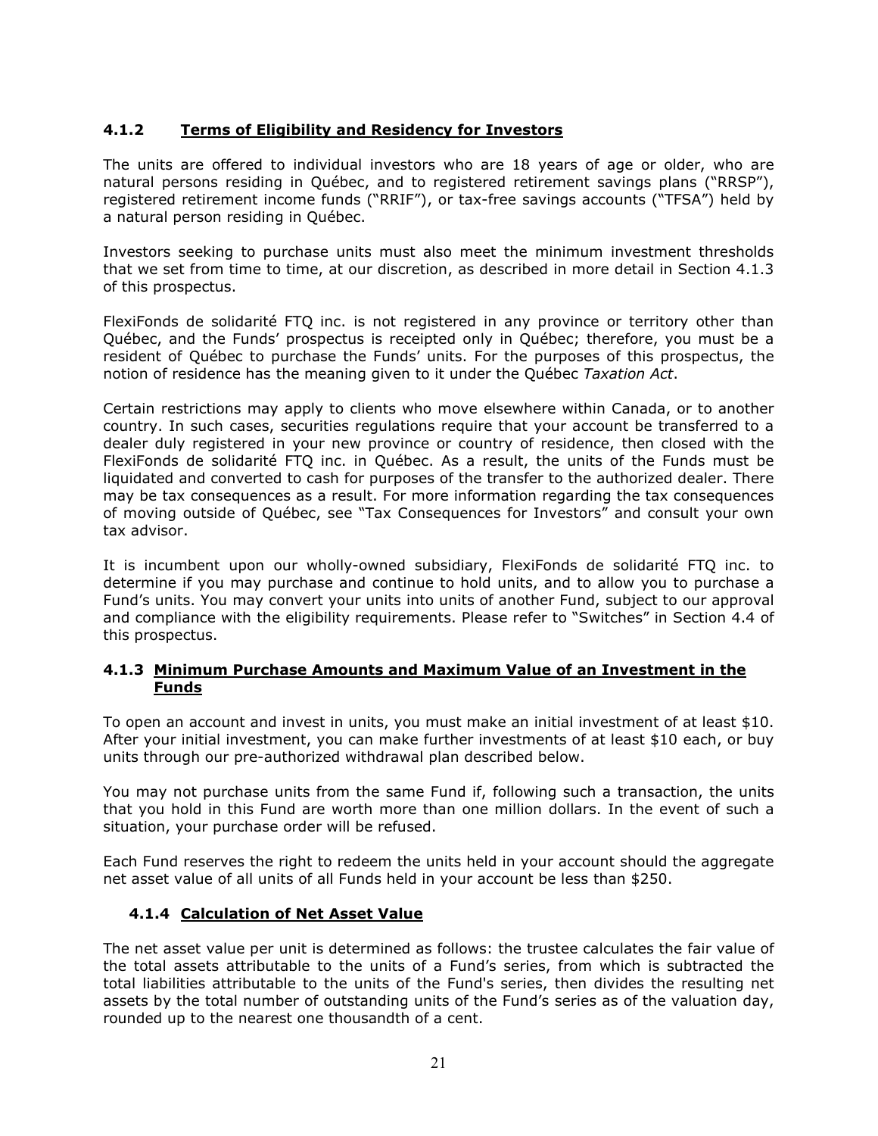# **4.1.2 Terms of Eligibility and Residency for Investors**

The units are offered to individual investors who are 18 years of age or older, who are natural persons residing in Québec, and to registered retirement savings plans ("RRSP"), registered retirement income funds ("RRIF"), or tax-free savings accounts ("TFSA") held by a natural person residing in Québec.

Investors seeking to purchase units must also meet the minimum investment thresholds that we set from time to time, at our discretion, as described in more detail in Section [4.1.3](#page-23-0) of this prospectus.

FlexiFonds de solidarité FTQ inc. is not registered in any province or territory other than Québec, and the Funds' prospectus is receipted only in Québec; therefore, you must be a resident of Québec to purchase the Funds' units. For the purposes of this prospectus, the notion of residence has the meaning given to it under the Québec *Taxation Act*.

Certain restrictions may apply to clients who move elsewhere within Canada, or to another country. In such cases, securities regulations require that your account be transferred to a dealer duly registered in your new province or country of residence, then closed with the FlexiFonds de solidarité FTQ inc. in Québec. As a result, the units of the Funds must be liquidated and converted to cash for purposes of the transfer to the authorized dealer. There may be tax consequences as a result. For more information regarding the tax consequences of moving outside of Québec, see "Tax Consequences for Investors" and consult your own tax advisor.

It is incumbent upon our wholly-owned subsidiary, FlexiFonds de solidarité FTQ inc. to determine if you may purchase and continue to hold units, and to allow you to purchase a Fund's units. You may convert your units into units of another Fund, subject to our approval and compliance with the eligibility requirements. Please refer to "Switches" in Section [4.4](#page-24-0) of this prospectus.

## <span id="page-23-0"></span>**4.1.3 Minimum Purchase Amounts and Maximum Value of an Investment in the Funds**

To open an account and invest in units, you must make an initial investment of at least \$10. After your initial investment, you can make further investments of at least \$10 each, or buy units through our pre-authorized withdrawal plan described below.

You may not purchase units from the same Fund if, following such a transaction, the units that you hold in this Fund are worth more than one million dollars. In the event of such a situation, your purchase order will be refused.

Each Fund reserves the right to redeem the units held in your account should the aggregate net asset value of all units of all Funds held in your account be less than \$250.

# **4.1.4 Calculation of Net Asset Value**

The net asset value per unit is determined as follows: the trustee calculates the fair value of the total assets attributable to the units of a Fund's series, from which is subtracted the total liabilities attributable to the units of the Fund's series, then divides the resulting net assets by the total number of outstanding units of the Fund's series as of the valuation day, rounded up to the nearest one thousandth of a cent.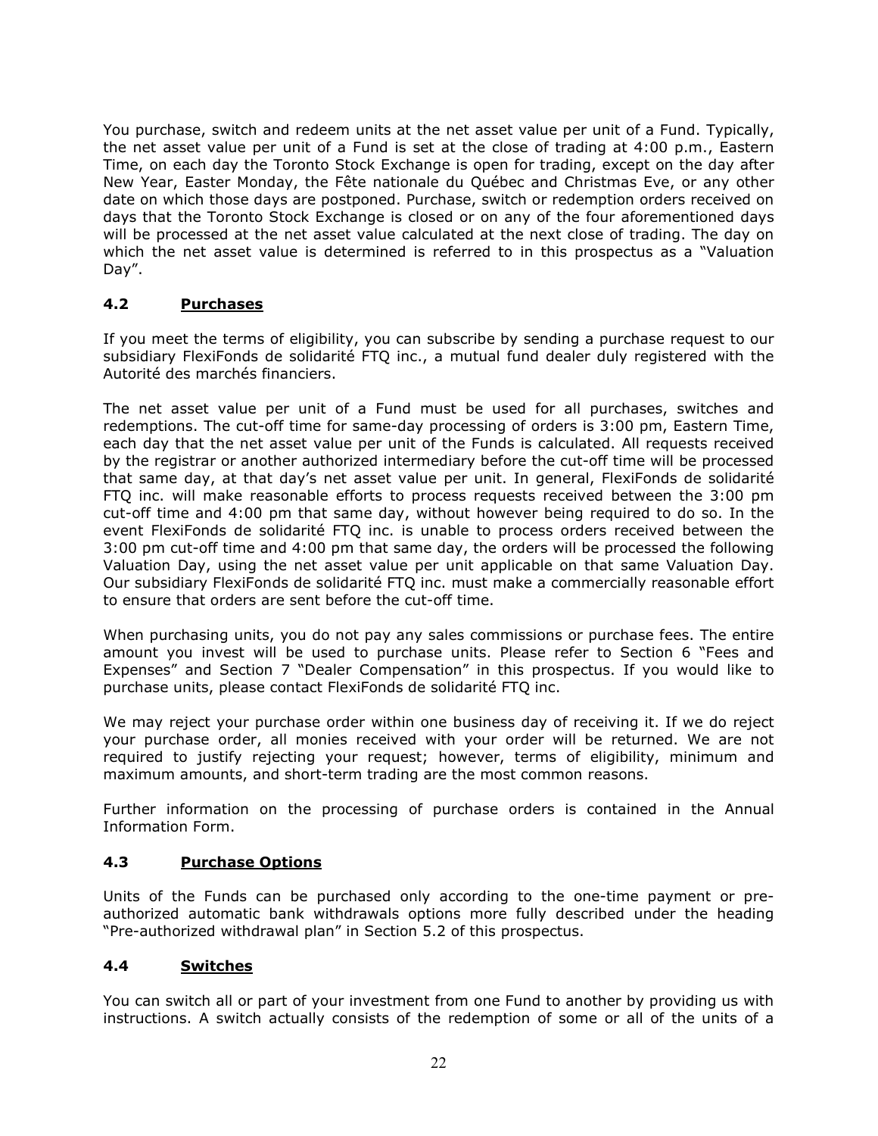You purchase, switch and redeem units at the net asset value per unit of a Fund. Typically, the net asset value per unit of a Fund is set at the close of trading at 4:00 p.m., Eastern Time, on each day the Toronto Stock Exchange is open for trading, except on the day after New Year, Easter Monday, the Fête nationale du Québec and Christmas Eve, or any other date on which those days are postponed. Purchase, switch or redemption orders received on days that the Toronto Stock Exchange is closed or on any of the four aforementioned days will be processed at the net asset value calculated at the next close of trading. The day on which the net asset value is determined is referred to in this prospectus as a "Valuation Day".

# <span id="page-24-1"></span>**4.2 Purchases**

If you meet the terms of eligibility, you can subscribe by sending a purchase request to our subsidiary FlexiFonds de solidarité FTQ inc., a mutual fund dealer duly registered with the Autorité des marchés financiers.

The net asset value per unit of a Fund must be used for all purchases, switches and redemptions. The cut-off time for same-day processing of orders is 3:00 pm, Eastern Time, each day that the net asset value per unit of the Funds is calculated. All requests received by the registrar or another authorized intermediary before the cut-off time will be processed that same day, at that day's net asset value per unit. In general, FlexiFonds de solidarité FTQ inc. will make reasonable efforts to process requests received between the 3:00 pm cut-off time and 4:00 pm that same day, without however being required to do so. In the event FlexiFonds de solidarité FTQ inc. is unable to process orders received between the 3:00 pm cut-off time and 4:00 pm that same day, the orders will be processed the following Valuation Day, using the net asset value per unit applicable on that same Valuation Day. Our subsidiary FlexiFonds de solidarité FTQ inc. must make a commercially reasonable effort to ensure that orders are sent before the cut-off time.

When purchasing units, you do not pay any sales commissions or purchase fees. The entire amount you invest will be used to purchase units. Please refer to Section 6 "Fees and Expenses" and Section 7 "Dealer Compensation" in this prospectus. If you would like to purchase units, please contact FlexiFonds de solidarité FTQ inc.

We may reject your purchase order within one business day of receiving it. If we do reject your purchase order, all monies received with your order will be returned. We are not required to justify rejecting your request; however, terms of eligibility, minimum and maximum amounts, and short-term trading are the most common reasons.

Further information on the processing of purchase orders is contained in the Annual Information Form.

# **4.3 Purchase Options**

Units of the Funds can be purchased only according to the one-time payment or preauthorized automatic bank withdrawals options more fully described under the heading "Pre-authorized withdrawal plan" in Section [5.2](#page-27-1) of this prospectus.

# <span id="page-24-0"></span>**4.4 Switches**

You can switch all or part of your investment from one Fund to another by providing us with instructions. A switch actually consists of the redemption of some or all of the units of a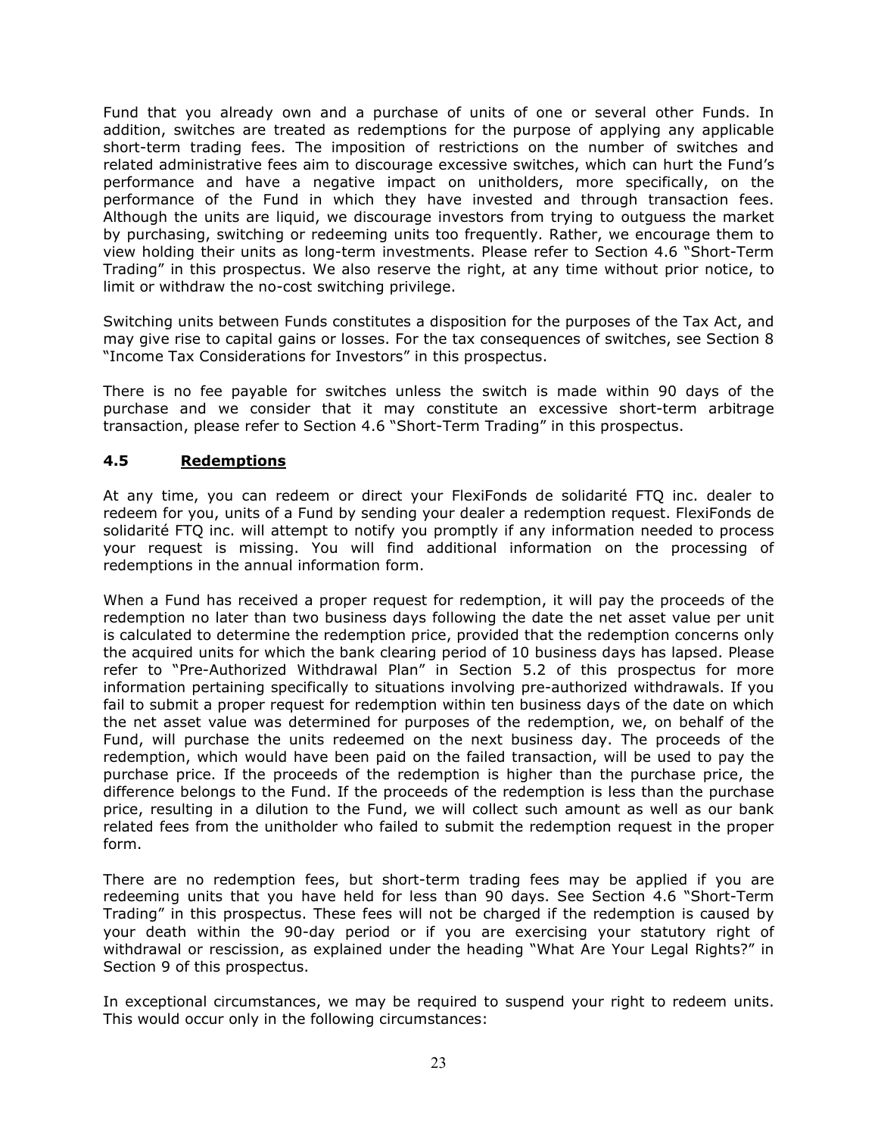Fund that you already own and a purchase of units of one or several other Funds. In addition, switches are treated as redemptions for the purpose of applying any applicable short-term trading fees. The imposition of restrictions on the number of switches and related administrative fees aim to discourage excessive switches, which can hurt the Fund's performance and have a negative impact on unitholders, more specifically, on the performance of the Fund in which they have invested and through transaction fees. Although the units are liquid, we discourage investors from trying to outguess the market by purchasing, switching or redeeming units too frequently. Rather, we encourage them to view holding their units as long-term investments. Please refer to Section 4.6 "Short-Term Trading" in this prospectus. We also reserve the right, at any time without prior notice, to limit or withdraw the no-cost switching privilege.

Switching units between Funds constitutes a disposition for the purposes of the Tax Act, and may give rise to capital gains or losses. For the tax consequences of switches, see Section 8 "Income Tax Considerations for Investors" in this prospectus.

There is no fee payable for switches unless the switch is made within 90 days of the purchase and we consider that it may constitute an excessive short-term arbitrage transaction, please refer to Section 4.6 "Short-Term Trading" in this prospectus.

# <span id="page-25-0"></span>**4.5 Redemptions**

At any time, you can redeem or direct your FlexiFonds de solidarité FTQ inc. dealer to redeem for you, units of a Fund by sending your dealer a redemption request. FlexiFonds de solidarité FTQ inc. will attempt to notify you promptly if any information needed to process your request is missing. You will find additional information on the processing of redemptions in the annual information form.

When a Fund has received a proper request for redemption, it will pay the proceeds of the redemption no later than two business days following the date the net asset value per unit is calculated to determine the redemption price, provided that the redemption concerns only the acquired units for which the bank clearing period of 10 business days has lapsed. Please refer to "Pre-Authorized Withdrawal Plan" in Section 5.2 of this prospectus for more information pertaining specifically to situations involving pre-authorized withdrawals. If you fail to submit a proper request for redemption within ten business days of the date on which the net asset value was determined for purposes of the redemption, we, on behalf of the Fund, will purchase the units redeemed on the next business day. The proceeds of the redemption, which would have been paid on the failed transaction, will be used to pay the purchase price. If the proceeds of the redemption is higher than the purchase price, the difference belongs to the Fund. If the proceeds of the redemption is less than the purchase price, resulting in a dilution to the Fund, we will collect such amount as well as our bank related fees from the unitholder who failed to submit the redemption request in the proper form.

There are no redemption fees, but short-term trading fees may be applied if you are redeeming units that you have held for less than 90 days. See Section 4.6 "Short-Term Trading" in this prospectus. These fees will not be charged if the redemption is caused by your death within the 90-day period or if you are exercising your statutory right of withdrawal or rescission, as explained under the heading "What Are Your Legal Rights?" in Section [9](#page-34-0) of this prospectus.

In exceptional circumstances, we may be required to suspend your right to redeem units. This would occur only in the following circumstances: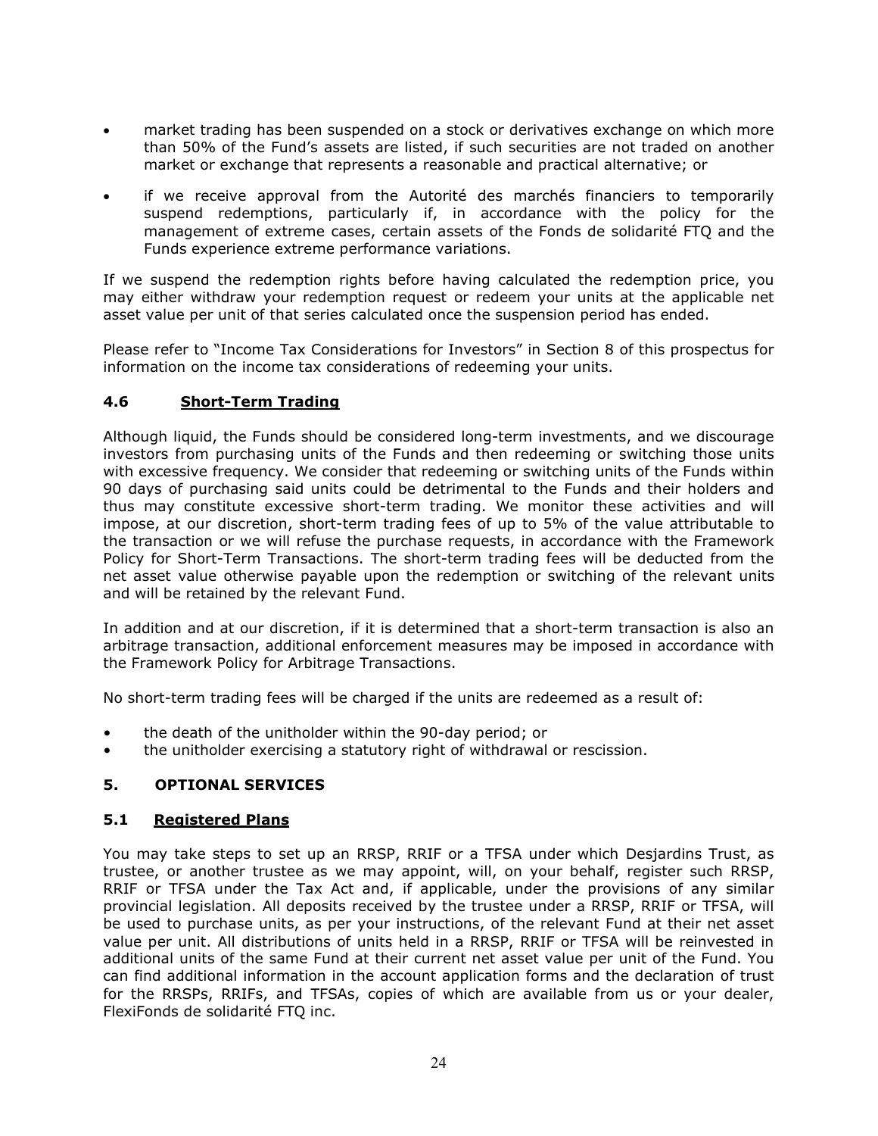- market trading has been suspended on a stock or derivatives exchange on which more than 50% of the Fund's assets are listed, if such securities are not traded on another market or exchange that represents a reasonable and practical alternative; or
- if we receive approval from the Autorité des marchés financiers to temporarily suspend redemptions, particularly if, in accordance with the policy for the management of extreme cases, certain assets of the Fonds de solidarité FTQ and the Funds experience extreme performance variations.

If we suspend the redemption rights before having calculated the redemption price, you may either withdraw your redemption request or redeem your units at the applicable net asset value per unit of that series calculated once the suspension period has ended.

Please refer to "Income Tax Considerations for Investors" in Section 8 of this prospectus for information on the income tax considerations of redeeming your units.

# **4.6 Short-Term Trading**

Although liquid, the Funds should be considered long-term investments, and we discourage investors from purchasing units of the Funds and then redeeming or switching those units with excessive frequency. We consider that redeeming or switching units of the Funds within 90 days of purchasing said units could be detrimental to the Funds and their holders and thus may constitute excessive short-term trading. We monitor these activities and will impose, at our discretion, short-term trading fees of up to 5% of the value attributable to the transaction or we will refuse the purchase requests, in accordance with the Framework Policy for Short-Term Transactions. The short-term trading fees will be deducted from the net asset value otherwise payable upon the redemption or switching of the relevant units and will be retained by the relevant Fund.

In addition and at our discretion, if it is determined that a short-term transaction is also an arbitrage transaction, additional enforcement measures may be imposed in accordance with the Framework Policy for Arbitrage Transactions.

No short-term trading fees will be charged if the units are redeemed as a result of:

- the death of the unitholder within the 90-day period; or
- <span id="page-26-0"></span>• the unitholder exercising a statutory right of withdrawal or rescission.

# **5. OPTIONAL SERVICES**

# **5.1 Registered Plans**

You may take steps to set up an RRSP, RRIF or a TFSA under which Desjardins Trust, as trustee, or another trustee as we may appoint, will, on your behalf, register such RRSP, RRIF or TFSA under the Tax Act and, if applicable, under the provisions of any similar provincial legislation. All deposits received by the trustee under a RRSP, RRIF or TFSA, will be used to purchase units, as per your instructions, of the relevant Fund at their net asset value per unit. All distributions of units held in a RRSP, RRIF or TFSA will be reinvested in additional units of the same Fund at their current net asset value per unit of the Fund. You can find additional information in the account application forms and the declaration of trust for the RRSPs, RRIFs, and TFSAs, copies of which are available from us or your dealer, FlexiFonds de solidarité FTQ inc.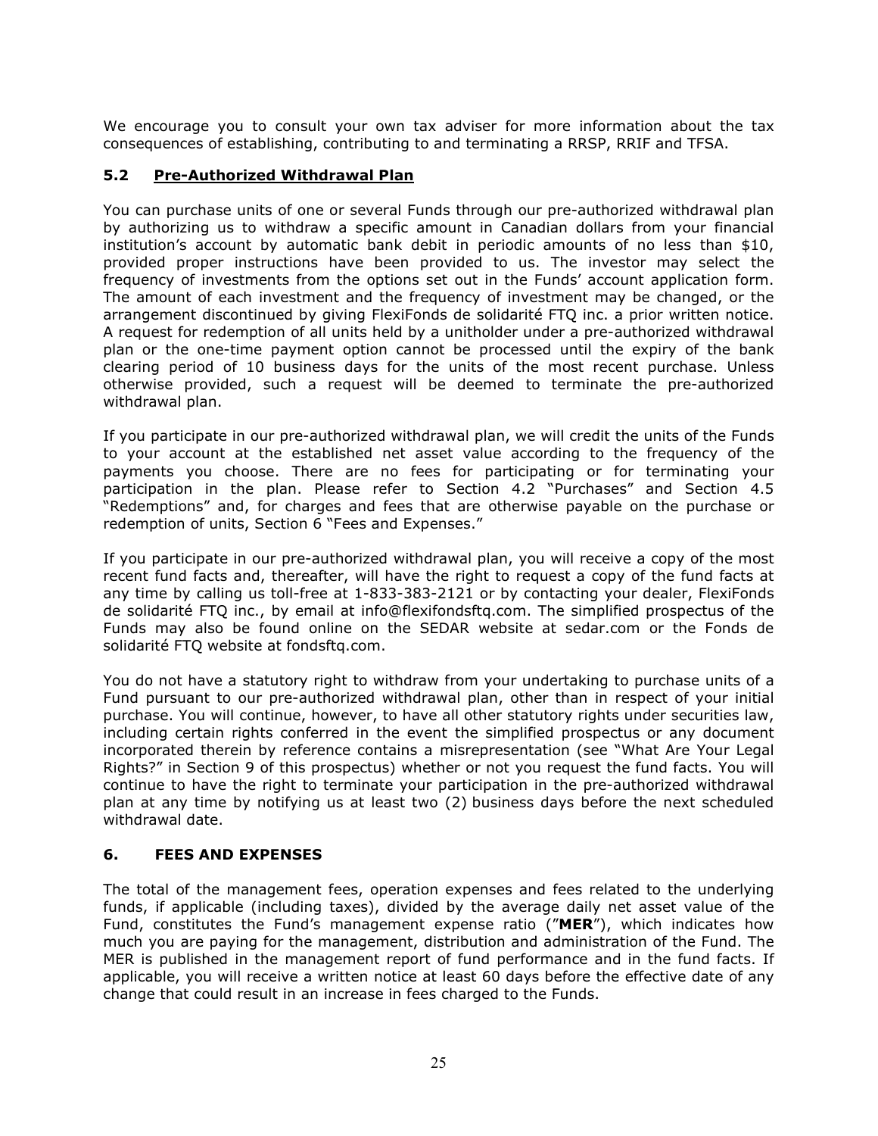We encourage you to consult your own tax adviser for more information about the tax consequences of establishing, contributing to and terminating a RRSP, RRIF and TFSA.

## <span id="page-27-1"></span>**5.2 Pre-Authorized Withdrawal Plan**

You can purchase units of one or several Funds through our pre-authorized withdrawal plan by authorizing us to withdraw a specific amount in Canadian dollars from your financial institution's account by automatic bank debit in periodic amounts of no less than \$10, provided proper instructions have been provided to us. The investor may select the frequency of investments from the options set out in the Funds' account application form. The amount of each investment and the frequency of investment may be changed, or the arrangement discontinued by giving FlexiFonds de solidarité FTQ inc. a prior written notice. A request for redemption of all units held by a unitholder under a pre-authorized withdrawal plan or the one-time payment option cannot be processed until the expiry of the bank clearing period of 10 business days for the units of the most recent purchase. Unless otherwise provided, such a request will be deemed to terminate the pre-authorized withdrawal plan.

If you participate in our pre-authorized withdrawal plan, we will credit the units of the Funds to your account at the established net asset value according to the frequency of the payments you choose. There are no fees for participating or for terminating your participation in the plan. Please refer to Section [4.2](#page-24-1) "Purchases" and Section [4.5](#page-25-0) "Redemptions" and, for charges and fees that are otherwise payable on the purchase or redemption of units, Section [6](#page-27-0) "Fees and Expenses."

If you participate in our pre-authorized withdrawal plan, you will receive a copy of the most recent fund facts and, thereafter, will have the right to request a copy of the fund facts at any time by calling us toll-free at 1-833-383-2121 or by contacting your dealer, FlexiFonds de solidarité FTQ inc., by email at info@flexifondsftq.com. The simplified prospectus of the Funds may also be found online on the SEDAR website at sedar.com or the Fonds de solidarité FTQ website at fondsftq.com.

You do not have a statutory right to withdraw from your undertaking to purchase units of a Fund pursuant to our pre-authorized withdrawal plan, other than in respect of your initial purchase. You will continue, however, to have all other statutory rights under securities law, including certain rights conferred in the event the simplified prospectus or any document incorporated therein by reference contains a misrepresentation (see "What Are Your Legal Rights?" in Section [9](#page-34-0) of this prospectus) whether or not you request the fund facts. You will continue to have the right to terminate your participation in the pre-authorized withdrawal plan at any time by notifying us at least two (2) business days before the next scheduled withdrawal date.

#### <span id="page-27-0"></span>**6. FEES AND EXPENSES**

The total of the management fees, operation expenses and fees related to the underlying funds, if applicable (including taxes), divided by the average daily net asset value of the Fund, constitutes the Fund's management expense ratio ("**MER**"), which indicates how much you are paying for the management, distribution and administration of the Fund. The MER is published in the management report of fund performance and in the fund facts. If applicable, you will receive a written notice at least 60 days before the effective date of any change that could result in an increase in fees charged to the Funds.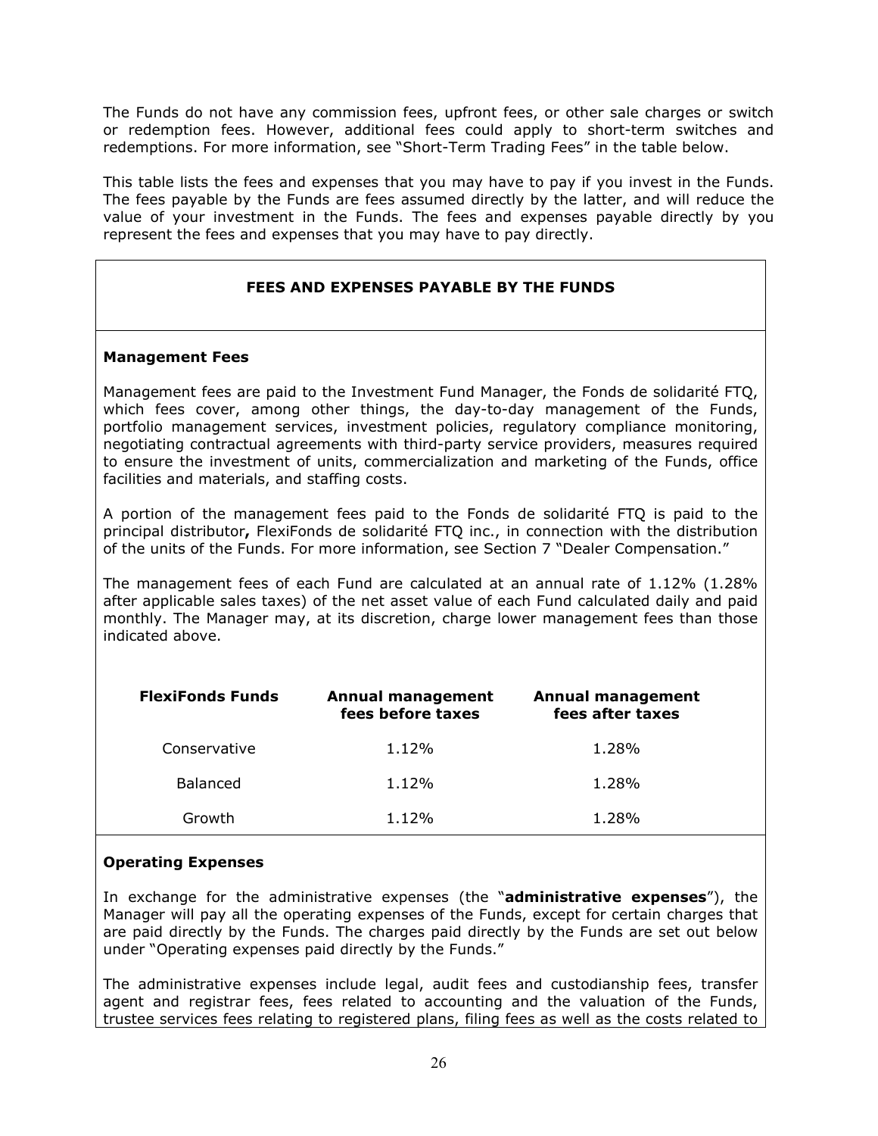The Funds do not have any commission fees, upfront fees, or other sale charges or switch or redemption fees. However, additional fees could apply to short-term switches and redemptions. For more information, see "Short-Term Trading Fees" in the table below.

This table lists the fees and expenses that you may have to pay if you invest in the Funds. The fees payable by the Funds are fees assumed directly by the latter, and will reduce the value of your investment in the Funds. The fees and expenses payable directly by you represent the fees and expenses that you may have to pay directly.

# **FEES AND EXPENSES PAYABLE BY THE FUNDS**

#### **Management Fees**

Management fees are paid to the Investment Fund Manager, the Fonds de solidarité FTQ, which fees cover, among other things, the day-to-day management of the Funds, portfolio management services, investment policies, regulatory compliance monitoring, negotiating contractual agreements with third-party service providers, measures required to ensure the investment of units, commercialization and marketing of the Funds, office facilities and materials, and staffing costs.

A portion of the management fees paid to the Fonds de solidarité FTQ is paid to the principal distributor**,** FlexiFonds de solidarité FTQ inc., in connection with the distribution of the units of the Funds. For more information, see Section 7 "Dealer Compensation."

The management fees of each Fund are calculated at an annual rate of 1.12% (1.28% after applicable sales taxes) of the net asset value of each Fund calculated daily and paid monthly. The Manager may, at its discretion, charge lower management fees than those indicated above.

| <b>FlexiFonds Funds</b> | <b>Annual management</b><br>fees before taxes | <b>Annual management</b><br>fees after taxes |
|-------------------------|-----------------------------------------------|----------------------------------------------|
| Conservative            | 1.12%                                         | 1.28%                                        |
| <b>Balanced</b>         | 1.12%                                         | 1.28%                                        |
| Growth                  | 1.12%                                         | 1.28%                                        |

#### **Operating Expenses**

In exchange for the administrative expenses (the "**administrative expenses**"), the Manager will pay all the operating expenses of the Funds, except for certain charges that are paid directly by the Funds. The charges paid directly by the Funds are set out below under "Operating expenses paid directly by the Funds."

The administrative expenses include legal, audit fees and custodianship fees, transfer agent and registrar fees, fees related to accounting and the valuation of the Funds, trustee services fees relating to registered plans, filing fees as well as the costs related to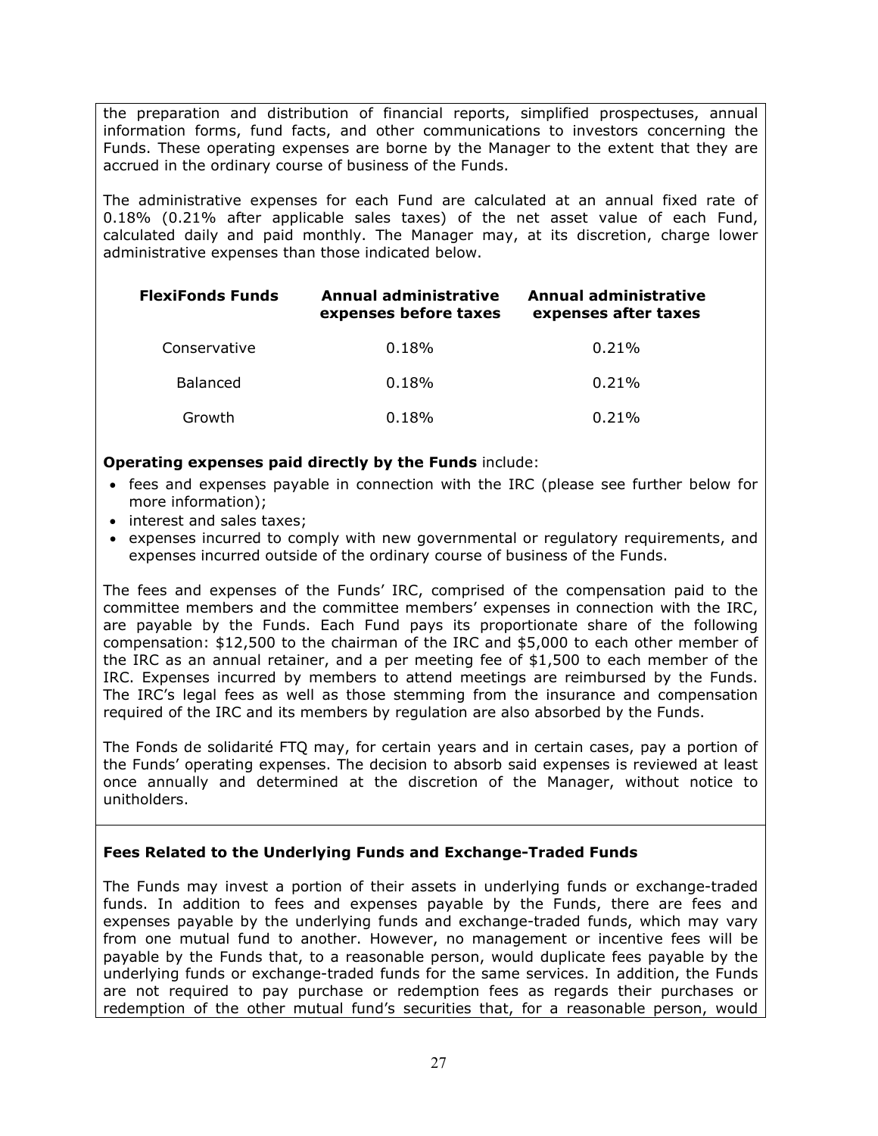the preparation and distribution of financial reports, simplified prospectuses, annual information forms, fund facts, and other communications to investors concerning the Funds. These operating expenses are borne by the Manager to the extent that they are accrued in the ordinary course of business of the Funds.

The administrative expenses for each Fund are calculated at an annual fixed rate of 0.18% (0.21% after applicable sales taxes) of the net asset value of each Fund, calculated daily and paid monthly. The Manager may, at its discretion, charge lower administrative expenses than those indicated below.

| <b>FlexiFonds Funds</b> | Annual administrative<br>expenses before taxes | Annual administrative<br>expenses after taxes |  |
|-------------------------|------------------------------------------------|-----------------------------------------------|--|
| Conservative            | 0.18%                                          | $0.21\%$                                      |  |
| <b>Balanced</b>         | 0.18%                                          | 0.21%                                         |  |
| Growth                  | 0.18%                                          | 0.21%                                         |  |

## **Operating expenses paid directly by the Funds** include:

- fees and expenses payable in connection with the IRC (please see further below for more information);
- interest and sales taxes;
- expenses incurred to comply with new governmental or regulatory requirements, and expenses incurred outside of the ordinary course of business of the Funds.

The fees and expenses of the Funds' IRC, comprised of the compensation paid to the committee members and the committee members' expenses in connection with the IRC, are payable by the Funds. Each Fund pays its proportionate share of the following compensation: \$12,500 to the chairman of the IRC and \$5,000 to each other member of the IRC as an annual retainer, and a per meeting fee of \$1,500 to each member of the IRC. Expenses incurred by members to attend meetings are reimbursed by the Funds. The IRC's legal fees as well as those stemming from the insurance and compensation required of the IRC and its members by regulation are also absorbed by the Funds.

The Fonds de solidarité FTQ may, for certain years and in certain cases, pay a portion of the Funds' operating expenses. The decision to absorb said expenses is reviewed at least once annually and determined at the discretion of the Manager, without notice to unitholders.

# **Fees Related to the Underlying Funds and Exchange-Traded Funds**

The Funds may invest a portion of their assets in underlying funds or exchange-traded funds. In addition to fees and expenses payable by the Funds, there are fees and expenses payable by the underlying funds and exchange-traded funds, which may vary from one mutual fund to another. However, no management or incentive fees will be payable by the Funds that, to a reasonable person, would duplicate fees payable by the underlying funds or exchange-traded funds for the same services. In addition, the Funds are not required to pay purchase or redemption fees as regards their purchases or redemption of the other mutual fund's securities that, for a reasonable person, would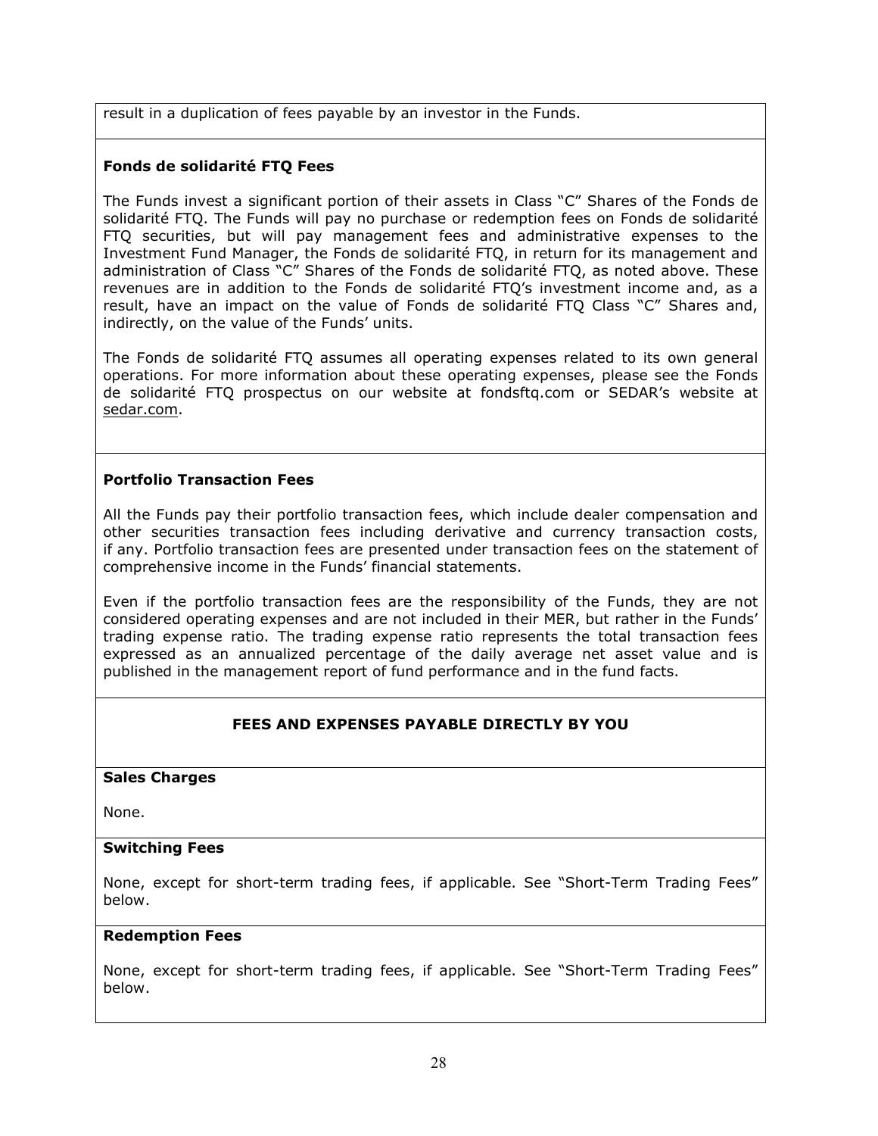result in a duplication of fees payable by an investor in the Funds.

# **Fonds de solidarité FTQ Fees**

The Funds invest a significant portion of their assets in Class "C" Shares of the Fonds de solidarité FTQ. The Funds will pay no purchase or redemption fees on Fonds de solidarité FTQ securities, but will pay management fees and administrative expenses to the Investment Fund Manager, the Fonds de solidarité FTQ, in return for its management and administration of Class "C" Shares of the Fonds de solidarité FTQ, as noted above. These revenues are in addition to the Fonds de solidarité FTQ's investment income and, as a result, have an impact on the value of Fonds de solidarité FTQ Class "C" Shares and, indirectly, on the value of the Funds' units.

The Fonds de solidarité FTQ assumes all operating expenses related to its own general operations. For more information about these operating expenses, please see the Fonds de solidarité FTQ prospectus on our website at fondsftq.com or SEDAR's website at sedar.com.

# **Portfolio Transaction Fees**

All the Funds pay their portfolio transaction fees, which include dealer compensation and other securities transaction fees including derivative and currency transaction costs, if any. Portfolio transaction fees are presented under transaction fees on the statement of comprehensive income in the Funds' financial statements.

Even if the portfolio transaction fees are the responsibility of the Funds, they are not considered operating expenses and are not included in their MER, but rather in the Funds' trading expense ratio. The trading expense ratio represents the total transaction fees expressed as an annualized percentage of the daily average net asset value and is published in the management report of fund performance and in the fund facts.

# **FEES AND EXPENSES PAYABLE DIRECTLY BY YOU**

#### **Sales Charges**

None.

#### **Switching Fees**

None, except for short-term trading fees, if applicable. See "Short-Term Trading Fees" below.

#### **Redemption Fees**

None, except for short-term trading fees, if applicable. See "Short-Term Trading Fees" below.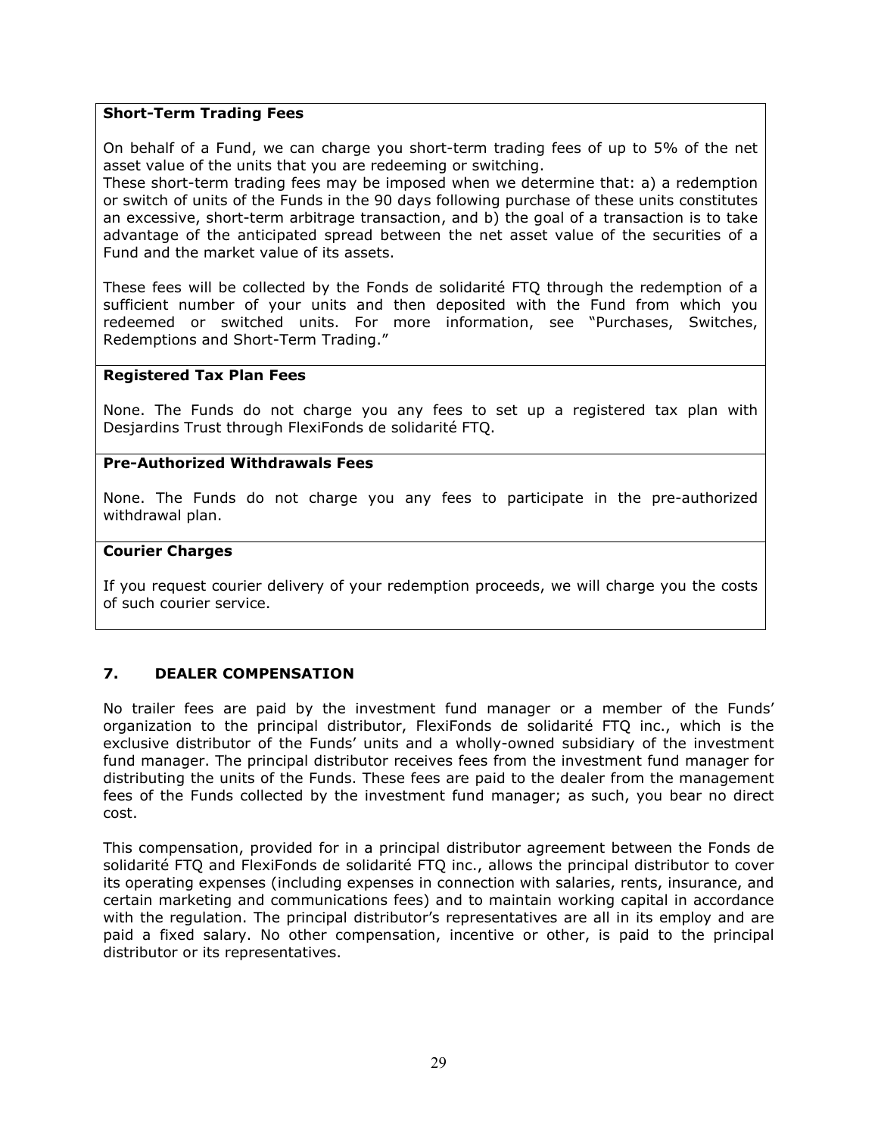## **Short-Term Trading Fees**

On behalf of a Fund, we can charge you short-term trading fees of up to 5% of the net asset value of the units that you are redeeming or switching.

These short-term trading fees may be imposed when we determine that: a) a redemption or switch of units of the Funds in the 90 days following purchase of these units constitutes an excessive, short-term arbitrage transaction, and b) the goal of a transaction is to take advantage of the anticipated spread between the net asset value of the securities of a Fund and the market value of its assets.

These fees will be collected by the Fonds de solidarité FTQ through the redemption of a sufficient number of your units and then deposited with the Fund from which you redeemed or switched units. For more information, see "Purchases, Switches, Redemptions and Short-Term Trading."

#### **Registered Tax Plan Fees**

None. The Funds do not charge you any fees to set up a registered tax plan with Desjardins Trust through FlexiFonds de solidarité FTQ.

#### **Pre-Authorized Withdrawals Fees**

None. The Funds do not charge you any fees to participate in the pre-authorized withdrawal plan.

#### **Courier Charges**

If you request courier delivery of your redemption proceeds, we will charge you the costs of such courier service.

## <span id="page-31-0"></span>**7. DEALER COMPENSATION**

No trailer fees are paid by the investment fund manager or a member of the Funds' organization to the principal distributor, FlexiFonds de solidarité FTQ inc., which is the exclusive distributor of the Funds' units and a wholly-owned subsidiary of the investment fund manager. The principal distributor receives fees from the investment fund manager for distributing the units of the Funds. These fees are paid to the dealer from the management fees of the Funds collected by the investment fund manager; as such, you bear no direct cost.

This compensation, provided for in a principal distributor agreement between the Fonds de solidarité FTQ and FlexiFonds de solidarité FTQ inc., allows the principal distributor to cover its operating expenses (including expenses in connection with salaries, rents, insurance, and certain marketing and communications fees) and to maintain working capital in accordance with the regulation. The principal distributor's representatives are all in its employ and are paid a fixed salary. No other compensation, incentive or other, is paid to the principal distributor or its representatives.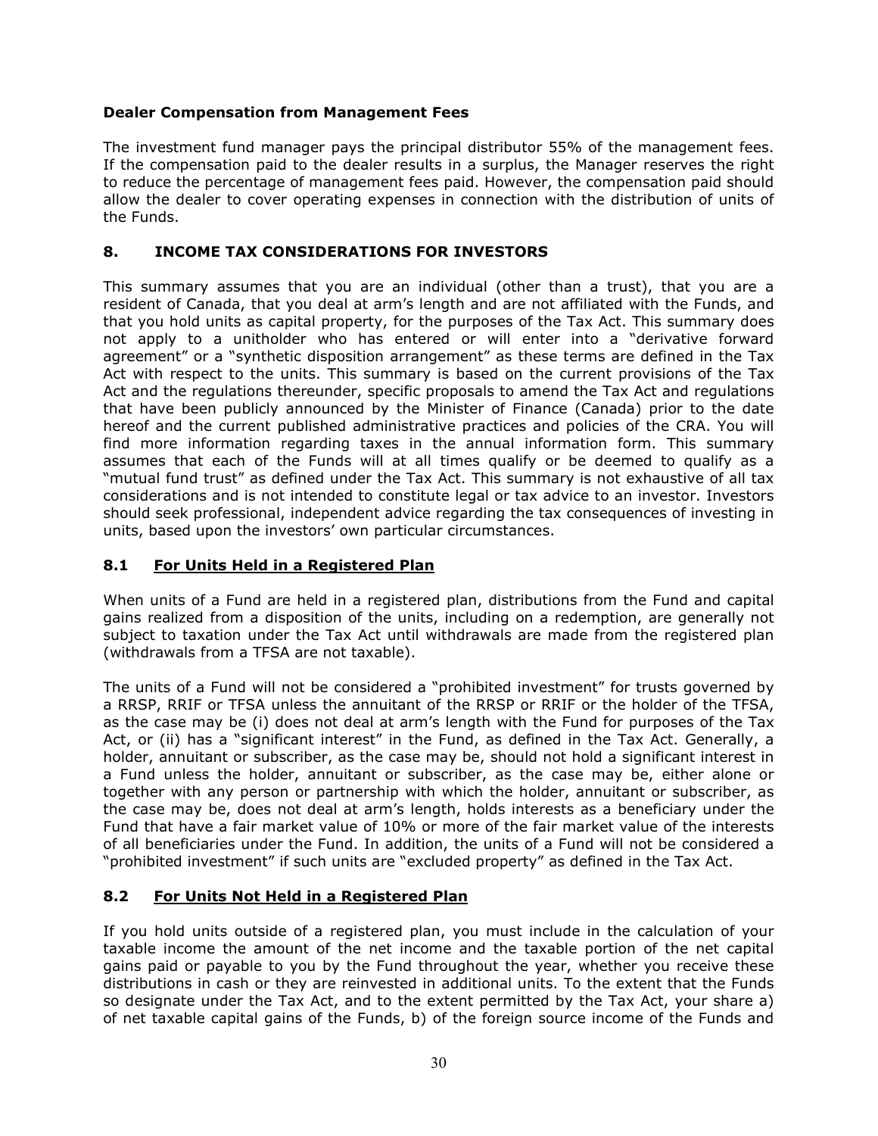## **Dealer Compensation from Management Fees**

The investment fund manager pays the principal distributor 55% of the management fees. If the compensation paid to the dealer results in a surplus, the Manager reserves the right to reduce the percentage of management fees paid. However, the compensation paid should allow the dealer to cover operating expenses in connection with the distribution of units of the Funds.

# <span id="page-32-0"></span>**8. INCOME TAX CONSIDERATIONS FOR INVESTORS**

This summary assumes that you are an individual (other than a trust), that you are a resident of Canada, that you deal at arm's length and are not affiliated with the Funds, and that you hold units as capital property, for the purposes of the Tax Act. This summary does not apply to a unitholder who has entered or will enter into a "derivative forward agreement" or a "synthetic disposition arrangement" as these terms are defined in the Tax Act with respect to the units. This summary is based on the current provisions of the Tax Act and the regulations thereunder, specific proposals to amend the Tax Act and regulations that have been publicly announced by the Minister of Finance (Canada) prior to the date hereof and the current published administrative practices and policies of the CRA. You will find more information regarding taxes in the annual information form. This summary assumes that each of the Funds will at all times qualify or be deemed to qualify as a "mutual fund trust" as defined under the Tax Act. This summary is not exhaustive of all tax considerations and is not intended to constitute legal or tax advice to an investor. Investors should seek professional, independent advice regarding the tax consequences of investing in units, based upon the investors' own particular circumstances.

# **8.1 For Units Held in a Registered Plan**

When units of a Fund are held in a registered plan, distributions from the Fund and capital gains realized from a disposition of the units, including on a redemption, are generally not subject to taxation under the Tax Act until withdrawals are made from the registered plan (withdrawals from a TFSA are not taxable).

The units of a Fund will not be considered a "prohibited investment" for trusts governed by a RRSP, RRIF or TFSA unless the annuitant of the RRSP or RRIF or the holder of the TFSA, as the case may be (i) does not deal at arm's length with the Fund for purposes of the Tax Act, or (ii) has a "significant interest" in the Fund, as defined in the Tax Act. Generally, a holder, annuitant or subscriber, as the case may be, should not hold a significant interest in a Fund unless the holder, annuitant or subscriber, as the case may be, either alone or together with any person or partnership with which the holder, annuitant or subscriber, as the case may be, does not deal at arm's length, holds interests as a beneficiary under the Fund that have a fair market value of 10% or more of the fair market value of the interests of all beneficiaries under the Fund. In addition, the units of a Fund will not be considered a "prohibited investment" if such units are "excluded property" as defined in the Tax Act.

# **8.2 For Units Not Held in a Registered Plan**

If you hold units outside of a registered plan, you must include in the calculation of your taxable income the amount of the net income and the taxable portion of the net capital gains paid or payable to you by the Fund throughout the year, whether you receive these distributions in cash or they are reinvested in additional units. To the extent that the Funds so designate under the Tax Act, and to the extent permitted by the Tax Act, your share a) of net taxable capital gains of the Funds, b) of the foreign source income of the Funds and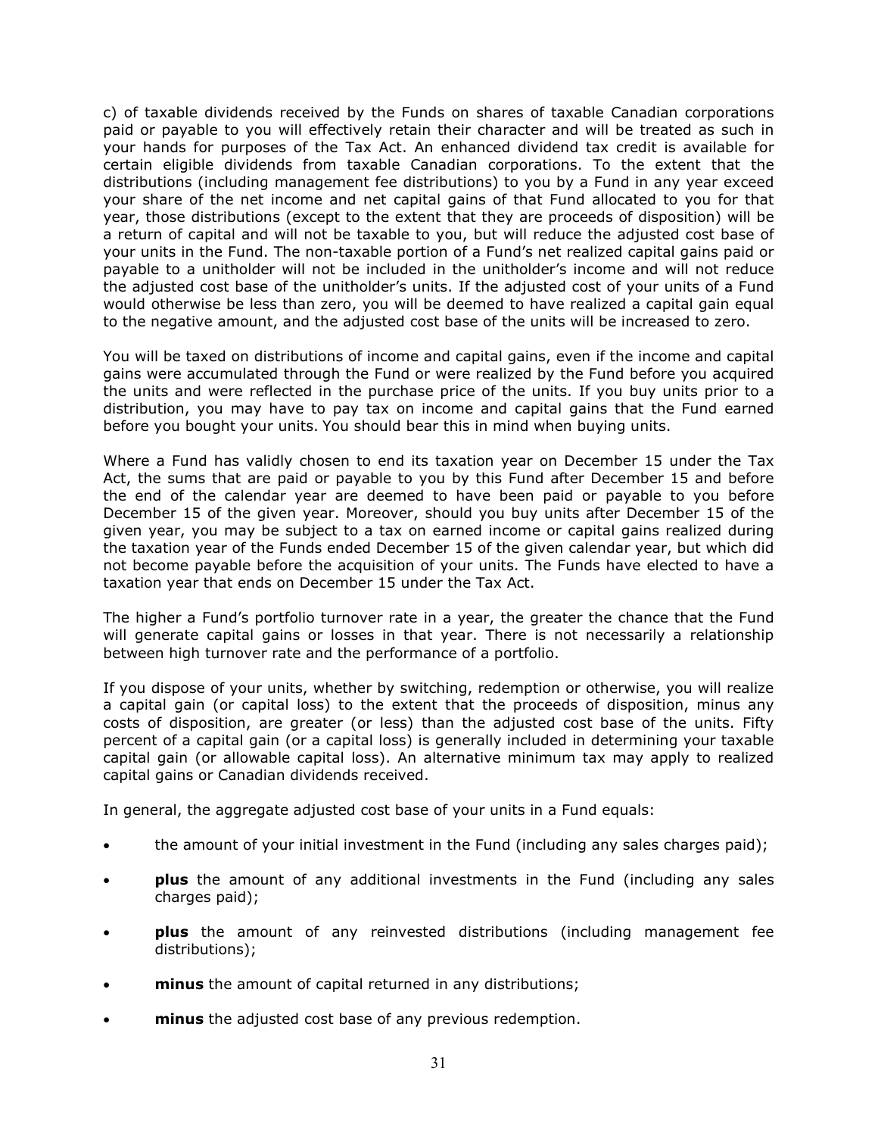c) of taxable dividends received by the Funds on shares of taxable Canadian corporations paid or payable to you will effectively retain their character and will be treated as such in your hands for purposes of the Tax Act. An enhanced dividend tax credit is available for certain eligible dividends from taxable Canadian corporations. To the extent that the distributions (including management fee distributions) to you by a Fund in any year exceed your share of the net income and net capital gains of that Fund allocated to you for that year, those distributions (except to the extent that they are proceeds of disposition) will be a return of capital and will not be taxable to you, but will reduce the adjusted cost base of your units in the Fund. The non-taxable portion of a Fund's net realized capital gains paid or payable to a unitholder will not be included in the unitholder's income and will not reduce the adjusted cost base of the unitholder's units. If the adjusted cost of your units of a Fund would otherwise be less than zero, you will be deemed to have realized a capital gain equal to the negative amount, and the adjusted cost base of the units will be increased to zero.

You will be taxed on distributions of income and capital gains, even if the income and capital gains were accumulated through the Fund or were realized by the Fund before you acquired the units and were reflected in the purchase price of the units. If you buy units prior to a distribution, you may have to pay tax on income and capital gains that the Fund earned before you bought your units. You should bear this in mind when buying units.

Where a Fund has validly chosen to end its taxation year on December 15 under the Tax Act, the sums that are paid or payable to you by this Fund after December 15 and before the end of the calendar year are deemed to have been paid or payable to you before December 15 of the given year. Moreover, should you buy units after December 15 of the given year, you may be subject to a tax on earned income or capital gains realized during the taxation year of the Funds ended December 15 of the given calendar year, but which did not become payable before the acquisition of your units. The Funds have elected to have a taxation year that ends on December 15 under the Tax Act.

The higher a Fund's portfolio turnover rate in a year, the greater the chance that the Fund will generate capital gains or losses in that year. There is not necessarily a relationship between high turnover rate and the performance of a portfolio.

If you dispose of your units, whether by switching, redemption or otherwise, you will realize a capital gain (or capital loss) to the extent that the proceeds of disposition, minus any costs of disposition, are greater (or less) than the adjusted cost base of the units. Fifty percent of a capital gain (or a capital loss) is generally included in determining your taxable capital gain (or allowable capital loss). An alternative minimum tax may apply to realized capital gains or Canadian dividends received.

In general, the aggregate adjusted cost base of your units in a Fund equals:

- the amount of your initial investment in the Fund (including any sales charges paid);
- **plus** the amount of any additional investments in the Fund (including any sales charges paid);
- **plus** the amount of any reinvested distributions (including management fee distributions);
- **minus** the amount of capital returned in any distributions;
- **minus** the adjusted cost base of any previous redemption.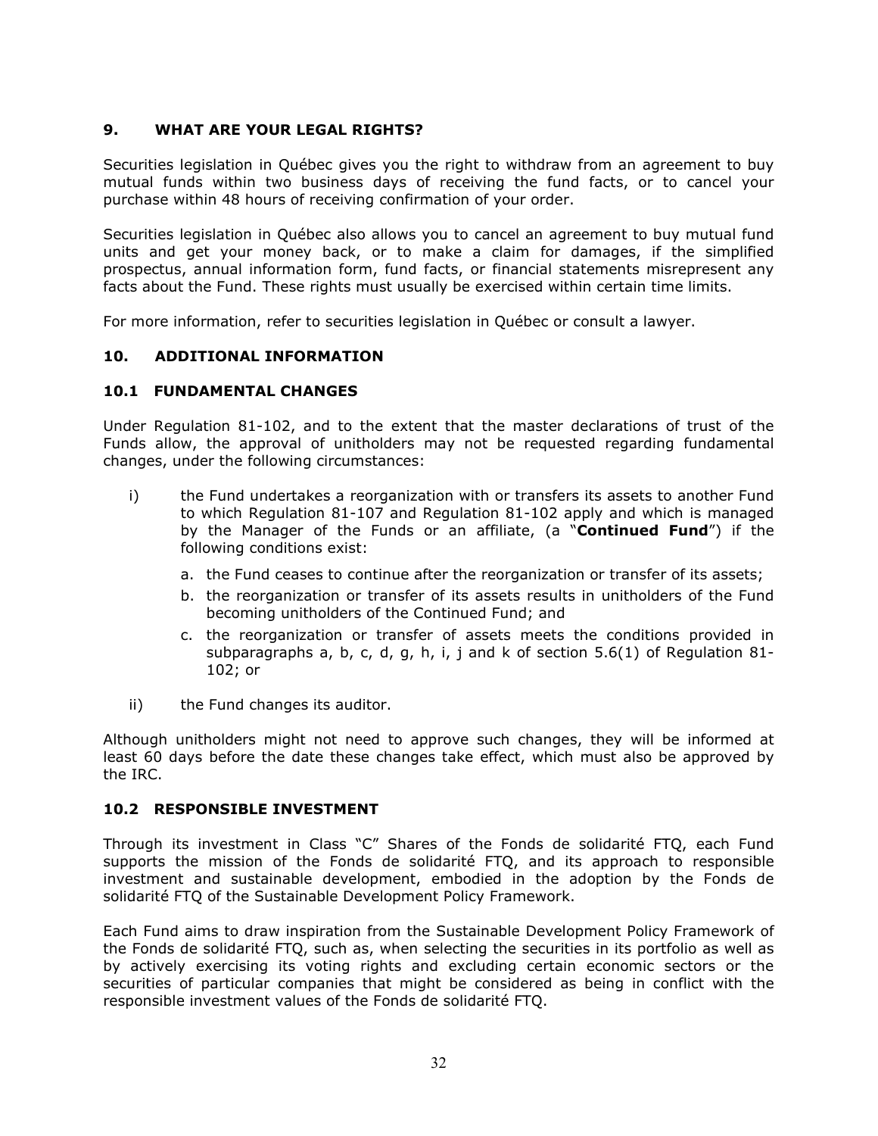## <span id="page-34-0"></span>**9. WHAT ARE YOUR LEGAL RIGHTS?**

Securities legislation in Québec gives you the right to withdraw from an agreement to buy mutual funds within two business days of receiving the fund facts, or to cancel your purchase within 48 hours of receiving confirmation of your order.

Securities legislation in Québec also allows you to cancel an agreement to buy mutual fund units and get your money back, or to make a claim for damages, if the simplified prospectus, annual information form, fund facts, or financial statements misrepresent any facts about the Fund. These rights must usually be exercised within certain time limits.

For more information, refer to securities legislation in Québec or consult a lawyer.

#### <span id="page-34-1"></span>**10. ADDITIONAL INFORMATION**

#### **10.1 FUNDAMENTAL CHANGES**

Under Regulation 81-102, and to the extent that the master declarations of trust of the Funds allow, the approval of unitholders may not be requested regarding fundamental changes, under the following circumstances:

- i) the Fund undertakes a reorganization with or transfers its assets to another Fund to which Regulation 81-107 and Regulation 81-102 apply and which is managed by the Manager of the Funds or an affiliate, (a "**Continued Fund**") if the following conditions exist:
	- a. the Fund ceases to continue after the reorganization or transfer of its assets;
	- b. the reorganization or transfer of its assets results in unitholders of the Fund becoming unitholders of the Continued Fund; and
	- c. the reorganization or transfer of assets meets the conditions provided in subparagraphs a, b, c, d, g, h, i, j and k of section 5.6(1) of Regulation 81- 102; or
- ii) the Fund changes its auditor.

Although unitholders might not need to approve such changes, they will be informed at least 60 days before the date these changes take effect, which must also be approved by the IRC.

#### **10.2 RESPONSIBLE INVESTMENT**

Through its investment in Class "C" Shares of the Fonds de solidarité FTQ, each Fund supports the mission of the Fonds de solidarité FTQ, and its approach to responsible investment and sustainable development, embodied in the adoption by the Fonds de solidarité FTQ of the Sustainable Development Policy Framework.

Each Fund aims to draw inspiration from the Sustainable Development Policy Framework of the Fonds de solidarité FTQ, such as, when selecting the securities in its portfolio as well as by actively exercising its voting rights and excluding certain economic sectors or the securities of particular companies that might be considered as being in conflict with the responsible investment values of the Fonds de solidarité FTQ.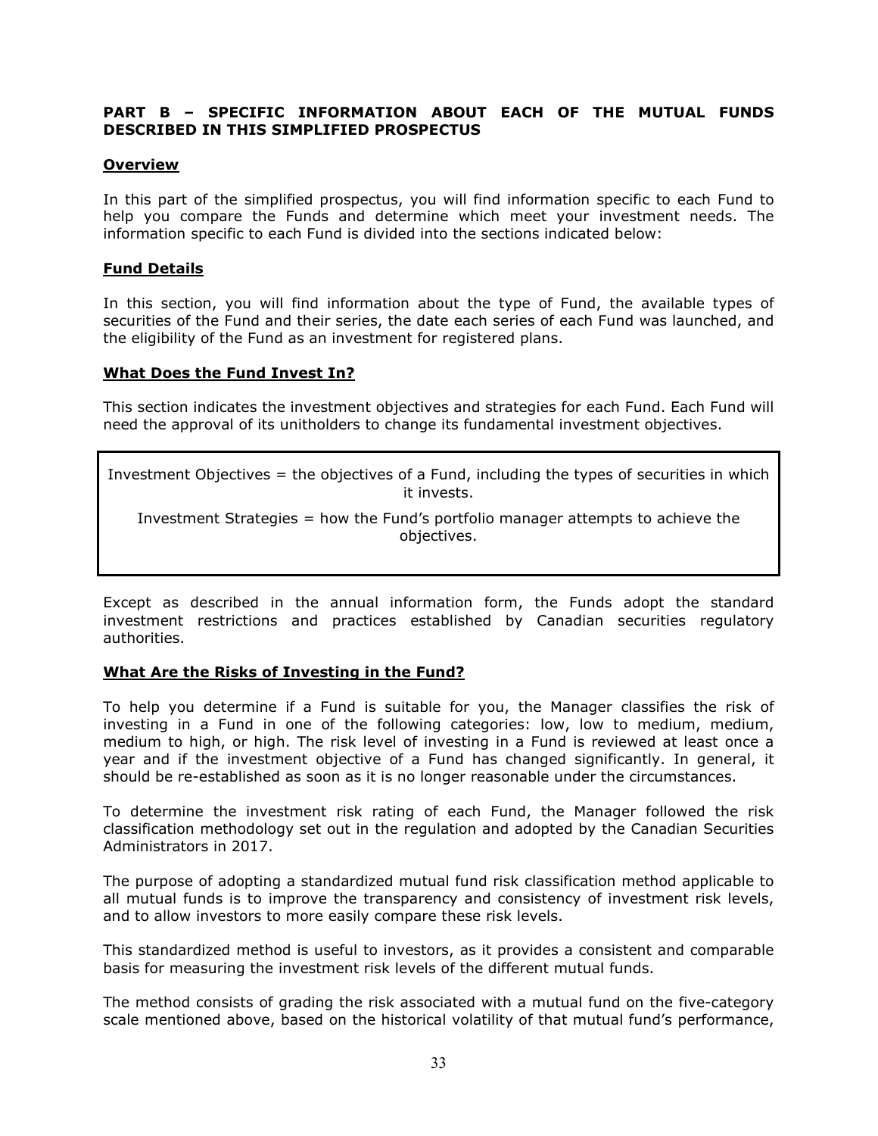## <span id="page-35-0"></span>**PART B – SPECIFIC INFORMATION ABOUT EACH OF THE MUTUAL FUNDS DESCRIBED IN THIS SIMPLIFIED PROSPECTUS**

## **Overview**

In this part of the simplified prospectus, you will find information specific to each Fund to help you compare the Funds and determine which meet your investment needs. The information specific to each Fund is divided into the sections indicated below:

## **Fund Details**

In this section, you will find information about the type of Fund, the available types of securities of the Fund and their series, the date each series of each Fund was launched, and the eligibility of the Fund as an investment for registered plans.

## **What Does the Fund Invest In?**

This section indicates the investment objectives and strategies for each Fund. Each Fund will need the approval of its unitholders to change its fundamental investment objectives.

Investment Objectives = the objectives of a Fund, including the types of securities in which it invests.

Investment Strategies = how the Fund's portfolio manager attempts to achieve the objectives.

Except as described in the annual information form, the Funds adopt the standard investment restrictions and practices established by Canadian securities regulatory authorities.

#### **What Are the Risks of Investing in the Fund?**

To help you determine if a Fund is suitable for you, the Manager classifies the risk of investing in a Fund in one of the following categories: low, low to medium, medium, medium to high, or high. The risk level of investing in a Fund is reviewed at least once a year and if the investment objective of a Fund has changed significantly. In general, it should be re-established as soon as it is no longer reasonable under the circumstances.

To determine the investment risk rating of each Fund, the Manager followed the risk classification methodology set out in the regulation and adopted by the Canadian Securities Administrators in 2017.

The purpose of adopting a standardized mutual fund risk classification method applicable to all mutual funds is to improve the transparency and consistency of investment risk levels, and to allow investors to more easily compare these risk levels.

This standardized method is useful to investors, as it provides a consistent and comparable basis for measuring the investment risk levels of the different mutual funds.

The method consists of grading the risk associated with a mutual fund on the five-category scale mentioned above, based on the historical volatility of that mutual fund's performance,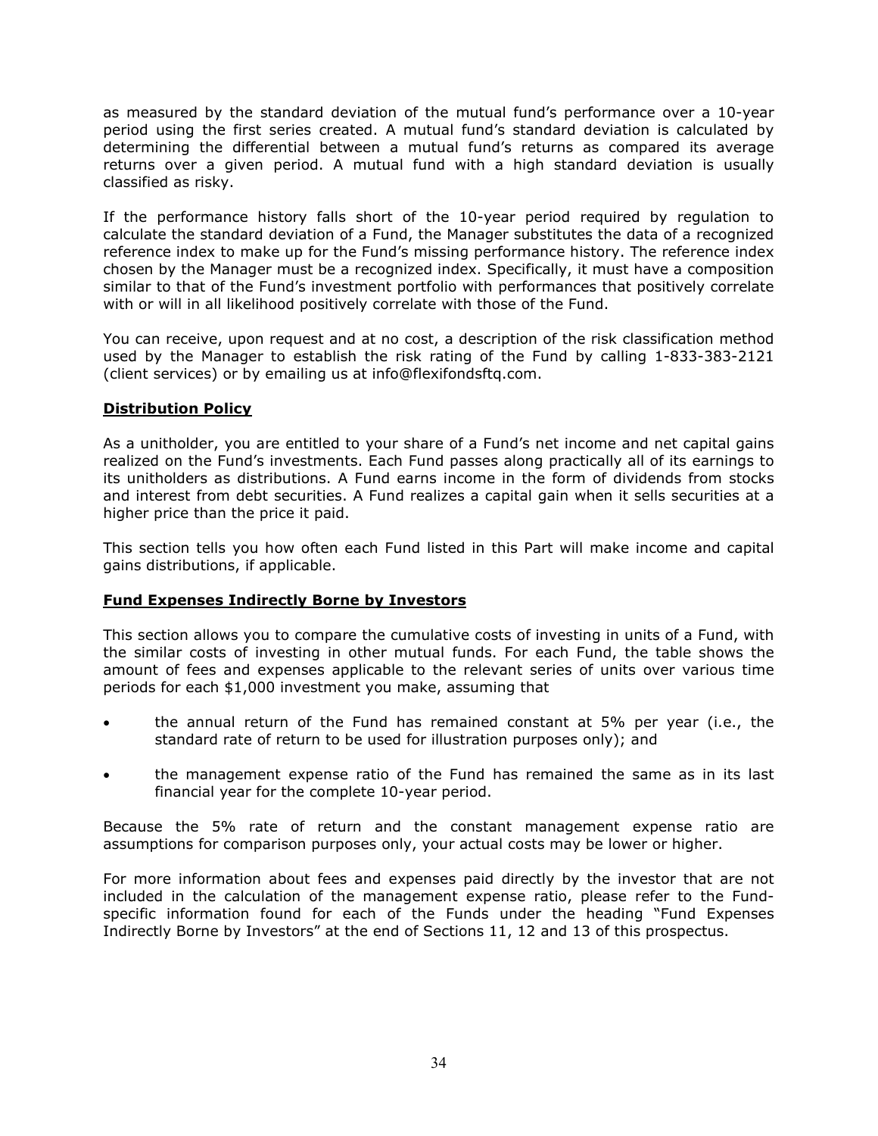as measured by the standard deviation of the mutual fund's performance over a 10-year period using the first series created. A mutual fund's standard deviation is calculated by determining the differential between a mutual fund's returns as compared its average returns over a given period. A mutual fund with a high standard deviation is usually classified as risky.

If the performance history falls short of the 10-year period required by regulation to calculate the standard deviation of a Fund, the Manager substitutes the data of a recognized reference index to make up for the Fund's missing performance history. The reference index chosen by the Manager must be a recognized index. Specifically, it must have a composition similar to that of the Fund's investment portfolio with performances that positively correlate with or will in all likelihood positively correlate with those of the Fund.

You can receive, upon request and at no cost, a description of the risk classification method used by the Manager to establish the risk rating of the Fund by calling 1-833-383-2121 (client services) or by emailing us at info@flexifondsftq.com.

# **Distribution Policy**

As a unitholder, you are entitled to your share of a Fund's net income and net capital gains realized on the Fund's investments. Each Fund passes along practically all of its earnings to its unitholders as distributions. A Fund earns income in the form of dividends from stocks and interest from debt securities. A Fund realizes a capital gain when it sells securities at a higher price than the price it paid.

This section tells you how often each Fund listed in this Part will make income and capital gains distributions, if applicable.

# **Fund Expenses Indirectly Borne by Investors**

This section allows you to compare the cumulative costs of investing in units of a Fund, with the similar costs of investing in other mutual funds. For each Fund, the table shows the amount of fees and expenses applicable to the relevant series of units over various time periods for each \$1,000 investment you make, assuming that

- the annual return of the Fund has remained constant at 5% per year (i.e., the standard rate of return to be used for illustration purposes only); and
- the management expense ratio of the Fund has remained the same as in its last financial year for the complete 10-year period.

Because the 5% rate of return and the constant management expense ratio are assumptions for comparison purposes only, your actual costs may be lower or higher.

For more information about fees and expenses paid directly by the investor that are not included in the calculation of the management expense ratio, please refer to the Fundspecific information found for each of the Funds under the heading "Fund Expenses Indirectly Borne by Investors" at the end of Sections 11, 12 and 13 of this prospectus.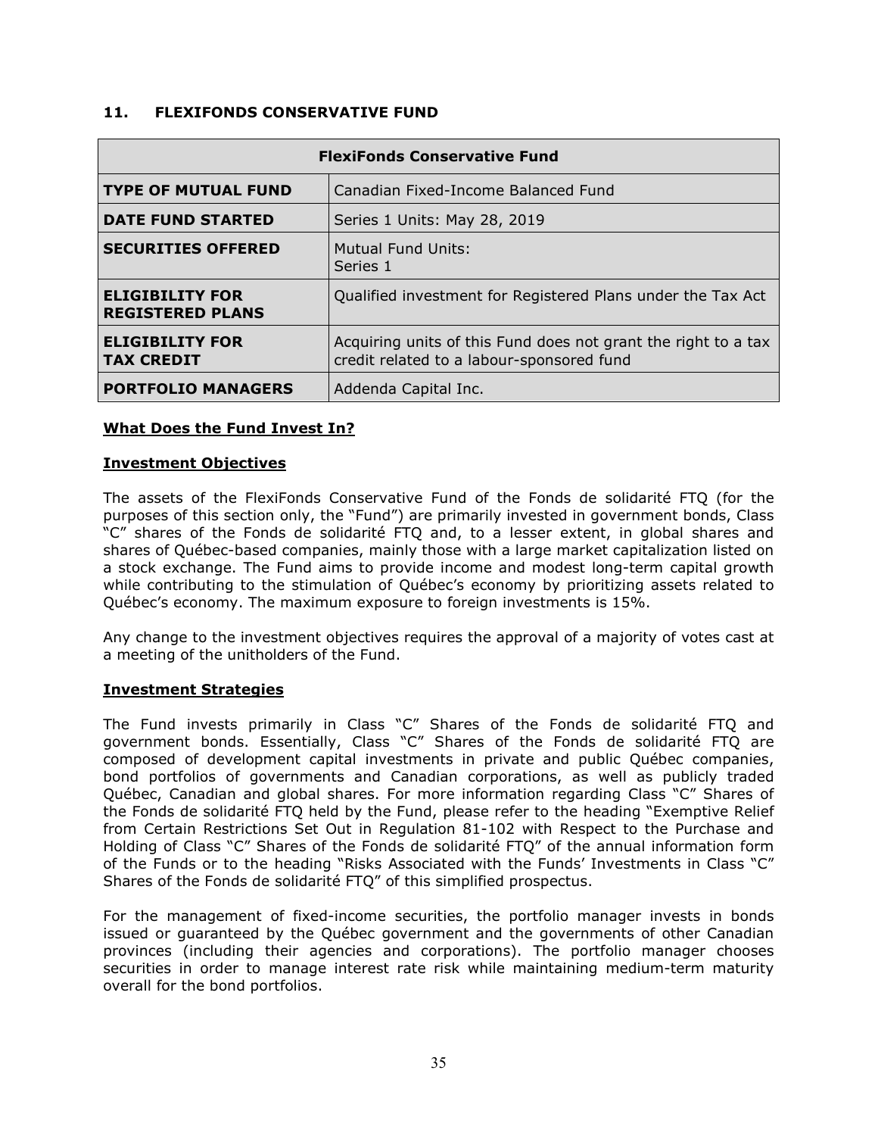## <span id="page-37-0"></span>**11. FLEXIFONDS CONSERVATIVE FUND**

| <b>FlexiFonds Conservative Fund</b>                               |                                                                                                             |  |  |
|-------------------------------------------------------------------|-------------------------------------------------------------------------------------------------------------|--|--|
| <b>TYPE OF MUTUAL FUND</b><br>Canadian Fixed-Income Balanced Fund |                                                                                                             |  |  |
| <b>DATE FUND STARTED</b>                                          | Series 1 Units: May 28, 2019                                                                                |  |  |
| <b>SECURITIES OFFERED</b>                                         | Mutual Fund Units:<br>Series 1                                                                              |  |  |
| <b>ELIGIBILITY FOR</b><br><b>REGISTERED PLANS</b>                 | Qualified investment for Registered Plans under the Tax Act                                                 |  |  |
| <b>ELIGIBILITY FOR</b><br><b>TAX CREDIT</b>                       | Acquiring units of this Fund does not grant the right to a tax<br>credit related to a labour-sponsored fund |  |  |
| <b>PORTFOLIO MANAGERS</b>                                         | Addenda Capital Inc.                                                                                        |  |  |

#### **What Does the Fund Invest In?**

#### **Investment Objectives**

The assets of the FlexiFonds Conservative Fund of the Fonds de solidarité FTQ (for the purposes of this section only, the "Fund") are primarily invested in government bonds, Class "C" shares of the Fonds de solidarité FTQ and, to a lesser extent, in global shares and shares of Québec-based companies, mainly those with a large market capitalization listed on a stock exchange. The Fund aims to provide income and modest long-term capital growth while contributing to the stimulation of Québec's economy by prioritizing assets related to Québec's economy. The maximum exposure to foreign investments is 15%.

Any change to the investment objectives requires the approval of a majority of votes cast at a meeting of the unitholders of the Fund.

#### **Investment Strategies**

The Fund invests primarily in Class "C" Shares of the Fonds de solidarité FTQ and government bonds. Essentially, Class "C" Shares of the Fonds de solidarité FTQ are composed of development capital investments in private and public Québec companies, bond portfolios of governments and Canadian corporations, as well as publicly traded Québec, Canadian and global shares. For more information regarding Class "C" Shares of the Fonds de solidarité FTQ held by the Fund, please refer to the heading "Exemptive Relief from Certain Restrictions Set Out in Regulation 81-102 with Respect to the Purchase and Holding of Class "C" Shares of the Fonds de solidarité FTQ" of the annual information form of the Funds or to the heading "Risks Associated with the Funds' Investments in Class "C" Shares of the Fonds de solidarité FTQ" of this simplified prospectus.

For the management of fixed-income securities, the portfolio manager invests in bonds issued or guaranteed by the Québec government and the governments of other Canadian provinces (including their agencies and corporations). The portfolio manager chooses securities in order to manage interest rate risk while maintaining medium-term maturity overall for the bond portfolios.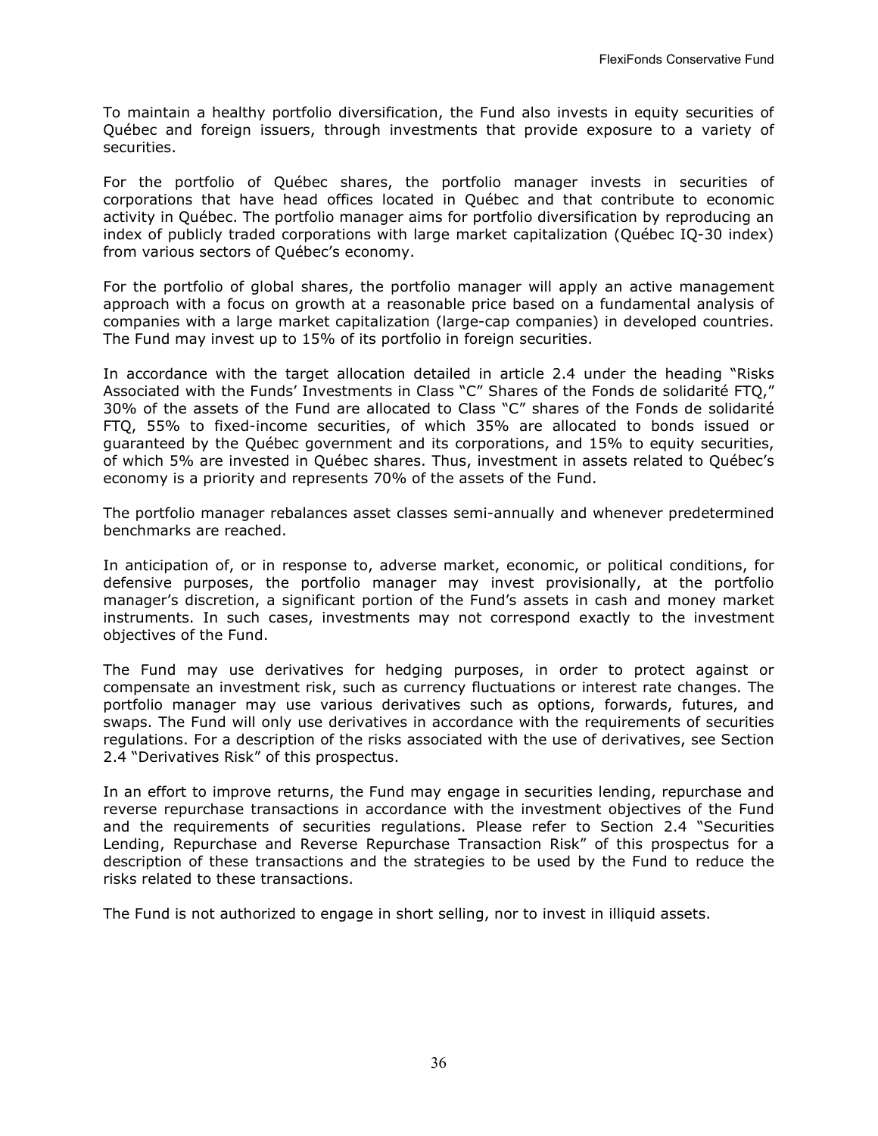To maintain a healthy portfolio diversification, the Fund also invests in equity securities of Québec and foreign issuers, through investments that provide exposure to a variety of securities.

For the portfolio of Québec shares, the portfolio manager invests in securities of corporations that have head offices located in Québec and that contribute to economic activity in Québec. The portfolio manager aims for portfolio diversification by reproducing an index of publicly traded corporations with large market capitalization (Québec IQ-30 index) from various sectors of Québec's economy.

For the portfolio of global shares, the portfolio manager will apply an active management approach with a focus on growth at a reasonable price based on a fundamental analysis of companies with a large market capitalization (large-cap companies) in developed countries. The Fund may invest up to 15% of its portfolio in foreign securities.

In accordance with the target allocation detailed in article 2.4 under the heading "Risks Associated with the Funds' Investments in Class "C" Shares of the Fonds de solidarité FTQ," 30% of the assets of the Fund are allocated to Class "C" shares of the Fonds de solidarité FTQ, 55% to fixed-income securities, of which 35% are allocated to bonds issued or guaranteed by the Québec government and its corporations, and 15% to equity securities, of which 5% are invested in Québec shares. Thus, investment in assets related to Québec's economy is a priority and represents 70% of the assets of the Fund.

The portfolio manager rebalances asset classes semi-annually and whenever predetermined benchmarks are reached.

In anticipation of, or in response to, adverse market, economic, or political conditions, for defensive purposes, the portfolio manager may invest provisionally, at the portfolio manager's discretion, a significant portion of the Fund's assets in cash and money market instruments. In such cases, investments may not correspond exactly to the investment objectives of the Fund.

The Fund may use derivatives for hedging purposes, in order to protect against or compensate an investment risk, such as currency fluctuations or interest rate changes. The portfolio manager may use various derivatives such as options, forwards, futures, and swaps. The Fund will only use derivatives in accordance with the requirements of securities regulations. For a description of the risks associated with the use of derivatives, see Section 2.4 "Derivatives Risk" of this prospectus.

In an effort to improve returns, the Fund may engage in securities lending, repurchase and reverse repurchase transactions in accordance with the investment objectives of the Fund and the requirements of securities regulations. Please refer to Section 2.4 "Securities Lending, Repurchase and Reverse Repurchase Transaction Risk" of this prospectus for a description of these transactions and the strategies to be used by the Fund to reduce the risks related to these transactions.

The Fund is not authorized to engage in short selling, nor to invest in illiquid assets.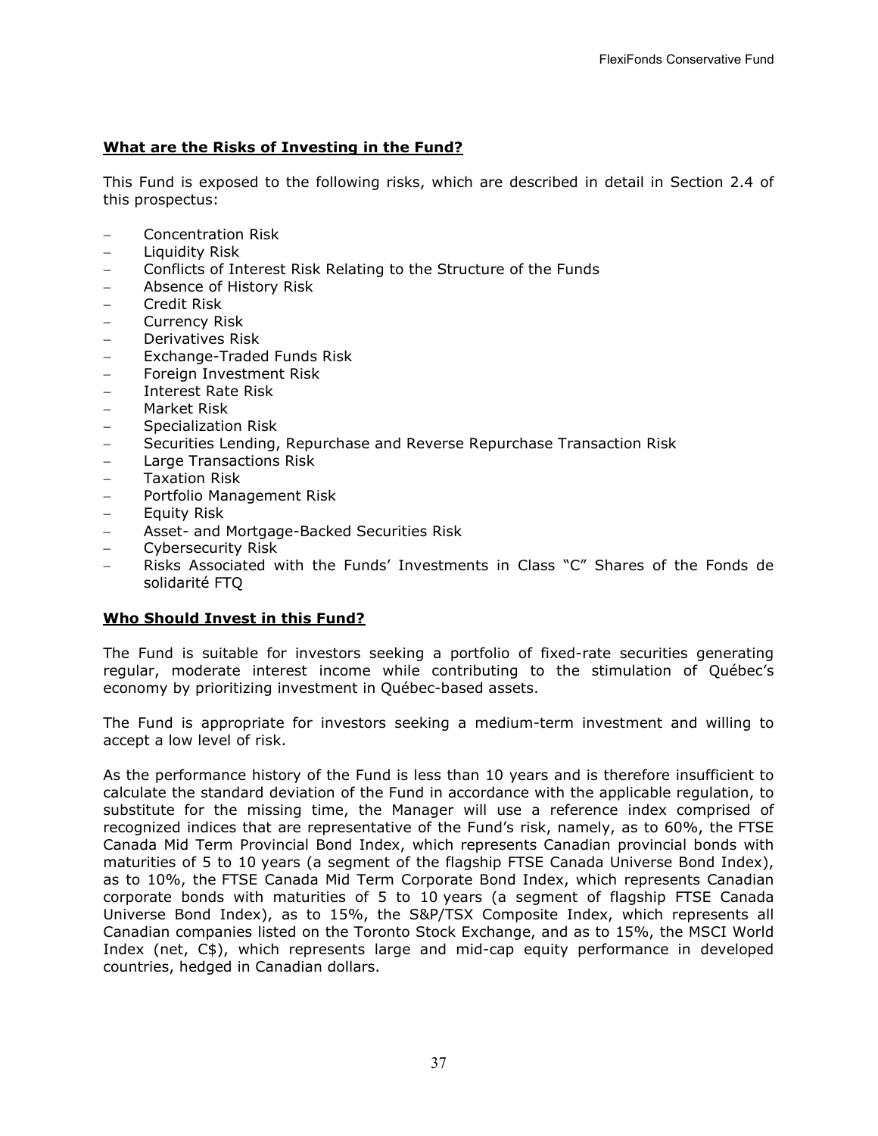# **What are the Risks of Investing in the Fund?**

This Fund is exposed to the following risks, which are described in detail in Section [2.4](#page-6-0) of this prospectus:

- − Concentration Risk
- − Liquidity Risk
- − Conflicts of Interest Risk Relating to the Structure of the Funds
- − Absence of History Risk
- − Credit Risk
- − Currency Risk
- − Derivatives Risk
- − Exchange-Traded Funds Risk
- − Foreign Investment Risk
- − Interest Rate Risk
- − Market Risk
- − Specialization Risk
- − Securities Lending, Repurchase and Reverse Repurchase Transaction Risk
- − Large Transactions Risk
- − Taxation Risk
- − Portfolio Management Risk
- − Equity Risk
- − Asset- and Mortgage-Backed Securities Risk
- − Cybersecurity Risk
- − Risks Associated with the Funds' Investments in Class "C" Shares of the Fonds de solidarité FTQ

#### **Who Should Invest in this Fund?**

The Fund is suitable for investors seeking a portfolio of fixed-rate securities generating regular, moderate interest income while contributing to the stimulation of Québec's economy by prioritizing investment in Québec-based assets.

The Fund is appropriate for investors seeking a medium-term investment and willing to accept a low level of risk.

As the performance history of the Fund is less than 10 years and is therefore insufficient to calculate the standard deviation of the Fund in accordance with the applicable regulation, to substitute for the missing time, the Manager will use a reference index comprised of recognized indices that are representative of the Fund's risk, namely, as to 60%, the FTSE Canada Mid Term Provincial Bond Index, which represents Canadian provincial bonds with maturities of 5 to 10 years (a segment of the flagship FTSE Canada Universe Bond Index), as to 10%, the FTSE Canada Mid Term Corporate Bond Index, which represents Canadian corporate bonds with maturities of 5 to 10 years (a segment of flagship FTSE Canada Universe Bond Index), as to 15%, the S&P/TSX Composite Index, which represents all Canadian companies listed on the Toronto Stock Exchange, and as to 15%, the MSCI World Index (net, C\$), which represents large and mid-cap equity performance in developed countries, hedged in Canadian dollars.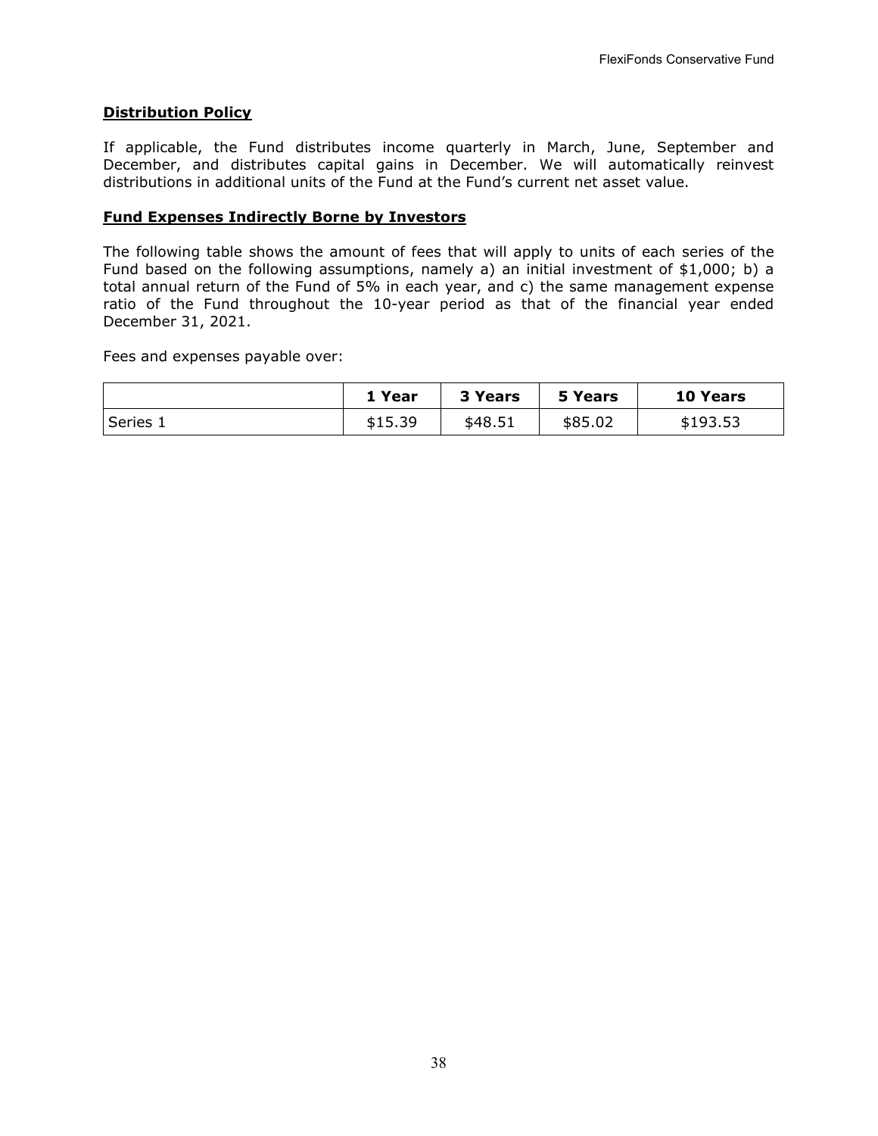## **Distribution Policy**

If applicable, the Fund distributes income quarterly in March, June, September and December, and distributes capital gains in December. We will automatically reinvest distributions in additional units of the Fund at the Fund's current net asset value.

## **Fund Expenses Indirectly Borne by Investors**

The following table shows the amount of fees that will apply to units of each series of the Fund based on the following assumptions, namely a) an initial investment of \$1,000; b) a total annual return of the Fund of 5% in each year, and c) the same management expense ratio of the Fund throughout the 10-year period as that of the financial year ended December 31, 2021.

Fees and expenses payable over:

|          | . Year  | 3 Years | 5 Years | 10 Years |
|----------|---------|---------|---------|----------|
| Series 1 | \$15.39 | \$48.51 | \$85.02 | \$193.53 |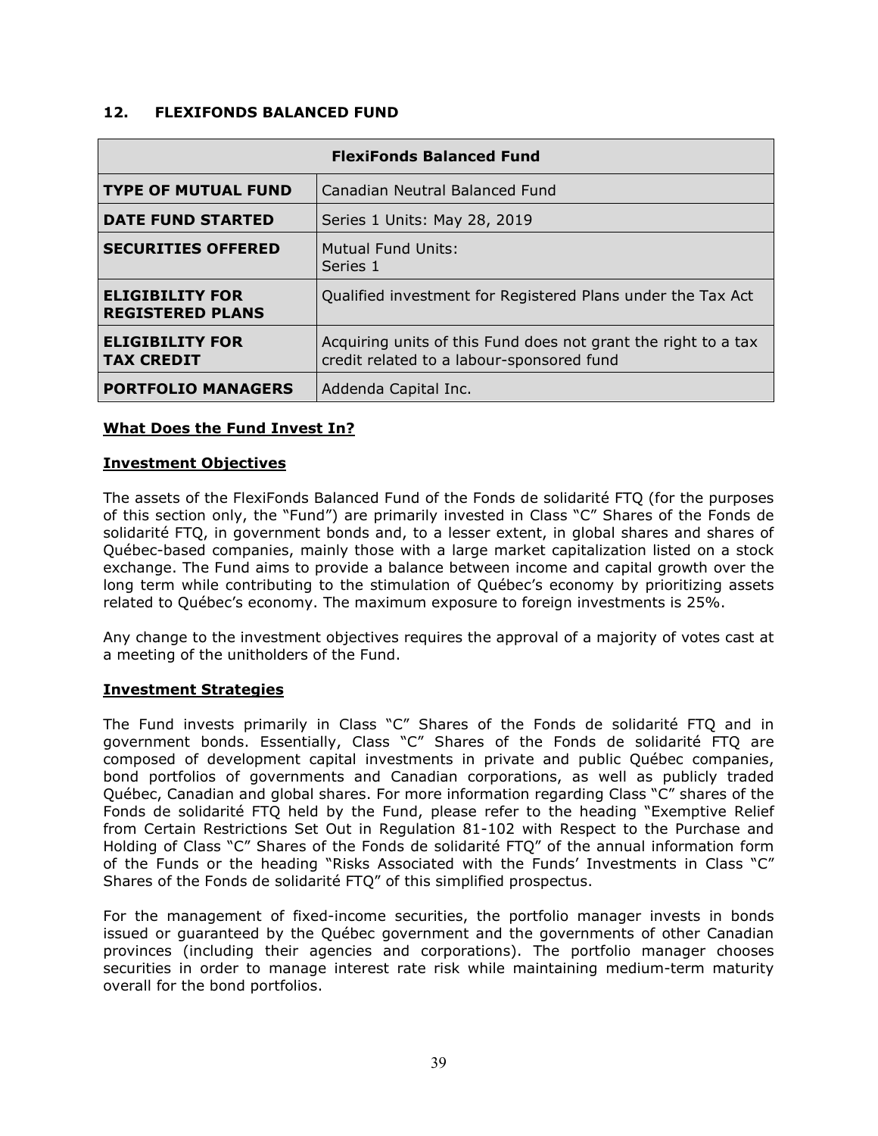## <span id="page-41-0"></span>**12. FLEXIFONDS BALANCED FUND**

| <b>FlexiFonds Balanced Fund</b>                   |                                                                                                             |  |  |
|---------------------------------------------------|-------------------------------------------------------------------------------------------------------------|--|--|
| <b>TYPE OF MUTUAL FUND</b>                        | Canadian Neutral Balanced Fund                                                                              |  |  |
| <b>DATE FUND STARTED</b>                          | Series 1 Units: May 28, 2019                                                                                |  |  |
| <b>SECURITIES OFFERED</b>                         | Mutual Fund Units:<br>Series 1                                                                              |  |  |
| <b>ELIGIBILITY FOR</b><br><b>REGISTERED PLANS</b> | Qualified investment for Registered Plans under the Tax Act                                                 |  |  |
| <b>ELIGIBILITY FOR</b><br><b>TAX CREDIT</b>       | Acquiring units of this Fund does not grant the right to a tax<br>credit related to a labour-sponsored fund |  |  |
| <b>PORTFOLIO MANAGERS</b>                         | Addenda Capital Inc.                                                                                        |  |  |

#### **What Does the Fund Invest In?**

#### **Investment Objectives**

The assets of the FlexiFonds Balanced Fund of the Fonds de solidarité FTQ (for the purposes of this section only, the "Fund") are primarily invested in Class "C" Shares of the Fonds de solidarité FTQ, in government bonds and, to a lesser extent, in global shares and shares of Québec-based companies, mainly those with a large market capitalization listed on a stock exchange. The Fund aims to provide a balance between income and capital growth over the long term while contributing to the stimulation of Québec's economy by prioritizing assets related to Québec's economy. The maximum exposure to foreign investments is 25%.

Any change to the investment objectives requires the approval of a majority of votes cast at a meeting of the unitholders of the Fund.

#### **Investment Strategies**

The Fund invests primarily in Class "C" Shares of the Fonds de solidarité FTQ and in government bonds. Essentially, Class "C" Shares of the Fonds de solidarité FTQ are composed of development capital investments in private and public Québec companies, bond portfolios of governments and Canadian corporations, as well as publicly traded Québec, Canadian and global shares. For more information regarding Class "C" shares of the Fonds de solidarité FTQ held by the Fund, please refer to the heading "Exemptive Relief from Certain Restrictions Set Out in Regulation 81-102 with Respect to the Purchase and Holding of Class "C" Shares of the Fonds de solidarité FTQ" of the annual information form of the Funds or the heading "Risks Associated with the Funds' Investments in Class "C" Shares of the Fonds de solidarité FTQ" of this simplified prospectus.

For the management of fixed-income securities, the portfolio manager invests in bonds issued or guaranteed by the Québec government and the governments of other Canadian provinces (including their agencies and corporations). The portfolio manager chooses securities in order to manage interest rate risk while maintaining medium-term maturity overall for the bond portfolios.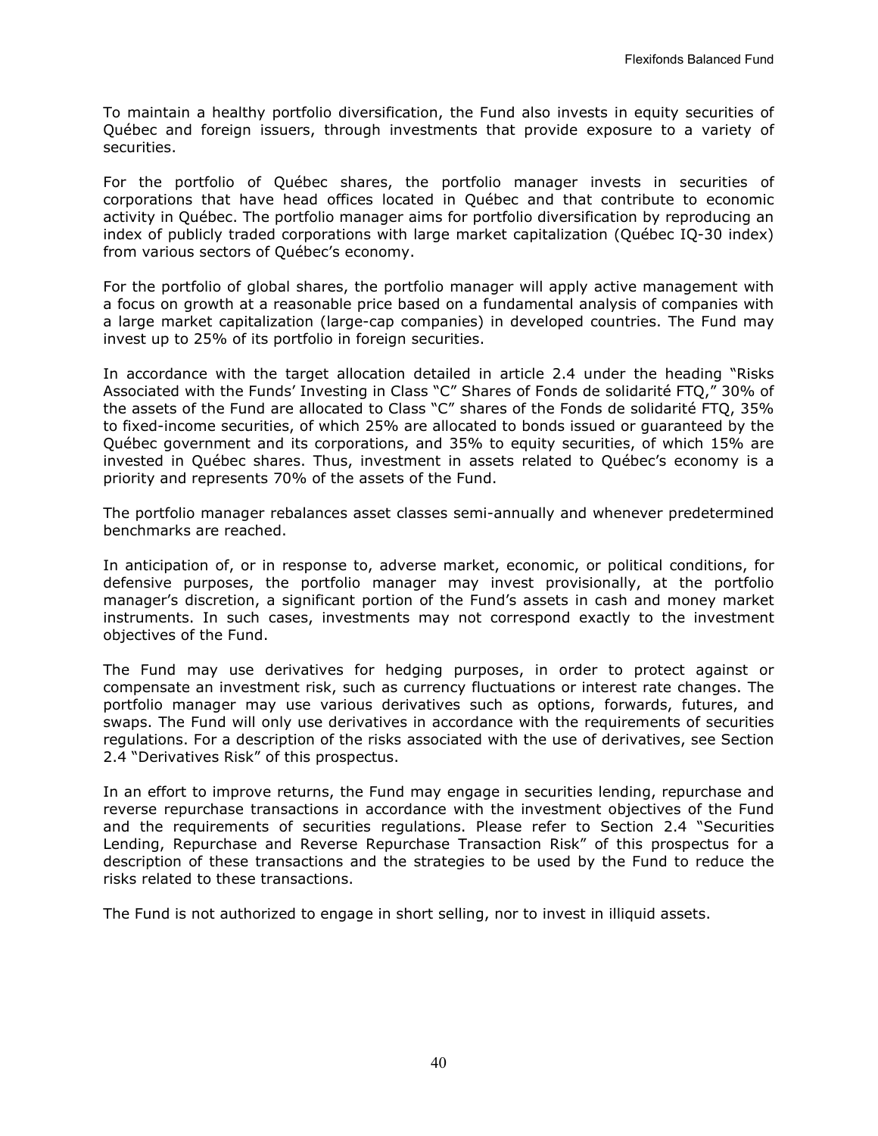To maintain a healthy portfolio diversification, the Fund also invests in equity securities of Québec and foreign issuers, through investments that provide exposure to a variety of securities.

For the portfolio of Québec shares, the portfolio manager invests in securities of corporations that have head offices located in Québec and that contribute to economic activity in Québec. The portfolio manager aims for portfolio diversification by reproducing an index of publicly traded corporations with large market capitalization (Québec IQ-30 index) from various sectors of Québec's economy.

For the portfolio of global shares, the portfolio manager will apply active management with a focus on growth at a reasonable price based on a fundamental analysis of companies with a large market capitalization (large-cap companies) in developed countries. The Fund may invest up to 25% of its portfolio in foreign securities.

In accordance with the target allocation detailed in article 2.4 under the heading "Risks Associated with the Funds' Investing in Class "C" Shares of Fonds de solidarité FTQ," 30% of the assets of the Fund are allocated to Class "C" shares of the Fonds de solidarité FTQ, 35% to fixed-income securities, of which 25% are allocated to bonds issued or guaranteed by the Québec government and its corporations, and 35% to equity securities, of which 15% are invested in Québec shares. Thus, investment in assets related to Québec's economy is a priority and represents 70% of the assets of the Fund.

The portfolio manager rebalances asset classes semi-annually and whenever predetermined benchmarks are reached.

In anticipation of, or in response to, adverse market, economic, or political conditions, for defensive purposes, the portfolio manager may invest provisionally, at the portfolio manager's discretion, a significant portion of the Fund's assets in cash and money market instruments. In such cases, investments may not correspond exactly to the investment objectives of the Fund.

The Fund may use derivatives for hedging purposes, in order to protect against or compensate an investment risk, such as currency fluctuations or interest rate changes. The portfolio manager may use various derivatives such as options, forwards, futures, and swaps. The Fund will only use derivatives in accordance with the requirements of securities regulations. For a description of the risks associated with the use of derivatives, see Section 2.4 "Derivatives Risk" of this prospectus.

In an effort to improve returns, the Fund may engage in securities lending, repurchase and reverse repurchase transactions in accordance with the investment objectives of the Fund and the requirements of securities regulations. Please refer to Section 2.4 "Securities Lending, Repurchase and Reverse Repurchase Transaction Risk" of this prospectus for a description of these transactions and the strategies to be used by the Fund to reduce the risks related to these transactions.

The Fund is not authorized to engage in short selling, nor to invest in illiquid assets.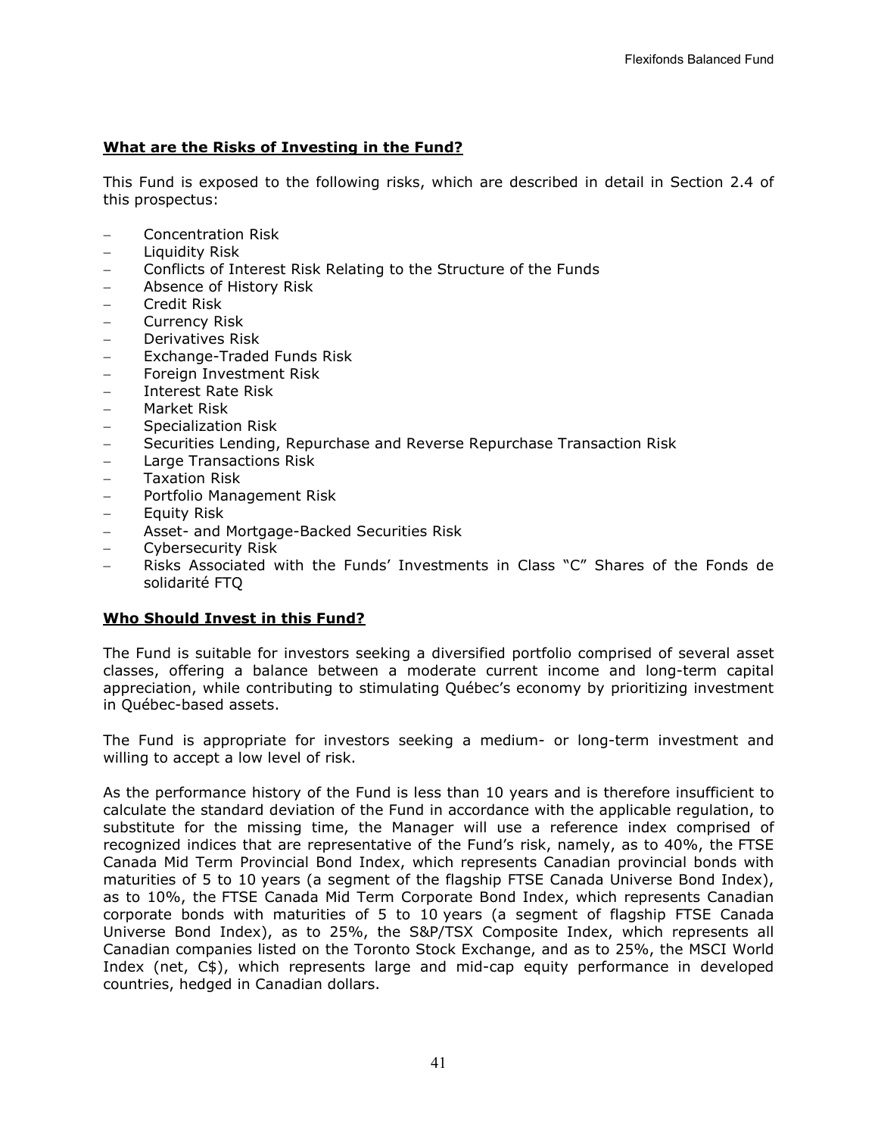## **What are the Risks of Investing in the Fund?**

This Fund is exposed to the following risks, which are described in detail in Section [2.4](#page-6-0) of this prospectus:

- − Concentration Risk
- − Liquidity Risk
- − Conflicts of Interest Risk Relating to the Structure of the Funds
- − Absence of History Risk
- − Credit Risk
- − Currency Risk
- − Derivatives Risk
- − Exchange-Traded Funds Risk
- − Foreign Investment Risk
- − Interest Rate Risk
- − Market Risk
- − Specialization Risk
- − Securities Lending, Repurchase and Reverse Repurchase Transaction Risk
- − Large Transactions Risk
- − Taxation Risk
- − Portfolio Management Risk
- − Equity Risk
- − Asset- and Mortgage-Backed Securities Risk
- − Cybersecurity Risk
- − Risks Associated with the Funds' Investments in Class "C" Shares of the Fonds de solidarité FTQ

#### **Who Should Invest in this Fund?**

The Fund is suitable for investors seeking a diversified portfolio comprised of several asset classes, offering a balance between a moderate current income and long-term capital appreciation, while contributing to stimulating Québec's economy by prioritizing investment in Québec-based assets.

The Fund is appropriate for investors seeking a medium- or long-term investment and willing to accept a low level of risk.

As the performance history of the Fund is less than 10 years and is therefore insufficient to calculate the standard deviation of the Fund in accordance with the applicable regulation, to substitute for the missing time, the Manager will use a reference index comprised of recognized indices that are representative of the Fund's risk, namely, as to 40%, the FTSE Canada Mid Term Provincial Bond Index, which represents Canadian provincial bonds with maturities of 5 to 10 years (a segment of the flagship FTSE Canada Universe Bond Index), as to 10%, the FTSE Canada Mid Term Corporate Bond Index, which represents Canadian corporate bonds with maturities of 5 to 10 years (a segment of flagship FTSE Canada Universe Bond Index), as to 25%, the S&P/TSX Composite Index, which represents all Canadian companies listed on the Toronto Stock Exchange, and as to 25%, the MSCI World Index (net, C\$), which represents large and mid-cap equity performance in developed countries, hedged in Canadian dollars.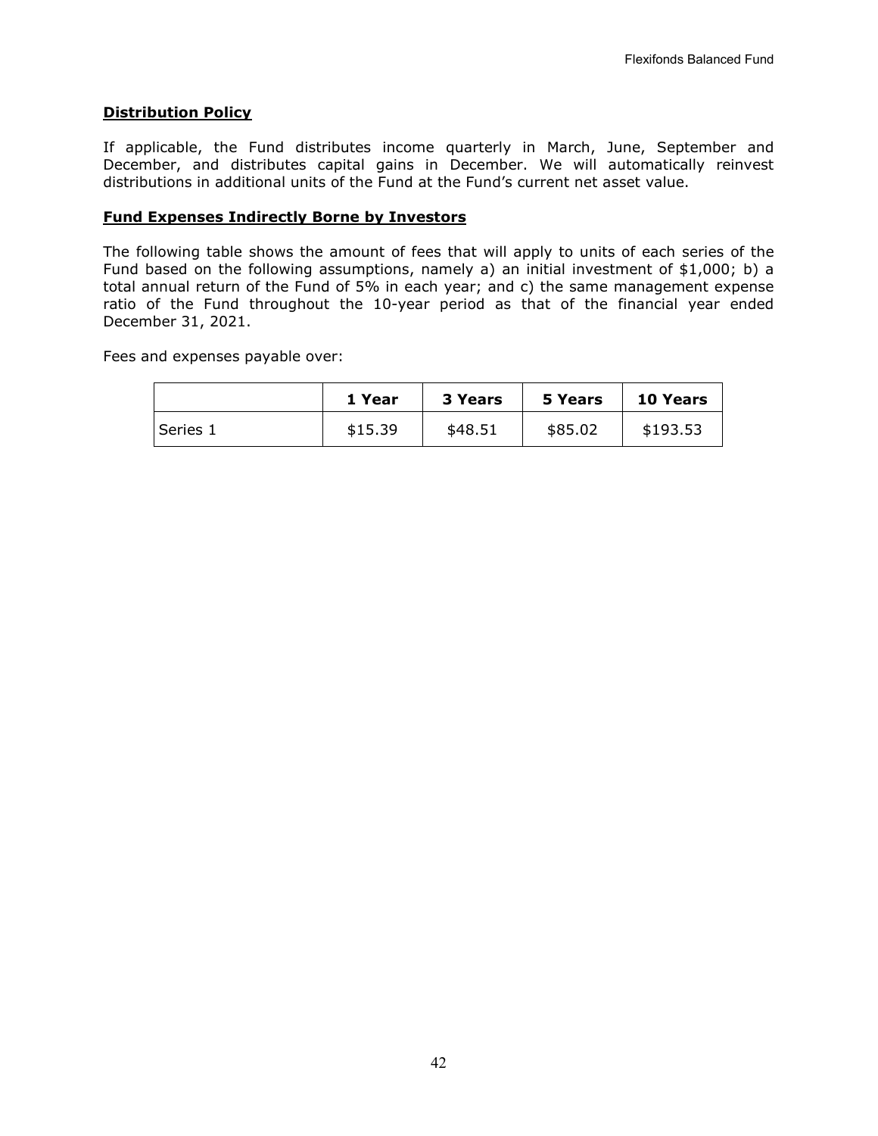## **Distribution Policy**

If applicable, the Fund distributes income quarterly in March, June, September and December, and distributes capital gains in December. We will automatically reinvest distributions in additional units of the Fund at the Fund's current net asset value.

## **Fund Expenses Indirectly Borne by Investors**

The following table shows the amount of fees that will apply to units of each series of the Fund based on the following assumptions, namely a) an initial investment of \$1,000; b) a total annual return of the Fund of 5% in each year; and c) the same management expense ratio of the Fund throughout the 10-year period as that of the financial year ended December 31, 2021.

Fees and expenses payable over:

|          | 1 Year  | <b>3 Years</b> | 5 Years | <b>10 Years</b> |
|----------|---------|----------------|---------|-----------------|
| Series 1 | \$15.39 | \$48.51        | \$85.02 | \$193.53        |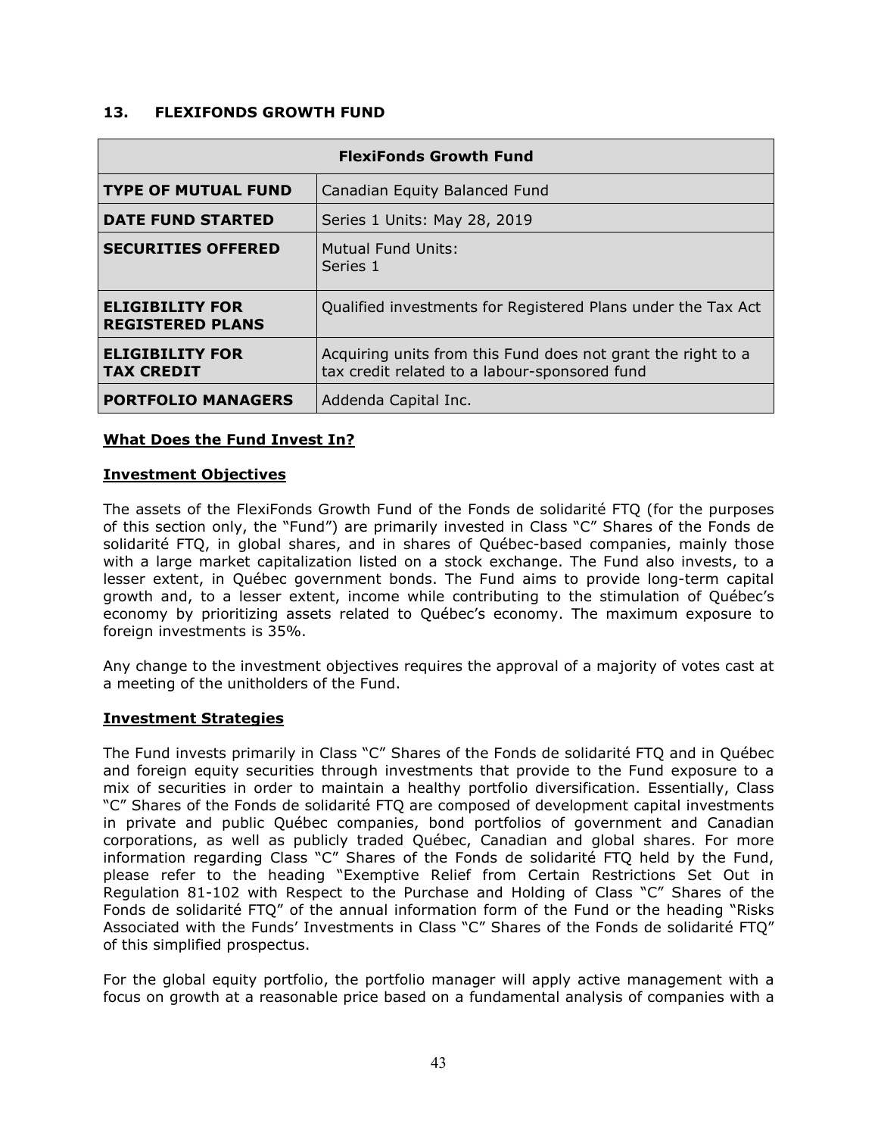## <span id="page-45-0"></span>**13. FLEXIFONDS GROWTH FUND**

| <b>FlexiFonds Growth Fund</b>                     |                                                                                                               |  |  |
|---------------------------------------------------|---------------------------------------------------------------------------------------------------------------|--|--|
| <b>TYPE OF MUTUAL FUND</b>                        | Canadian Equity Balanced Fund                                                                                 |  |  |
| <b>DATE FUND STARTED</b>                          | Series 1 Units: May 28, 2019                                                                                  |  |  |
| <b>SECURITIES OFFERED</b>                         | Mutual Fund Units:<br>Series 1                                                                                |  |  |
| <b>ELIGIBILITY FOR</b><br><b>REGISTERED PLANS</b> | Qualified investments for Registered Plans under the Tax Act                                                  |  |  |
| <b>ELIGIBILITY FOR</b><br><b>TAX CREDIT</b>       | Acquiring units from this Fund does not grant the right to a<br>tax credit related to a labour-sponsored fund |  |  |
| <b>PORTFOLIO MANAGERS</b>                         | Addenda Capital Inc.                                                                                          |  |  |

#### **What Does the Fund Invest In?**

#### **Investment Objectives**

The assets of the FlexiFonds Growth Fund of the Fonds de solidarité FTQ (for the purposes of this section only, the "Fund") are primarily invested in Class "C" Shares of the Fonds de solidarité FTQ, in global shares, and in shares of Québec-based companies, mainly those with a large market capitalization listed on a stock exchange. The Fund also invests, to a lesser extent, in Québec government bonds. The Fund aims to provide long-term capital growth and, to a lesser extent, income while contributing to the stimulation of Québec's economy by prioritizing assets related to Québec's economy. The maximum exposure to foreign investments is 35%.

Any change to the investment objectives requires the approval of a majority of votes cast at a meeting of the unitholders of the Fund.

#### **Investment Strategies**

The Fund invests primarily in Class "C" Shares of the Fonds de solidarité FTQ and in Québec and foreign equity securities through investments that provide to the Fund exposure to a mix of securities in order to maintain a healthy portfolio diversification. Essentially, Class "C" Shares of the Fonds de solidarité FTQ are composed of development capital investments in private and public Québec companies, bond portfolios of government and Canadian corporations, as well as publicly traded Québec, Canadian and global shares. For more information regarding Class "C" Shares of the Fonds de solidarité FTQ held by the Fund, please refer to the heading "Exemptive Relief from Certain Restrictions Set Out in Regulation 81-102 with Respect to the Purchase and Holding of Class "C" Shares of the Fonds de solidarité FTQ" of the annual information form of the Fund or the heading "Risks Associated with the Funds' Investments in Class "C" Shares of the Fonds de solidarité FTQ" of this simplified prospectus.

For the global equity portfolio, the portfolio manager will apply active management with a focus on growth at a reasonable price based on a fundamental analysis of companies with a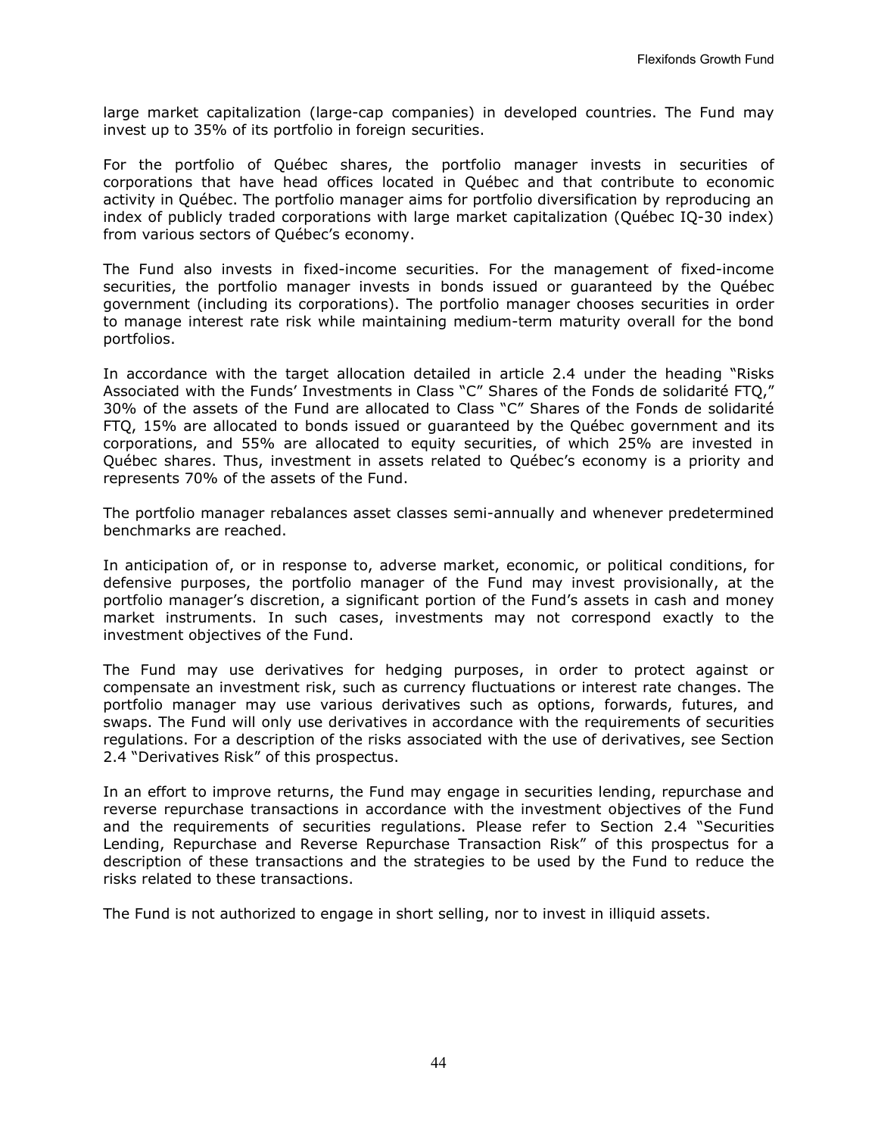large market capitalization (large-cap companies) in developed countries. The Fund may invest up to 35% of its portfolio in foreign securities.

For the portfolio of Québec shares, the portfolio manager invests in securities of corporations that have head offices located in Québec and that contribute to economic activity in Québec. The portfolio manager aims for portfolio diversification by reproducing an index of publicly traded corporations with large market capitalization (Québec IQ-30 index) from various sectors of Québec's economy.

The Fund also invests in fixed-income securities. For the management of fixed-income securities, the portfolio manager invests in bonds issued or guaranteed by the Québec government (including its corporations). The portfolio manager chooses securities in order to manage interest rate risk while maintaining medium-term maturity overall for the bond portfolios.

In accordance with the target allocation detailed in article 2.4 under the heading "Risks Associated with the Funds' Investments in Class "C" Shares of the Fonds de solidarité FTQ," 30% of the assets of the Fund are allocated to Class "C" Shares of the Fonds de solidarité FTQ, 15% are allocated to bonds issued or guaranteed by the Québec government and its corporations, and 55% are allocated to equity securities, of which 25% are invested in Québec shares. Thus, investment in assets related to Québec's economy is a priority and represents 70% of the assets of the Fund.

The portfolio manager rebalances asset classes semi-annually and whenever predetermined benchmarks are reached.

In anticipation of, or in response to, adverse market, economic, or political conditions, for defensive purposes, the portfolio manager of the Fund may invest provisionally, at the portfolio manager's discretion, a significant portion of the Fund's assets in cash and money market instruments. In such cases, investments may not correspond exactly to the investment objectives of the Fund.

The Fund may use derivatives for hedging purposes, in order to protect against or compensate an investment risk, such as currency fluctuations or interest rate changes. The portfolio manager may use various derivatives such as options, forwards, futures, and swaps. The Fund will only use derivatives in accordance with the requirements of securities regulations. For a description of the risks associated with the use of derivatives, see Section 2.4 "Derivatives Risk" of this prospectus.

In an effort to improve returns, the Fund may engage in securities lending, repurchase and reverse repurchase transactions in accordance with the investment objectives of the Fund and the requirements of securities regulations. Please refer to Section 2.4 "Securities Lending, Repurchase and Reverse Repurchase Transaction Risk" of this prospectus for a description of these transactions and the strategies to be used by the Fund to reduce the risks related to these transactions.

The Fund is not authorized to engage in short selling, nor to invest in illiquid assets.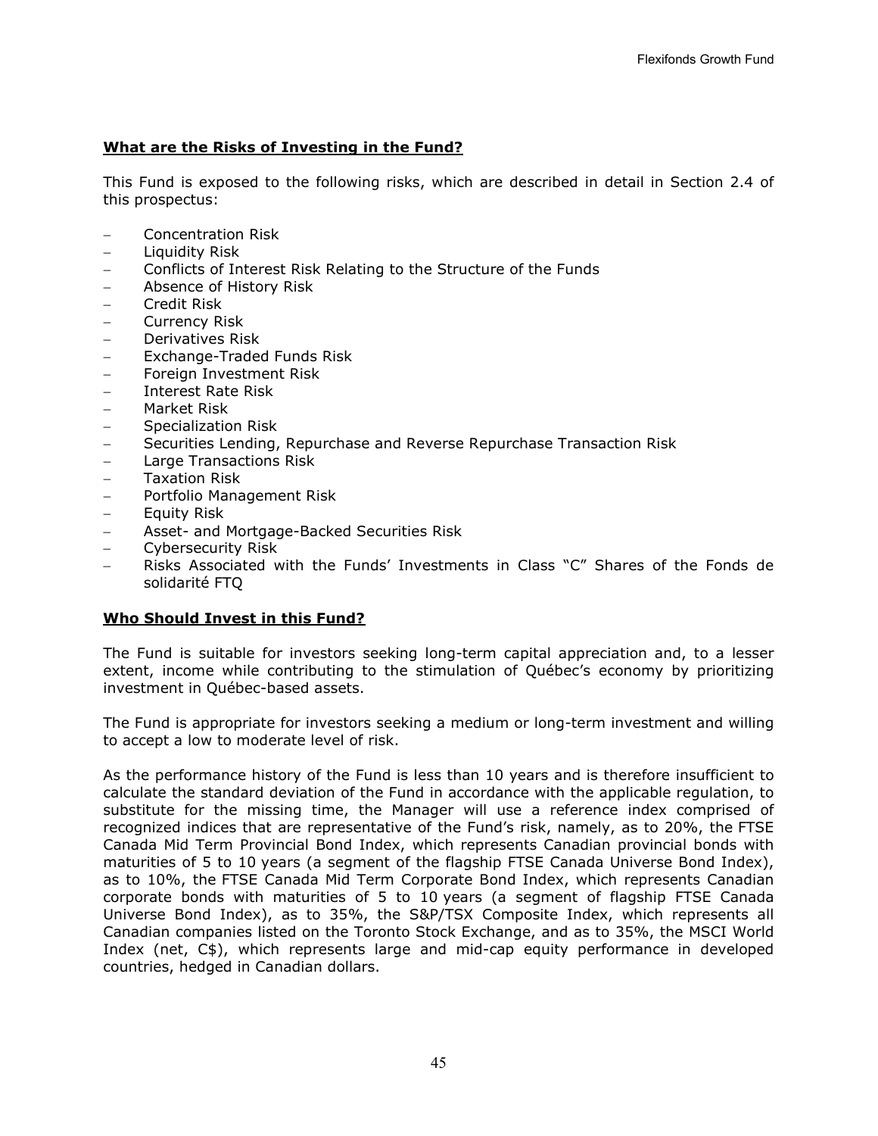# **What are the Risks of Investing in the Fund?**

This Fund is exposed to the following risks, which are described in detail in Section [2.4](#page-6-0) of this prospectus:

- − Concentration Risk
- − Liquidity Risk
- − Conflicts of Interest Risk Relating to the Structure of the Funds
- − Absence of History Risk
- − Credit Risk
- − Currency Risk
- − Derivatives Risk
- − Exchange-Traded Funds Risk
- − Foreign Investment Risk
- − Interest Rate Risk
- − Market Risk
- − Specialization Risk
- − Securities Lending, Repurchase and Reverse Repurchase Transaction Risk
- − Large Transactions Risk
- − Taxation Risk
- − Portfolio Management Risk
- − Equity Risk
- − Asset- and Mortgage-Backed Securities Risk
- − Cybersecurity Risk
- − Risks Associated with the Funds' Investments in Class "C" Shares of the Fonds de solidarité FTQ

#### **Who Should Invest in this Fund?**

The Fund is suitable for investors seeking long-term capital appreciation and, to a lesser extent, income while contributing to the stimulation of Québec's economy by prioritizing investment in Québec-based assets.

The Fund is appropriate for investors seeking a medium or long-term investment and willing to accept a low to moderate level of risk.

As the performance history of the Fund is less than 10 years and is therefore insufficient to calculate the standard deviation of the Fund in accordance with the applicable regulation, to substitute for the missing time, the Manager will use a reference index comprised of recognized indices that are representative of the Fund's risk, namely, as to 20%, the FTSE Canada Mid Term Provincial Bond Index, which represents Canadian provincial bonds with maturities of 5 to 10 years (a segment of the flagship FTSE Canada Universe Bond Index), as to 10%, the FTSE Canada Mid Term Corporate Bond Index, which represents Canadian corporate bonds with maturities of 5 to 10 years (a segment of flagship FTSE Canada Universe Bond Index), as to 35%, the S&P/TSX Composite Index, which represents all Canadian companies listed on the Toronto Stock Exchange, and as to 35%, the MSCI World Index (net, C\$), which represents large and mid-cap equity performance in developed countries, hedged in Canadian dollars.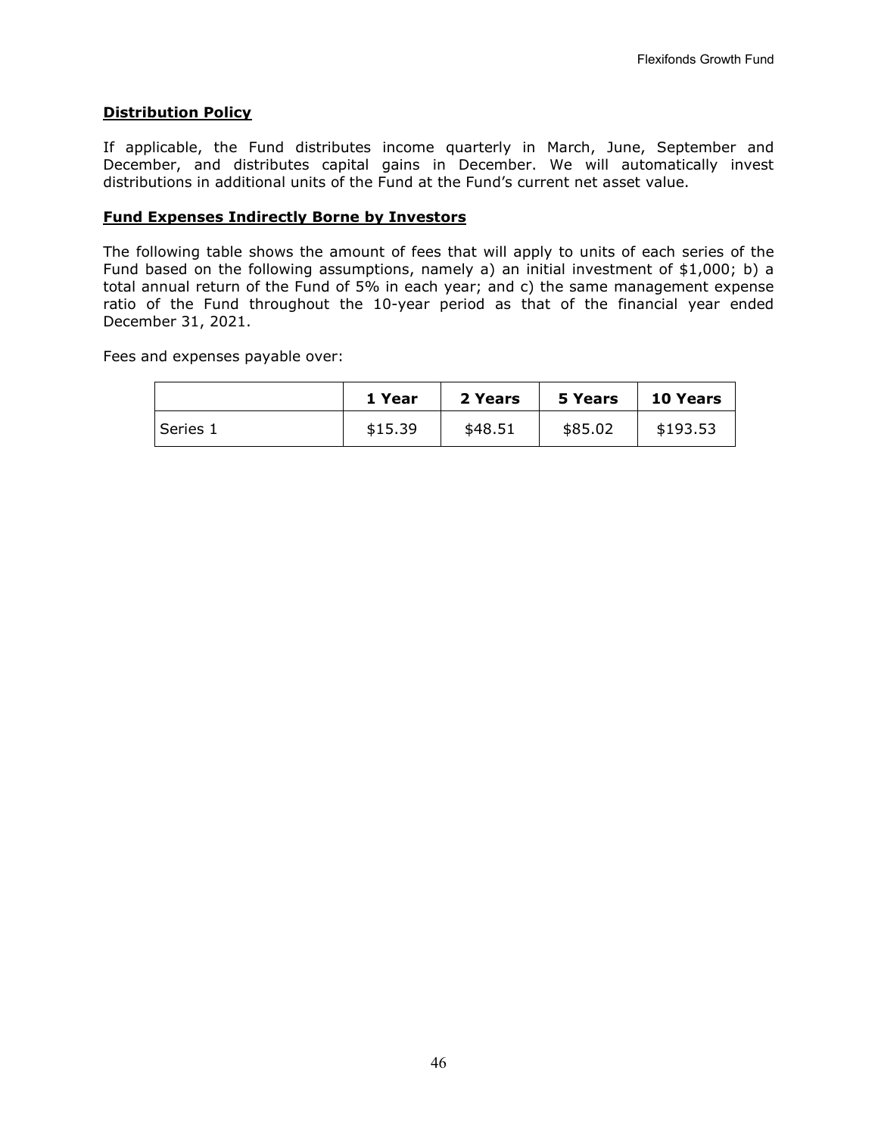## **Distribution Policy**

If applicable, the Fund distributes income quarterly in March, June, September and December, and distributes capital gains in December. We will automatically invest distributions in additional units of the Fund at the Fund's current net asset value.

## **Fund Expenses Indirectly Borne by Investors**

The following table shows the amount of fees that will apply to units of each series of the Fund based on the following assumptions, namely a) an initial investment of \$1,000; b) a total annual return of the Fund of 5% in each year; and c) the same management expense ratio of the Fund throughout the 10-year period as that of the financial year ended December 31, 2021.

Fees and expenses payable over:

|          | 1 Year  | 2 Years | 5 Years | <b>10 Years</b> |
|----------|---------|---------|---------|-----------------|
| Series 1 | \$15.39 | \$48.51 | \$85.02 | \$193.53        |